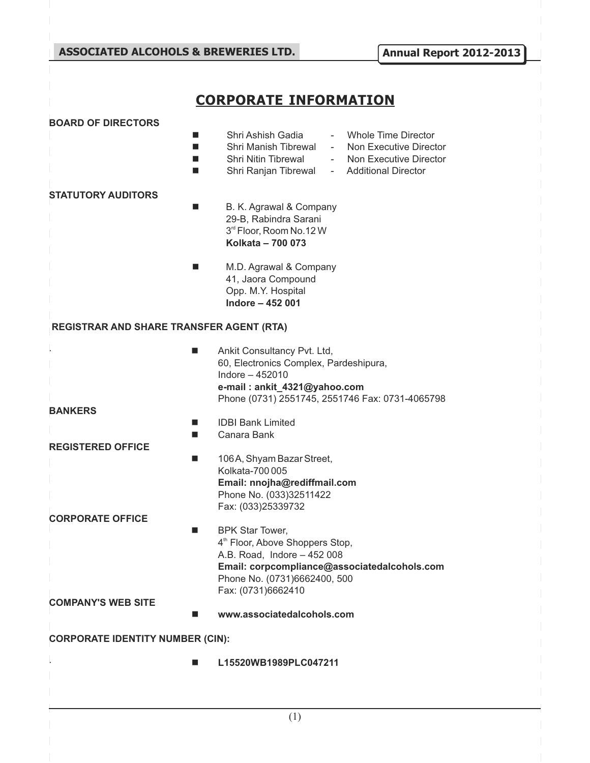# **CORPORATE INFORMATION**

| <b>BOARD OF DIRECTORS</b>                       |                                                                                                                                                                                                                    |
|-------------------------------------------------|--------------------------------------------------------------------------------------------------------------------------------------------------------------------------------------------------------------------|
| $\blacksquare$<br>ш<br>$\blacksquare$           | Shri Ashish Gadia<br>- Whole Time Director<br>Shri Manish Tibrewal<br>Non Executive Director<br>$\sim 10^{-1}$<br>Shri Nitin Tibrewal<br>- Non Executive Director<br>Shri Ranjan Tibrewal<br>- Additional Director |
| <b>STATUTORY AUDITORS</b><br>■                  | B. K. Agrawal & Company<br>29-B, Rabindra Sarani<br>3 <sup>rd</sup> Floor, Room No.12 W<br>Kolkata - 700 073                                                                                                       |
| ш                                               | M.D. Agrawal & Company<br>41, Jaora Compound<br>Opp. M.Y. Hospital<br>Indore - 452 001                                                                                                                             |
| <b>REGISTRAR AND SHARE TRANSFER AGENT (RTA)</b> |                                                                                                                                                                                                                    |
| ш                                               | Ankit Consultancy Pvt. Ltd,<br>60, Electronics Complex, Pardeshipura,<br>Indore - 452010<br>e-mail: ankit_4321@yahoo.com<br>Phone (0731) 2551745, 2551746 Fax: 0731-4065798                                        |
| <b>BANKERS</b>                                  | <b>IDBI Bank Limited</b>                                                                                                                                                                                           |
| ▄<br><b>REGISTERED OFFICE</b><br>п              | Canara Bank<br>106A, Shyam Bazar Street,                                                                                                                                                                           |
|                                                 | Kolkata-700 005<br>Email: nnojha@rediffmail.com<br>Phone No. (033)32511422<br>Fax: (033)25339732                                                                                                                   |
| <b>CORPORATE OFFICE</b>                         |                                                                                                                                                                                                                    |
| ш                                               | <b>BPK Star Tower,</b><br>4 <sup>th</sup> Floor, Above Shoppers Stop,<br>A.B. Road, Indore - 452 008<br>Email: corpcompliance@associatedalcohols.com<br>Phone No. (0731)6662400, 500<br>Fax: (0731)6662410         |
| <b>COMPANY'S WEB SITE</b>                       |                                                                                                                                                                                                                    |
| ▄                                               | www.associatedalcohols.com                                                                                                                                                                                         |
| <b>CORPORATE IDENTITY NUMBER (CIN):</b>         |                                                                                                                                                                                                                    |
|                                                 | L15520WB1989PLC047211                                                                                                                                                                                              |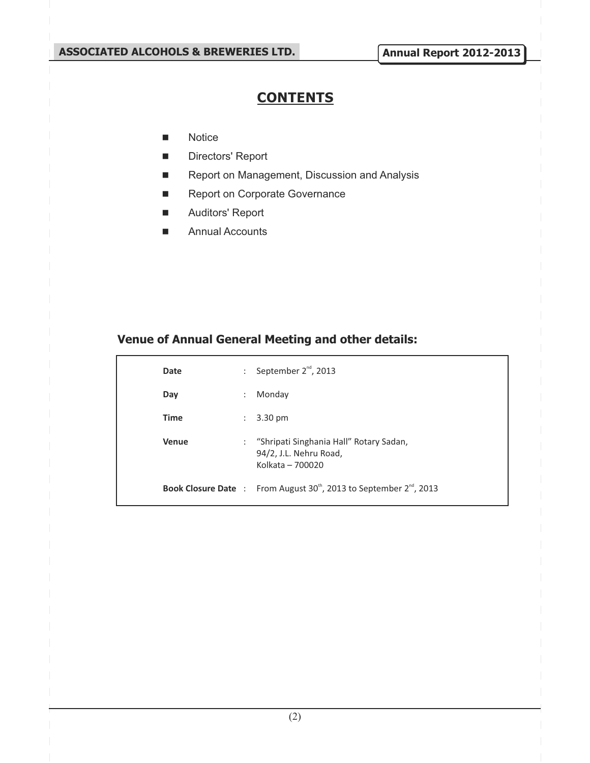## **CONTENTS**

- **Notice**
- **Directors' Report**
- Report on Management, Discussion and Analysis
- Report on Corporate Governance
- **Auditors' Report**
- **Annual Accounts**

## **Venue of Annual General Meeting and other details:**

| Date         | $\mathbb{R}^{\mathbb{Z}}$ | September 2 <sup>nd</sup> , 2013                                                        |
|--------------|---------------------------|-----------------------------------------------------------------------------------------|
| Day          | ÷                         | Monday                                                                                  |
| <b>Time</b>  | $\mathbb{Z}^{\mathbb{Z}}$ | $3.30 \text{ pm}$                                                                       |
| <b>Venue</b> |                           | : "Shripati Singhania Hall" Rotary Sadan,<br>94/2, J.L. Nehru Road,<br>Kolkata - 700020 |
|              |                           | <b>Book Closure Date</b> : From August $30^{th}$ , 2013 to September $2^{nd}$ , 2013    |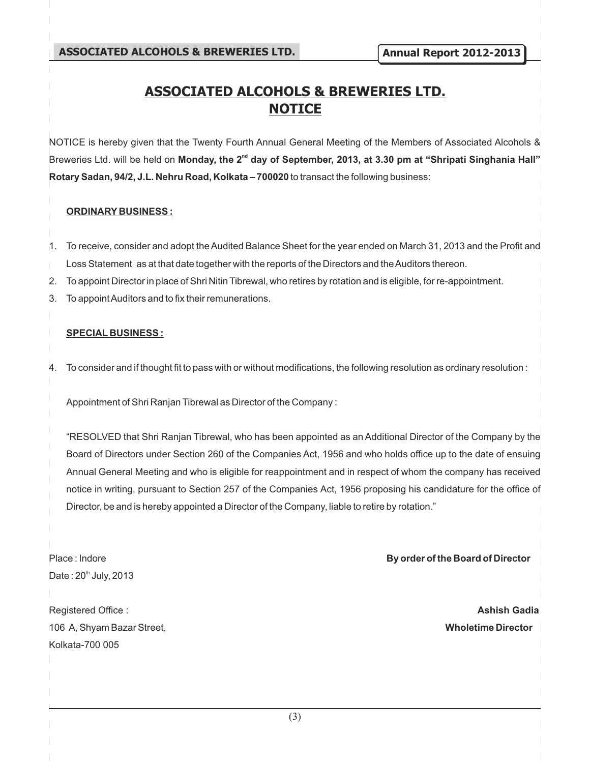## **ASSOCIATED ALCOHOLS & BREWERIES LTD. NOTICE**

NOTICE is hereby given that the Twenty Fourth Annual General Meeting of the Members of Associated Alcohols & **nd** Breweries Ltd. will be held on **Monday, the 2 day of September, 2013, at 3.30 pm at "Shripati Singhania Hall" Rotary Sadan, 94/2, J.L. Nehru Road, Kolkata – 700020**to transact the following business:

#### **ORDINARY BUSINESS :**

- 1. To receive, consider and adopt the Audited Balance Sheet for the year ended on March 31, 2013 and the Profit and Loss Statement as at that date together with the reports of the Directors and the Auditors thereon.
- 2. To appoint Director in place of Shri Nitin Tibrewal, who retires by rotation and is eligible, for re-appointment.
- 3. To appoint Auditors and to fix their remunerations.

#### **SPECIAL BUSINESS :**

4. To consider and if thought fit to pass with or without modifications, the following resolution as ordinary resolution :

Appointment of Shri Ranjan Tibrewal as Director of the Company :

"RESOLVED that Shri Ranjan Tibrewal, who has been appointed as an Additional Director of the Company by the Board of Directors under Section 260 of the Companies Act, 1956 and who holds office up to the date of ensuing Annual General Meeting and who is eligible for reappointment and in respect of whom the company has received notice in writing, pursuant to Section 257 of the Companies Act, 1956 proposing his candidature for the office of Director, be and is hereby appointed a Director of the Company, liable to retire by rotation."

Date: 20<sup>th</sup> July, 2013 Registered Office : **Ashish Gadia**

106 A, Shyam Bazar Street, **Wholetime Director** Kolkata-700 005

Place : Indore **By order of the Board of Director**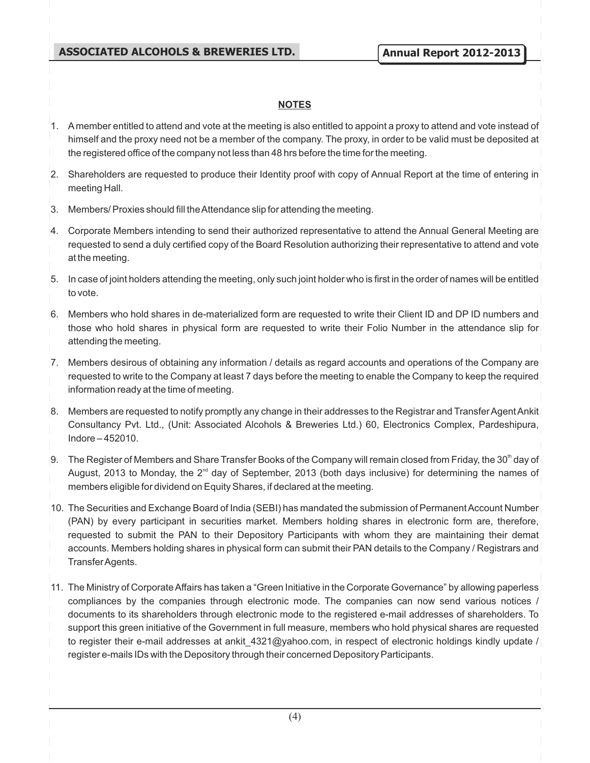#### **NOTES**

- 1. A member entitled to attend and vote at the meeting is also entitled to appoint a proxy to attend and vote instead of himself and the proxy need not be a member of the company. The proxy, in order to be valid must be deposited at the registered office of the company not less than 48 hrs before the time for the meeting.
- 2. Shareholders are requested to produce their Identity proof with copy of Annual Report at the time of entering in meeting Hall.
- Members/ Proxies should fill the Attendance slip for attending the meeting.
- 4. Corporate Members intending to send their authorized representative to attend the Annual General Meeting are requested to send a duly certified copy of the Board Resolution authorizing their representative to attend and vote at the meeting.
- $|5.$  In case of joint holders attending the meeting, only such joint holder who is first in the order of names will be entitled to vote.
- 6. Members who hold shares in de-materialized form are requested to write their Client ID and DP ID numbers and those who hold shares in physical form are requested to write their Folio Number in the attendance slip for attending the meeting.
- 7. Members desirous of obtaining any information / details as regard accounts and operations of the Company are requested to write to the Company at least 7 days before the meeting to enable the Company to keep the required information ready at the time of meeting.
- $|8.$  Members are requested to notify promptly any change in their addresses to the Registrar and Transfer Agent Ankit Consultancy Pvt. Ltd., (Unit: Associated Alcohols & Breweries Ltd.) 60, Electronics Complex, Pardeshipura, Indore – 452010.
- $19.$  The Register of Members and Share Transfer Books of the Company will remain closed from Friday, the 30<sup>th</sup> day of August, 2013 to Monday, the 2<sup>nd</sup> day of September, 2013 (both days inclusive) for determining the names of members eligible for dividend on Equity Shares, if declared at the meeting.
- $10.$  The Securities and Exchange Board of India (SEBI) has mandated the submission of Permanent Account Number (PAN) by every participant in securities market. Members holding shares in electronic form are, therefore, requested to submit the PAN to their Depository Participants with whom they are maintaining their demat accounts. Members holding shares in physical form can submit their PAN details to the Company / Registrars and <sup>1</sup> Transfer Agents.
- 11. The Ministry of Corporate Affairs has taken a "Green Initiative in the Corporate Governance" by allowing paperless, compliances by the companies through electronic mode. The companies can now send various notices / documents to its shareholders through electronic mode to the registered e-mail addresses of shareholders. To support this green initiative of the Government in full measure, members who hold physical shares are requested to register their e-mail addresses at ankit\_4321@yahoo.com, in respect of electronic holdings kindly update / register e-mails IDs with the Depository through their concerned Depository Participants.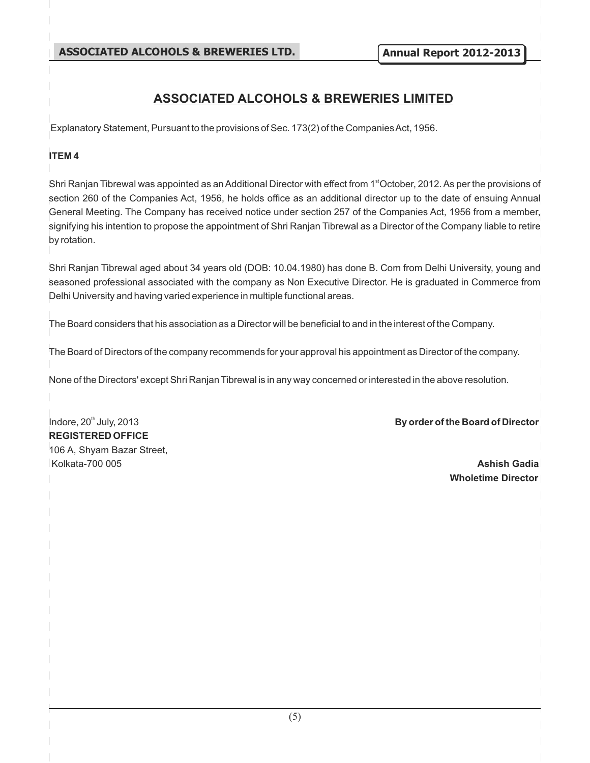## **ASSOCIATED ALCOHOLS & BREWERIES LIMITED**

Explanatory Statement, Pursuant to the provisions of Sec. 173(2) of the Companies Act, 1956.

## **ITEM 4**

 $\overline{a}$ 

Shri Ranjan Tibrewal was appointed as an Additional Director with effect from 1<sup>st</sup>October, 2012. As per the provisions of section 260 of the Companies Act, 1956, he holds office as an additional director up to the date of ensuing Annual General Meeting. The Company has received notice under section 257 of the Companies Act, 1956 from a member, signifying his intention to propose the appointment of Shri Ranjan Tibrewal as a Director of the Company liable to retire by rotation.

Shri Ranjan Tibrewal aged about 34 years old (DOB: 10.04.1980) has done B. Com from Delhi University, young and seasoned professional associated with the company as Non Executive Director. He is graduated in Commerce from Delhi University and having varied experience in multiple functional areas.

The Board considers that his association as a Director will be beneficial to and in the interest of the Company.

The Board of Directors of the company recommends for your approval his appointment as Director of the company.

None of the Directors' except Shri Ranjan Tibrewal is in any way concerned or interested in the above resolution.

**REGISTERED OFFICE**  106 A, Shyam Bazar Street, Kolkata-700 005 **Ashish Gadia**

th Indore, 20 July, 2013 **By order of the Board of Director**

**Wholetime Director**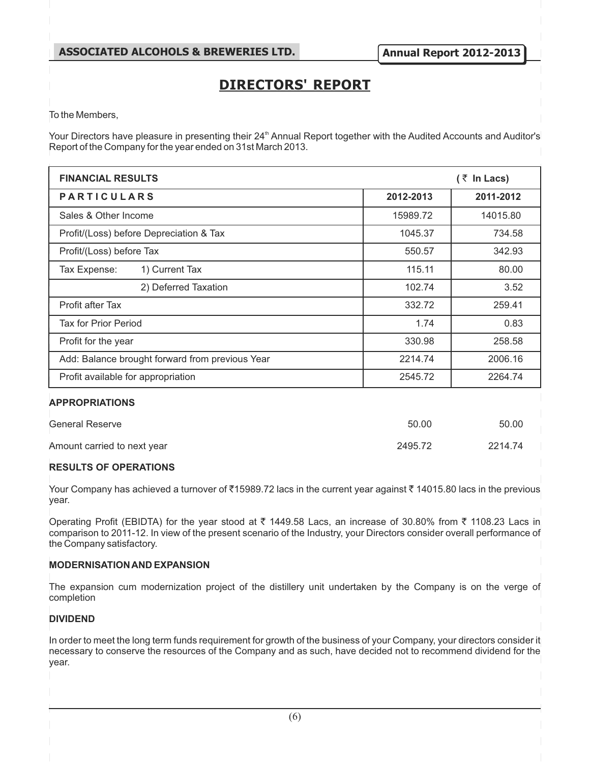## **DIRECTORS' REPORT**

To the Members,

Your Directors have pleasure in presenting their 24<sup>th</sup> Annual Report together with the Audited Accounts and Auditor's Report of the Company for the year ended on 31st March 2013.

| <b>FINANCIAL RESULTS</b>                        |           | $($ ₹ In Lacs) |
|-------------------------------------------------|-----------|----------------|
| <b>PARTICULARS</b>                              | 2012-2013 | 2011-2012      |
| Sales & Other Income                            | 15989.72  | 14015.80       |
| Profit/(Loss) before Depreciation & Tax         | 1045.37   | 734.58         |
| Profit/(Loss) before Tax                        | 550.57    | 342.93         |
| 1) Current Tax<br>Tax Expense:                  | 115.11    | 80.00          |
| 2) Deferred Taxation                            | 102.74    | 3.52           |
| Profit after Tax                                | 332.72    | 259.41         |
| Tax for Prior Period                            | 1.74      | 0.83           |
| Profit for the year                             | 330.98    | 258.58         |
| Add: Balance brought forward from previous Year | 2214.74   | 2006.16        |
| Profit available for appropriation              | 2545.72   | 2264.74        |
| <b>APPROPRIATIONS</b>                           |           |                |
| <b>General Reserve</b>                          | 50.00     | 50.00          |
| Amount carried to next year                     | 2495.72   | 2214.74        |

#### **RESULTS OF OPERATIONS**

Your Company has achieved a turnover of ₹15989.72 lacs in the current year against ₹ 14015.80 lacs in the previous year.

Operating Profit (EBIDTA) for the year stood at ₹ 1449.58 Lacs, an increase of 30.80% from ₹ 1108.23 Lacs in comparison to 2011-12. In view of the present scenario of the Industry, your Directors consider overall performance of the Company satisfactory.

#### **MODERNISATION AND EXPANSION**

The expansion cum modernization project of the distillery unit undertaken by the Company is on the verge of completion

#### **DIVIDEND**

In order to meet the long term funds requirement for growth of the business of your Company, your directors consider it necessary to conserve the resources of the Company and as such, have decided not to recommend dividend for the year.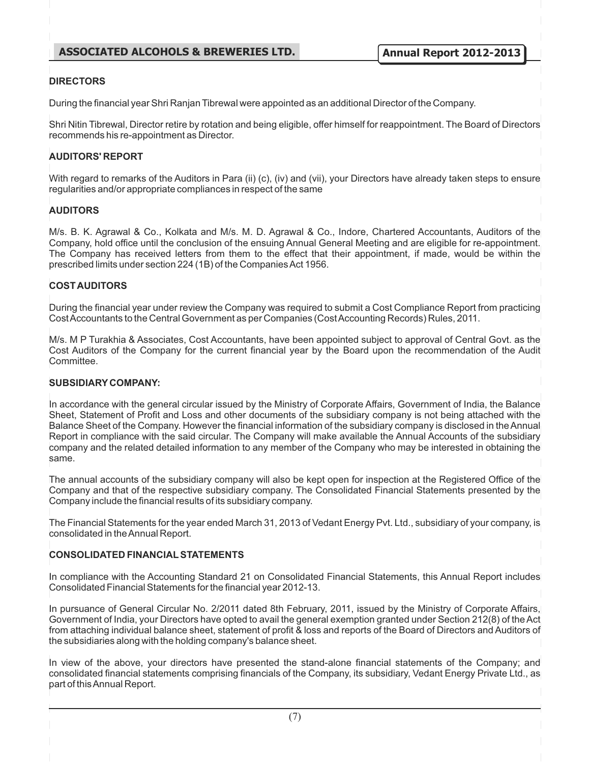#### **DIRECTORS**

During the financial year Shri Ranjan Tibrewal were appointed as an additional Director of the Company.

Shri Nitin Tibrewal, Director retire by rotation and being eligible, offer himself for reappointment. The Board of Directors recommends his re-appointment as Director.

#### **AUDITORS' REPORT**

With regard to remarks of the Auditors in Para (ii) (c), (iv) and (vii), your Directors have already taken steps to ensure regularities and/or appropriate compliances in respect of the same

## **AUDITORS**

M/s. B. K. Agrawal & Co., Kolkata and M/s. M. D. Agrawal & Co., Indore, Chartered Accountants, Auditors of the Company, hold office until the conclusion of the ensuing Annual General Meeting and are eligible for re-appointment. The Company has received letters from them to the effect that their appointment, if made, would be within the prescribed limits under section 224 (1B) of the Companies Act 1956.

#### **COST AUDITORS**

During the financial year under review the Company was required to submit a Cost Compliance Report from practicing Cost Accountants to the Central Government as per Companies (Cost Accounting Records) Rules, 2011.

M/s. M P Turakhia & Associates, Cost Accountants, have been appointed subject to approval of Central Govt. as the Cost Auditors of the Company for the current financial year by the Board upon the recommendation of the Audit Committee.

#### **SUBSIDIARY COMPANY:**

In accordance with the general circular issued by the Ministry of Corporate Affairs, Government of India, the Balance Sheet, Statement of Profit and Loss and other documents of the subsidiary company is not being attached with the Balance Sheet of the Company. However the financial information of the subsidiary company is disclosed in the Annual Report in compliance with the said circular. The Company will make available the Annual Accounts of the subsidiary company and the related detailed information to any member of the Company who may be interested in obtaining the same.

The annual accounts of the subsidiary company will also be kept open for inspection at the Registered Office of the Company and that of the respective subsidiary company. The Consolidated Financial Statements presented by the Company include the financial results of its subsidiary company.

The Financial Statements for the year ended March 31, 2013 of Vedant Energy Pvt. Ltd., subsidiary of your company, is consolidated in the Annual Report.

#### **CONSOLIDATED FINANCIALSTATEMENTS**

In compliance with the Accounting Standard 21 on Consolidated Financial Statements, this Annual Report includes Consolidated Financial Statements for the financial year 2012-13.

In pursuance of General Circular No. 2/2011 dated 8th February, 2011, issued by the Ministry of Corporate Affairs, Government of India, your Directors have opted to avail the general exemption granted under Section 212(8) of the Act from attaching individual balance sheet, statement of profit & loss and reports of the Board of Directors and Auditors of the subsidiaries along with the holding company's balance sheet.

In view of the above, your directors have presented the stand-alone financial statements of the Company; and consolidated financial statements comprising financials of the Company, its subsidiary, Vedant Energy Private Ltd., as part of this Annual Report.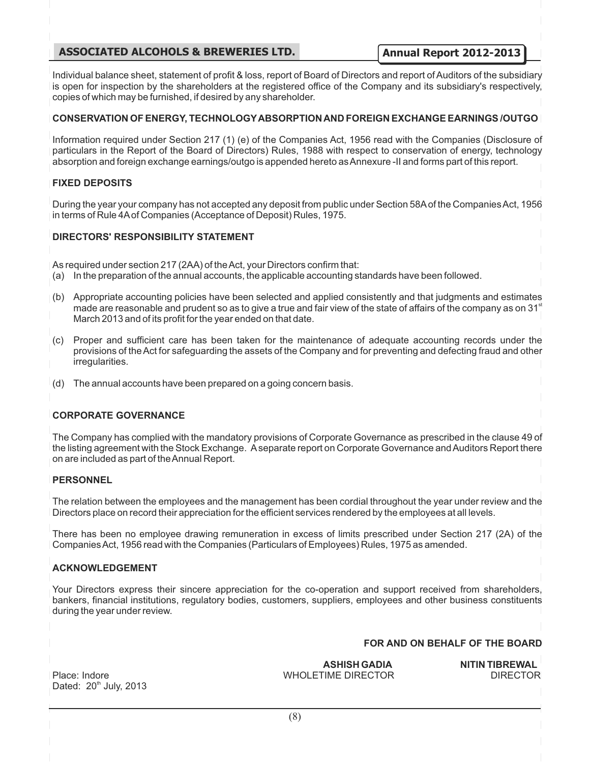Individual balance sheet, statement of profit & loss, report of Board of Directors and report of Auditors of the subsidiary Is open for inspection by the shareholders at the registered office of the Company and its subsidiary's respectively copies of which may be furnished, if desired by any shareholder.

#### **CONSERVATION OF ENERGY, TECHNOLOGYABSORPTION AND FOREIGN EXCHANGE EARNINGS /OUTGO**

Information required under Section 217 (1) (e) of the Companies Act, 1956 read with the Companies (Disclosure of particulars in the Report of the Board of Directors) Rules, 1988 with respect to conservation of energy, technology absorption and foreign exchange earnings/outgo is appended hereto as Annexure -II and forms part of this report.

#### **FIXED DEPOSITS**

 $^\perp$  During the year your company has not accepted any deposit from public under Section 58A of the Companies Act, 1956 in terms of Rule 4Aof Companies (Acceptance of Deposit) Rules, 1975.

#### **DIRECTORS' RESPONSIBILITY STATEMENT**

As required under section 217 (2AA) of the Act, your Directors confirm that:

- (a) In the preparation of the annual accounts, the applicable accounting standards have been followed.
- (b) Appropriate accounting policies have been selected and applied consistently and that judgments and estimates made are reasonable and prudent so as to give a true and fair view of the state of affairs of the company as on 31<sup>8</sup> March 2013 and of its profit for the year ended on that date.
- (c) Proper and sufficient care has been taken for the maintenance of adequate accounting records under the provisions of the Act for safeguarding the assets of the Company and for preventing and defecting fraud and other irregularities.
- $\vert$  (d) The annual accounts have been prepared on a going concern basis.

#### **CORPORATE GOVERNANCE**

The Company has complied with the mandatory provisions of Corporate Governance as prescribed in the clause 49 of I the listing agreement with the Stock Exchange. A separate report on Corporate Governance and Auditors Report there on are included as part of the Annual Report.

#### **PERSONNEL**

 $^\top$ The relation between the employees and the management has been cordial throughout the year under review and the Directors place on record their appreciation for the efficient services rendered by the employees at all levels.

There has been no employee drawing remuneration in excess of limits prescribed under Section 217 (2A) of the Companies Act, 1956 read with the Companies (Particulars of Employees) Rules, 1975 as amended.

#### **ACKNOWLEDGEMENT**

Your Directors express their sincere appreciation for the co-operation and support received from shareholders, bankers, financial institutions, regulatory bodies, customers, suppliers, employees and other business constituents during the year under review.

#### **FOR AND ON BEHALF OF THE BOARD**

Dated:  $20<sup>th</sup>$  July, 2013

 **ASHISH GADIA NITIN TIBREWAL**  Place: Indore **Example 20 Telecommunity Contracts Contracts Contracts Contracts Contracts Contracts Contracts Contracts Contracts Contracts On the DIRECTOR DIRECTOR**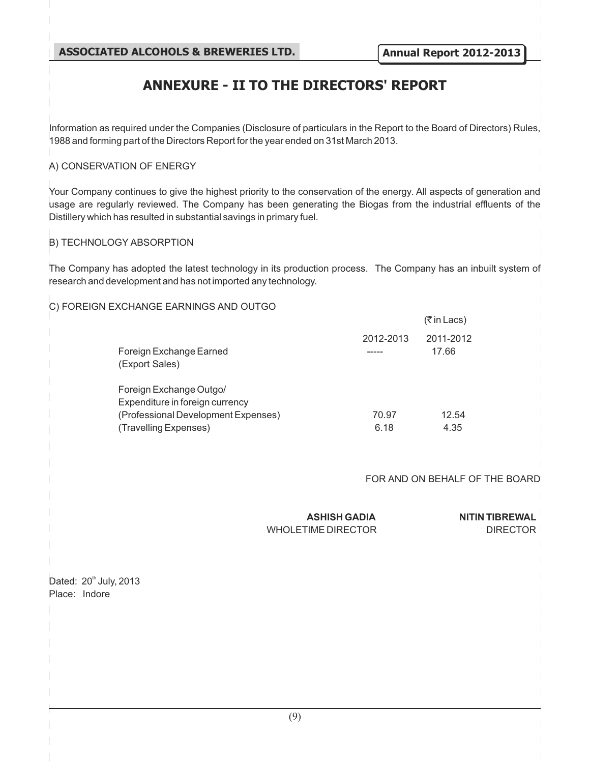## **ANNEXURE - II TO THE DIRECTORS' REPORT**

Information as required under the Companies (Disclosure of particulars in the Report to the Board of Directors) Rules, 1988 and forming part of the Directors Report for the year ended on 31st March 2013.

#### A) CONSERVATION OF ENERGY

Your Company continues to give the highest priority to the conservation of the energy. All aspects of generation and usage are regularly reviewed. The Company has been generating the Biogas from the industrial effluents of the Distillery which has resulted in substantial savings in primary fuel.

#### B) TECHNOLOGY ABSORPTION

The Company has adopted the latest technology in its production process. The Company has an inbuilt system of research and development and has not imported any technology.

(Travelling Expenses) 6.18 4.35

C) FOREIGN EXCHANGE EARNINGS AND OUTGO  $(\vec{\bm{\tau}}$  in Lacs) the contract of the contract of the contract of  $(\vec{\bm{\tau}}$  in Lacs)  $2012-2013$  2011-2012 Foreign Exchange Earned **Foreign** Exchange Earned (Export Sales) Foreign Exchange Outgo/ Expenditure in foreign currency (Professional Development Expenses) 70.97 12.54

FOR AND ON BEHALF OF THE BOARD

| <b>ASHISH GADIA</b> |  |
|---------------------|--|
| WHOLETIME DIRECTOR  |  |

**AITIN TIBREWAL** DIRECTOR  $\vert$ 

Dated:  $20<sup>th</sup>$  July, 2013 Place: Indore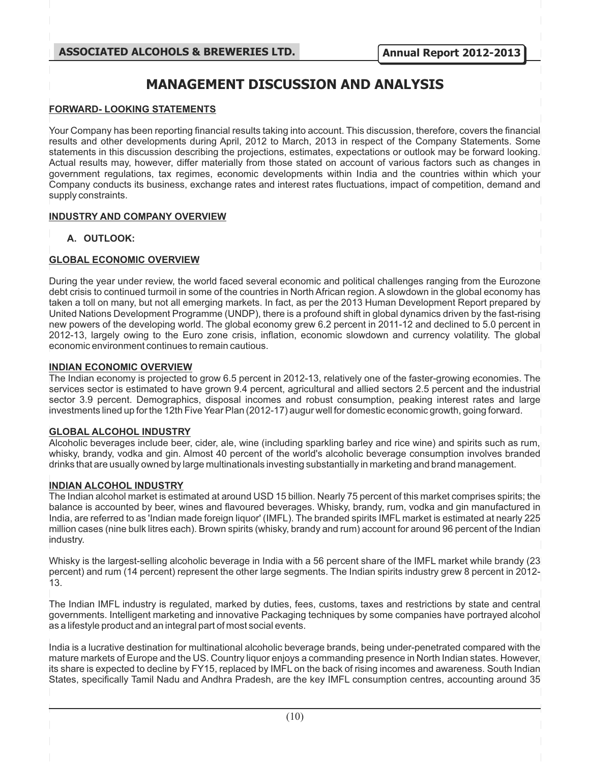## **MANAGEMENT DISCUSSION AND ANALYSIS**

#### **FORWARD- LOOKING STATEMENTS**

Your Company has been reporting financial results taking into account. This discussion, therefore, covers the financial results and other developments during April, 2012 to March, 2013 in respect of the Company Statements. Some statements in this discussion describing the projections, estimates, expectations or outlook may be forward looking. Actual results may, however, differ materially from those stated on account of various factors such as changes in government regulations, tax regimes, economic developments within India and the countries within which your Company conducts its business, exchange rates and interest rates fluctuations, impact of competition, demand and supply constraints.

#### **INDUSTRY AND COMPANY OVERVIEW**

#### **A. OUTLOOK:**

#### **GLOBAL ECONOMIC OVERVIEW**

During the year under review, the world faced several economic and political challenges ranging from the Eurozone debt crisis to continued turmoil in some of the countries in North African region. Aslowdown in the global economy has taken a toll on many, but not all emerging markets. In fact, as per the 2013 Human Development Report prepared by United Nations Development Programme (UNDP), there is a profound shift in global dynamics driven by the fast-rising new powers of the developing world. The global economy grew 6.2 percent in 2011-12 and declined to 5.0 percent in 2012-13, largely owing to the Euro zone crisis, inflation, economic slowdown and currency volatility. The global economic environment continues to remain cautious.

#### **INDIAN ECONOMIC OVERVIEW**

The Indian economy is projected to grow 6.5 percent in 2012-13, relatively one of the faster-growing economies. The services sector is estimated to have grown 9.4 percent, agricultural and allied sectors 2.5 percent and the industrial sector 3.9 percent. Demographics, disposal incomes and robust consumption, peaking interest rates and large investments lined up for the 12th Five Year Plan (2012-17) augur well for domestic economic growth, going forward.

#### **GLOBAL ALCOHOL INDUSTRY**

Alcoholic beverages include beer, cider, ale, wine (including sparkling barley and rice wine) and spirits such as rum, whisky, brandy, vodka and gin. Almost 40 percent of the world's alcoholic beverage consumption involves branded drinks that are usually owned by large multinationals investing substantially in marketing and brand management.

#### **INDIAN ALCOHOL INDUSTRY**

The Indian alcohol market is estimated at around USD 15 billion. Nearly 75 percent of this market comprises spirits; the balance is accounted by beer, wines and flavoured beverages. Whisky, brandy, rum, vodka and gin manufactured in India, are referred to as 'Indian made foreign liquor' (IMFL). The branded spirits IMFL market is estimated at nearly 225 million cases (nine bulk litres each). Brown spirits (whisky, brandy and rum) account for around 96 percent of the Indian industry.

Whisky is the largest-selling alcoholic beverage in India with a 56 percent share of the IMFL market while brandy (23 percent) and rum (14 percent) represent the other large segments. The Indian spirits industry grew 8 percent in 2012- 13.

The Indian IMFL industry is regulated, marked by duties, fees, customs, taxes and restrictions by state and central governments. Intelligent marketing and innovative Packaging techniques by some companies have portrayed alcohol as a lifestyle product and an integral part of most social events.

India is a lucrative destination for multinational alcoholic beverage brands, being under-penetrated compared with the mature markets of Europe and the US. Country liquor enjoys a commanding presence in North Indian states. However, its share is expected to decline by FY15, replaced by IMFLon the back of rising incomes and awareness. South Indian States, specifically Tamil Nadu and Andhra Pradesh, are the key IMFL consumption centres, accounting around 35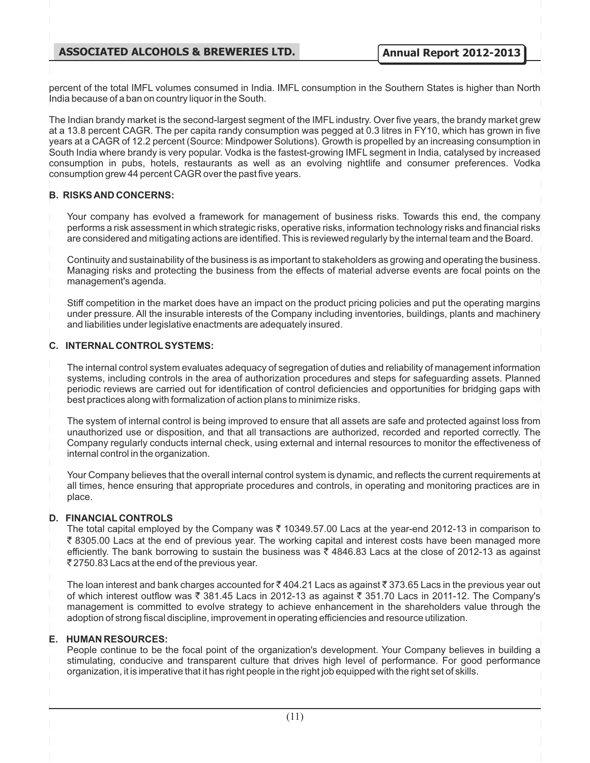percent of the total IMFL volumes consumed in India. IMFL consumption in the Southern States is higher than North India because of a ban on country liquor in the South.

The Indian brandy market is the second-largest segment of the IMFLindustry. Over five years, the brandy market grew at a 13.8 percent CAGR. The per capita randy consumption was pegged at 0.3 litres in FY10, which has grown in five years at a CAGR of 12.2 percent (Source: Mindpower Solutions). Growth is propelled by an increasing consumption in South India where brandy is very popular. Vodka is the fastest-growing IMFL segment in India, catalysed by increased consumption in pubs, hotels, restaurants as well as an evolving nightlife and consumer preferences. Vodka consumption grew 44 percent CAGR over the past five years.

#### **B. RISKS AND CONCERNS:**

Your company has evolved a framework for management of business risks. Towards this end, the company performs a risk assessment in which strategic risks, operative risks, information technology risks and financial risks are considered and mitigating actions are identified. This is reviewed regularly by the internal team and the Board.

Continuity and sustainability of the business is as important to stakeholders as growing and operating the business. Managing risks and protecting the business from the effects of material adverse events are focal points on the management's agenda.

Stiff competition in the market does have an impact on the product pricing policies and put the operating margins under pressure. All the insurable interests of the Company including inventories, buildings, plants and machinery and liabilities under legislative enactments are adequately insured.

#### **C. INTERNAL CONTROLSYSTEMS:**

The internal control system evaluates adequacy of segregation of duties and reliability of management information systems, including controls in the area of authorization procedures and steps for safeguarding assets. Planned periodic reviews are carried out for identification of control deficiencies and opportunities for bridging gaps with best practices along with formalization of action plans to minimize risks.

The system of internal control is being improved to ensure that all assets are safe and protected against loss from unauthorized use or disposition, and that all transactions are authorized, recorded and reported correctly. The Company regularly conducts internal check, using external and internal resources to monitor the effectiveness of internal control in the organization.

Your Company believes that the overall internal control system is dynamic, and reflects the current requirements at all times, hence ensuring that appropriate procedures and controls, in operating and monitoring practices are in place.

#### **FINANCIAL CONTROLS**

The total capital employed by the Company was  $\bar{\tau}$  10349.57.00 Lacs at the year-end 2012-13 in comparison to ₹ 8305.00 Lacs at the end of previous year. The working capital and interest costs have been managed more efficiently. The bank borrowing to sustain the business was  $\bar{\tau}$  4846.83 Lacs at the close of 2012-13 as against ₹2750.83 Lacs at the end of the previous year.

The loan interest and bank charges accounted for  $\bar{\tau}$  404.21 Lacs as against  $\bar{\tau}$  373.65 Lacs in the previous year out of which interest outflow was ₹ 381.45 Lacs in 2012-13 as against ₹ 351.70 Lacs in 2011-12. The Company's management is committed to evolve strategy to achieve enhancement in the shareholders value through the adoption of strong fiscal discipline, improvement in operating efficiencies and resource utilization.

#### **E. HUMAN RESOURCES:**

People continue to be the focal point of the organization's development. Your Company believes in building a stimulating, conducive and transparent culture that drives high level of performance. For good performance organization, it is imperative that it has right people in the right job equipped with the right set of skills.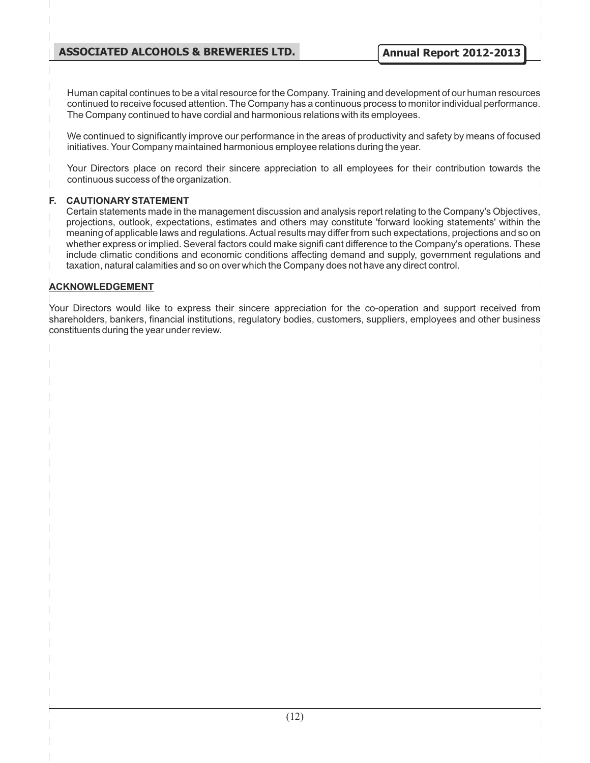Human capital continues to be a vital resource for the Company. Training and development of our human resources continued to receive focused attention. The Company has a continuous process to monitor individual performance. The Company continued to have cordial and harmonious relations with its employees.

We continued to significantly improve our performance in the areas of productivity and safety by means of focused initiatives. Your Company maintained harmonious employee relations during the year.

Your Directors place on record their sincere appreciation to all employees for their contribution towards the continuous success of the organization.

#### **F. CAUTIONARYSTATEMENT**

Certain statements made in the management discussion and analysis report relating to the Company's Objectives, projections, outlook, expectations, estimates and others may constitute 'forward looking statements' within the meaning of applicable laws and regulations. Actual results may differ from such expectations, projections and so on whether express or implied. Several factors could make signifi cant difference to the Company's operations. These include climatic conditions and economic conditions affecting demand and supply, government regulations and taxation, natural calamities and so on over which the Company does not have any direct control.

#### **ACKNOWLEDGEMENT**

Your Directors would like to express their sincere appreciation for the co-operation and support received from shareholders, bankers, financial institutions, regulatory bodies, customers, suppliers, employees and other business constituents during the year under review.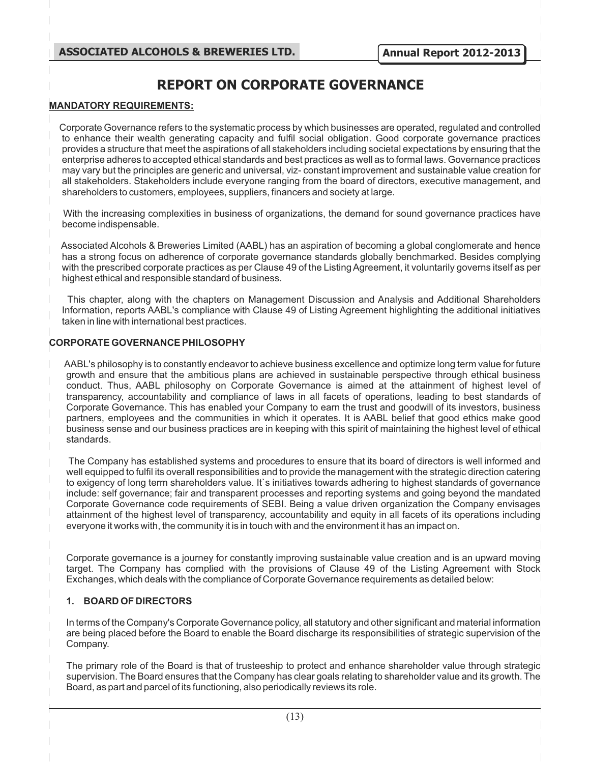## **REPORT ON CORPORATE GOVERNANCE**

#### **MANDATORY REQUIREMENTS:**

Corporate Governance refers to the systematic process by which businesses are operated, regulated and controlled to enhance their wealth generating capacity and fulfil social obligation. Good corporate governance practices provides a structure that meet the aspirations of all stakeholders including societal expectations by ensuring that the enterprise adheres to accepted ethical standards and best practices as well as to formal laws. Governance practices may vary but the principles are generic and universal, viz- constant improvement and sustainable value creation for all stakeholders. Stakeholders include everyone ranging from the board of directors, executive management, and shareholders to customers, employees, suppliers, financers and society at large.

With the increasing complexities in business of organizations, the demand for sound governance practices have become indispensable.

Associated Alcohols & Breweries Limited (AABL) has an aspiration of becoming a global conglomerate and hence has a strong focus on adherence of corporate governance standards globally benchmarked. Besides complying with the prescribed corporate practices as per Clause 49 of the Listing Agreement, it voluntarily governs itself as per highest ethical and responsible standard of business.

This chapter, along with the chapters on Management Discussion and Analysis and Additional Shareholders Information, reports AABL's compliance with Clause 49 of Listing Agreement highlighting the additional initiatives taken in line with international best practices.

#### **CORPORATE GOVERNANCE PHILOSOPHY**

AABL's philosophy is to constantly endeavor to achieve business excellence and optimize long term value for future growth and ensure that the ambitious plans are achieved in sustainable perspective through ethical business conduct. Thus, AABL philosophy on Corporate Governance is aimed at the attainment of highest level of transparency, accountability and compliance of laws in all facets of operations, leading to best standards of Corporate Governance. This has enabled your Company to earn the trust and goodwill of its investors, business partners, employees and the communities in which it operates. It is AABL belief that good ethics make good business sense and our business practices are in keeping with this spirit of maintaining the highest level of ethical standards.

The Company has established systems and procedures to ensure that its board of directors is well informed and well equipped to fulfil its overall responsibilities and to provide the management with the strategic direction catering to exigency of long term shareholders value. It`s initiatives towards adhering to highest standards of governance include: self governance; fair and transparent processes and reporting systems and going beyond the mandated Corporate Governance code requirements of SEBI. Being a value driven organization the Company envisages attainment of the highest level of transparency, accountability and equity in all facets of its operations including everyone it works with, the community it is in touch with and the environment it has an impact on.

Corporate governance is a journey for constantly improving sustainable value creation and is an upward moving target. The Company has complied with the provisions of Clause 49 of the Listing Agreement with Stock Exchanges, which deals with the compliance of Corporate Governance requirements as detailed below:

#### **1. BOARD OF DIRECTORS**

In terms of the Company's Corporate Governance policy, all statutory and other significant and material information are being placed before the Board to enable the Board discharge its responsibilities of strategic supervision of the Company.

The primary role of the Board is that of trusteeship to protect and enhance shareholder value through strategic supervision. The Board ensures that the Company has clear goals relating to shareholder value and its growth. The Board, as part and parcel of its functioning, also periodically reviews its role.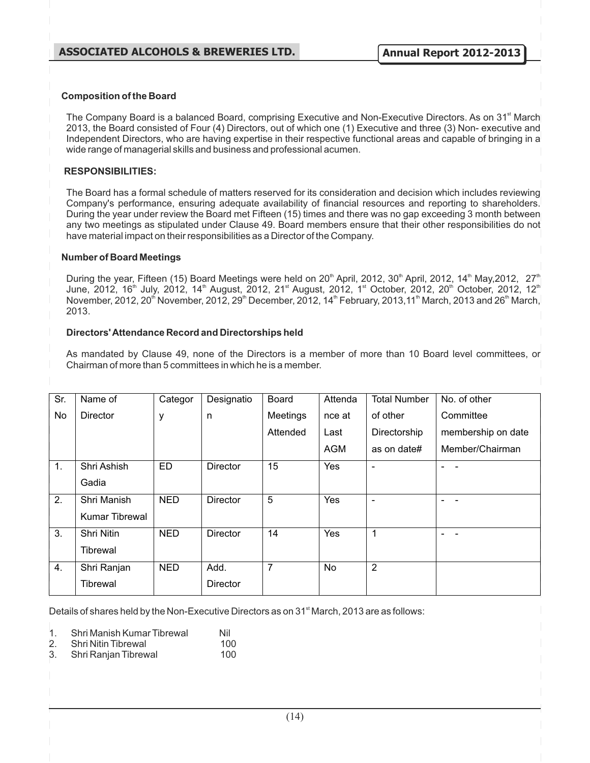#### **Composition of the Board**

The Company Board is a balanced Board, comprising Executive and Non-Executive Directors. As on 31<sup>st</sup> March 2013, the Board consisted of Four (4) Directors, out of which one (1) Executive and three (3) Non- executive and Independent Directors, who are having expertise in their respective functional areas and capable of bringing in  $a^{\dagger}$ wide range of managerial skills and business and professional acumen.

#### **RESPONSIBILITIES:**

The Board has a formal schedule of matters reserved for its consideration and decision which includes reviewing Company's performance, ensuring adequate availability of financial resources and reporting to shareholders. During the year under review the Board met Fifteen (15) times and there was no gap exceeding 3 month between any two meetings as stipulated under Clause 49. Board members ensure that their other responsibilities do not have material impact on their responsibilities as a Director of the Company.

#### **Number of Board Meetings**

During the year, Fifteen (15) Board Meetings were held on 20<sup>th</sup> April, 2012, 30<sup>th</sup> April, 2012, 14<sup>th</sup> May,2012, 27 June, 2012, 16<sup>th</sup> July, 2012, 14<sup>th</sup> August, 2012, 21<sup>st</sup> August, 2012, 1<sup>st</sup> October, 2012, 20<sup>th</sup> October, 2012, 12<sup>th</sup> November, 2012, 20<sup>th</sup> November, 2012, 29<sup>th</sup> December, 2012, 14<sup>th</sup> February, 2013,11<sup>th</sup> March, 2013 and 26<sup>th</sup> March, 2013.

#### **Directors' Attendance Record and Directorships held**

As mandated by Clause 49, none of the Directors is a member of more than 10 Board level committees, or Chairman of more than 5 committees in which he is a member.

| Sr. | Name of         | Categor    | Designatio      | Board          | Attenda    | <b>Total Number</b>      | No. of other       |
|-----|-----------------|------------|-----------------|----------------|------------|--------------------------|--------------------|
| No  | <b>Director</b> | y          | n               | Meetings       | nce at     | of other                 | Committee          |
|     |                 |            |                 | Attended       | Last       | Directorship             | membership on date |
|     |                 |            |                 |                | <b>AGM</b> | as on date#              | Member/Chairman    |
| 1.  | Shri Ashish     | <b>ED</b>  | Director        | 15             | Yes        |                          |                    |
|     | Gadia           |            |                 |                |            |                          |                    |
| 2.  | Shri Manish     | <b>NED</b> | <b>Director</b> | 5              | Yes        | $\overline{\phantom{0}}$ |                    |
|     | Kumar Tibrewal  |            |                 |                |            |                          |                    |
| 3.  | Shri Nitin      | <b>NED</b> | Director        | 14             | Yes        | 1                        |                    |
|     | Tibrewal        |            |                 |                |            |                          |                    |
| 4.  | Shri Ranjan     | <b>NED</b> | Add.            | $\overline{7}$ | No         | $\overline{2}$           |                    |
|     | Tibrewal        |            | Director        |                |            |                          |                    |

Details of shares held by the Non-Executive Directors as on 31<sup>st</sup> March, 2013 are as follows:

1. Shri Manish Kumar Tibrewal Nil

2. Shri Nitin Tibrewal 100

3. Shri Ranjan Tibrewal 100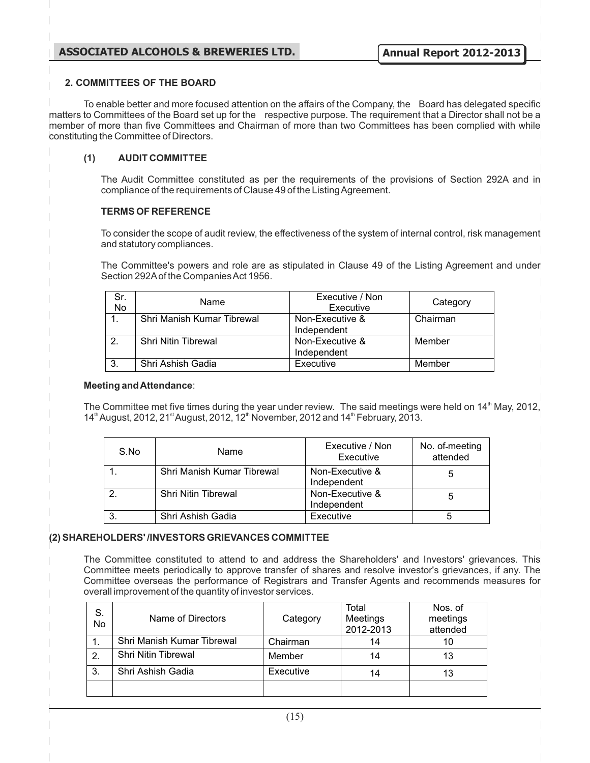#### **2. COMMITTEES OF THE BOARD**

To enable better and more focused attention on the affairs of the Company, the Board has delegated specific matters to Committees of the Board set up for the respective purpose. The requirement that a Director shall not be a member of more than five Committees and Chairman of more than two Committees has been complied with while constituting the Committee of Directors.

#### **(1) AUDIT COMMITTEE**

The Audit Committee constituted as per the requirements of the provisions of Section 292A and in compliance of the requirements of Clause 49 of the Listing Agreement.

#### **TERMS OF REFERENCE**

To consider the scope of audit review, the effectiveness of the system of internal control, risk management and statutory compliances.

The Committee's powers and role are as stipulated in Clause 49 of the Listing Agreement and under Section 292Aof the Companies Act 1956.

| Sr.<br>No | Name                       | Executive / Non<br>Executive   | Category |
|-----------|----------------------------|--------------------------------|----------|
|           | Shri Manish Kumar Tibrewal | Non-Executive &<br>Independent | Chairman |
| 2.        | Shri Nitin Tibrewal        | Non-Executive &<br>Independent | Member   |
| 3.        | Shri Ashish Gadia          | Executive                      | Member   |

#### **Meeting and Attendance**:

The Committee met five times during the year under review. The said meetings were held on 14<sup>th</sup> May, 2012, 14<sup>th</sup> August, 2012, 21<sup>st</sup> August, 2012, 12<sup>th</sup> November, 2012 and 14<sup>th</sup> February, 2013.

| S.No | Name                       | Executive / Non<br>Executive   | No. of meeting<br>attended |
|------|----------------------------|--------------------------------|----------------------------|
|      | Shri Manish Kumar Tibrewal | Non-Executive &<br>Independent |                            |
|      | Shri Nitin Tibrewal        | Non-Executive &<br>Independent |                            |
|      | Shri Ashish Gadia          | Executive                      |                            |
|      |                            |                                |                            |

#### **(2) SHAREHOLDERS' /INVESTORS GRIEVANCES COMMITTEE**

The Committee constituted to attend to and address the Shareholders' and Investors' grievances. This Committee meets periodically to approve transfer of shares and resolve investor's grievances, if any. The Committee overseas the performance of Registrars and Transfer Agents and recommends measures for overall improvement of the quantity of investor services.

| S.<br><b>No</b>  | Name of Directors          | Category  | Total<br>Meetings<br>2012-2013 | Nos. of<br>meetings<br>attended |
|------------------|----------------------------|-----------|--------------------------------|---------------------------------|
|                  | Shri Manish Kumar Tibrewal | Chairman  | 14                             | 10                              |
| $\overline{2}$ . | Shri Nitin Tibrewal        | Member    | 14                             | 13                              |
| 3.               | Shri Ashish Gadia          | Executive | 14                             | 13                              |
|                  |                            |           |                                |                                 |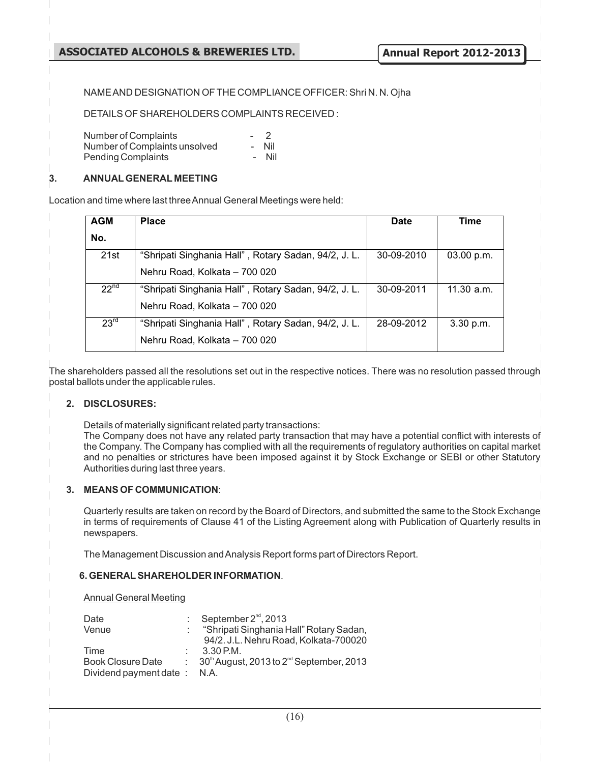NAME AND DESIGNATION OF THE COMPLIANCE OFFICER: Shri N. N. Ojha

DETAILS OF SHAREHOLDERS COMPLAINTS RECEIVED :

Number of Complaints - 2 Number of Complaints unsolved - Nil<br>Pending Complaints - Nil Pending Complaints

#### **3. ANNUALGENERAL MEETING**

 $\overline{a}$ Location and time where last three Annual General Meetings were held:

| <b>AGM</b>       | <b>Place</b>                                         | <b>Date</b> | Time       |
|------------------|------------------------------------------------------|-------------|------------|
| No.              |                                                      |             |            |
| 21st             | "Shripati Singhania Hall", Rotary Sadan, 94/2, J. L. | 30-09-2010  | 03.00 p.m. |
|                  | Nehru Road, Kolkata - 700 020                        |             |            |
| $22^{nd}$        | "Shripati Singhania Hall", Rotary Sadan, 94/2, J. L. | 30-09-2011  | 11.30 a.m. |
|                  | Nehru Road, Kolkata - 700 020                        |             |            |
| 23 <sup>rd</sup> | "Shripati Singhania Hall", Rotary Sadan, 94/2, J. L. | 28-09-2012  | 3.30 p.m.  |
|                  | Nehru Road, Kolkata - 700 020                        |             |            |

The shareholders passed all the resolutions set out in the respective notices. There was no resolution passed through postal ballots under the applicable rules.

#### **2. DISCLOSURES:**

Details of materially significant related party transactions:

The Company does not have any related party transaction that may have a potential conflict with interests of the Company. The Company has complied with all the requirements of regulatory authorities on capital market and no penalties or strictures have been imposed against it by Stock Exchange or SEBI or other Statutory Authorities during last three years.

#### **3. MEANS OF COMMUNICATION**:

Quarterly results are taken on record by the Board of Directors, and submitted the same to the Stock Exchange in terms of requirements of Clause 41 of the Listing Agreement along with Publication of Quarterly results in newspapers.

The Management Discussion and Analysis Report forms part of Directors Report.

#### **6. GENERALSHAREHOLDER INFORMATION**.

Annual General Meeting

| Date                        | : September $2^{nd}$ , 2013                                        |
|-----------------------------|--------------------------------------------------------------------|
| Venue                       | : "Shripati Singhania Hall" Rotary Sadan,                          |
|                             | 94/2. J.L. Nehru Road, Kolkata-700020                              |
| Time                        | 3.30 P.M.                                                          |
| <b>Book Closure Date</b>    | : $30^{\text{th}}$ August, 2013 to $2^{\text{nd}}$ September, 2013 |
| Dividend payment date: N.A. |                                                                    |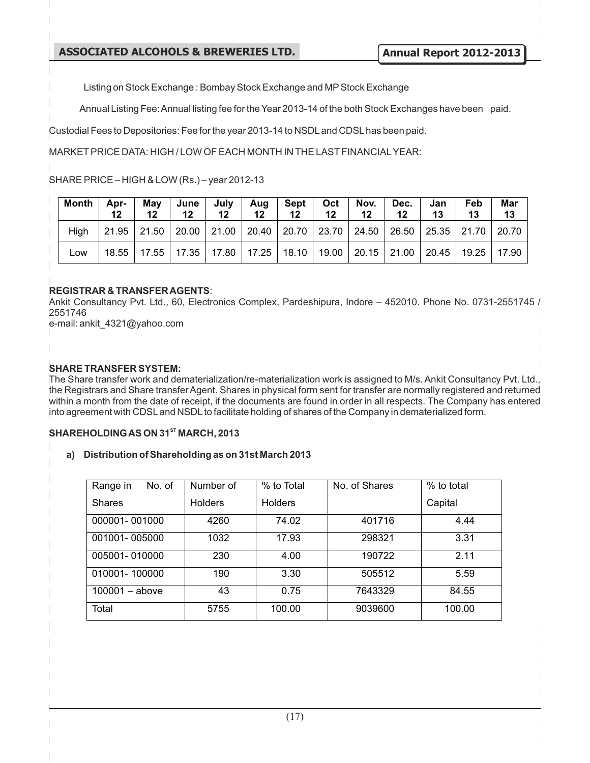Listing on Stock Exchange : Bombay Stock Exchange and MPStock Exchange

Annual Listing Fee: Annual listing fee for the Year 2013-14 of the both Stock Exchanges have been paid.

 $\vert$ Custodial Fees to Depositories: Fee for the year 2013-14 to NSDLand CDSLhas been paid.

MARKETPRICE DATA: HIGH / LOW OF EACH MONTH IN THE LASTFINANCIALYEAR:

#### SHARE PRICE – HIGH & LOW (Rs.) – year 2012-13

| Month | Apr-<br>12 | May<br>12                                                                                     | June<br>12 | July<br>12 | Aug<br>12 | Sept  <br>12 | Oct<br>$12 \,$ | Nov. I<br>12 | Dec.<br>12 | Jan<br>13 | Feb<br>13       | Mar<br>13 |
|-------|------------|-----------------------------------------------------------------------------------------------|------------|------------|-----------|--------------|----------------|--------------|------------|-----------|-----------------|-----------|
| Hiah  |            | 21.95   21.50   20.00   21.00   20.40   20.70   23.70   24.50   26.50   25.35   21.70   20.70 |            |            |           |              |                |              |            |           |                 |           |
| Low   |            | 18.55   17.55   17.35   17.80   17.25   18.10   19.00   20.15   21.00                         |            |            |           |              |                |              |            | 20.45     | $19.25$   17.90 |           |

#### **REGISTRAR & TRANSFER AGENTS**:

Ankit Consultancy Pvt. Ltd., 60, Electronics Complex, Pardeshipura, Indore – 452010. Phone No. 0731-2551745 / 2551746

e-mail: ankit\_4321@yahoo.com

#### **SHARE TRANSFER SYSTEM:**

The Share transfer work and dematerialization/re-materialization work is assigned to M/s. Ankit Consultancy Pvt. Ltd., the Registrars and Share transfer Agent. Shares in physical form sent for transfer are normally registered and returned within a month from the date of receipt, if the documents are found in order in all respects. The Company has entered into agreement with CDSL and NSDL to facilitate holding of shares of the Company in dematerialized form.

#### **ST SHAREHOLDING AS ON 31 MARCH, 2013**

**a) Distribution of Shareholding as on 31st March 2013**

| Range in<br>No. of | Number of      | % to Total     | No. of Shares | % to total |
|--------------------|----------------|----------------|---------------|------------|
| <b>Shares</b>      | <b>Holders</b> | <b>Holders</b> |               | Capital    |
| 000001-001000      | 4260           | 74.02          | 401716        | 4.44       |
| 001001-005000      | 1032           | 17.93          | 298321        | 3.31       |
| 005001-010000      | 230            | 4.00           | 190722        | 2.11       |
| 010001-100000      | 190            | 3.30           | 505512        | 5.59       |
| $100001 - above$   | 43             | 0.75           | 7643329       | 84.55      |
| Total              | 5755           | 100.00         | 9039600       | 100.00     |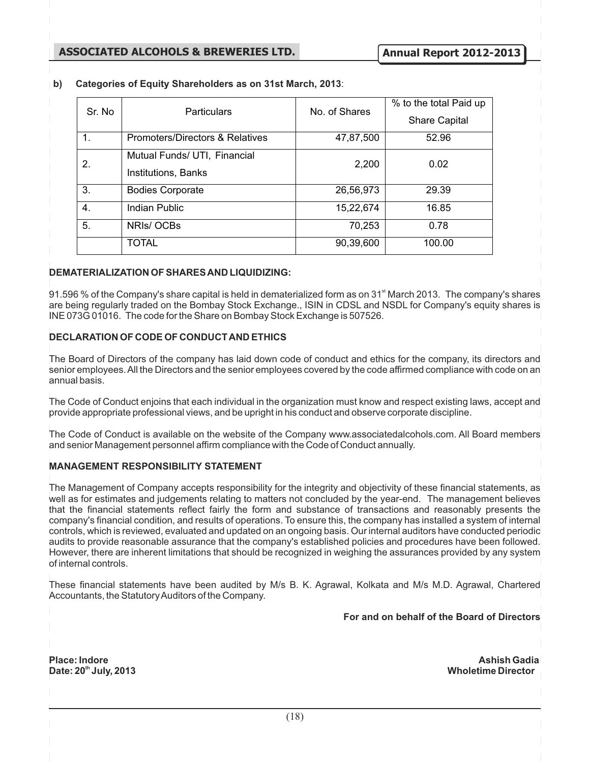| Sr. No | <b>Particulars</b>                                  | No. of Shares | % to the total Paid up |
|--------|-----------------------------------------------------|---------------|------------------------|
|        |                                                     |               | <b>Share Capital</b>   |
| 1.     | Promoters/Directors & Relatives                     | 47,87,500     | 52.96                  |
| 2.     | Mutual Funds/ UTI, Financial<br>Institutions, Banks | 2,200         | 0.02                   |
| 3.     | <b>Bodies Corporate</b>                             | 26,56,973     | 29.39                  |
| 4.     | <b>Indian Public</b>                                | 15,22,674     | 16.85                  |
| 5.     | NRIs/OCBs                                           | 70,253        | 0.78                   |
|        | <b>TOTAL</b>                                        | 90,39,600     | 100.00                 |

#### **b) Categories of Equity Shareholders as on 31st March, 2013**:

#### **DEMATERIALIZATION OF SHARES AND LIQUIDIZING:**

 $91.596$  % of the Company's share capital is held in dematerialized form as on 31<sup><sup>st</sup> March 2013. The company's shares</sup> are being regularly traded on the Bombay Stock Exchange., ISIN in CDSL and NSDL for Company's equity shares is INE 073G 01016. The code for the Share on Bombay Stock Exchange is 507526.

#### **DECLARATION OF CODE OF CONDUCT AND ETHICS**

The Board of Directors of the company has laid down code of conduct and ethics for the company, its directors and senior employees. All the Directors and the senior employees covered by the code affirmed compliance with code on an annual basis.

The Code of Conduct enjoins that each individual in the organization must know and respect existing laws, accept and provide appropriate professional views, and be upright in his conduct and observe corporate discipline.

The Code of Conduct is available on the website of the Company www.associatedalcohols.com. All Board members and senior Management personnel affirm compliance with the Code of Conduct annually.

#### **MANAGEMENT RESPONSIBILITY STATEMENT**

The Management of Company accepts responsibility for the integrity and objectivity of these financial statements, as well as for estimates and judgements relating to matters not concluded by the year-end. The management believes that the financial statements reflect fairly the form and substance of transactions and reasonably presents the company's financial condition, and results of operations. To ensure this, the company has installed a system of internal controls, which is reviewed, evaluated and updated on an ongoing basis. Our internal auditors have conducted periodic audits to provide reasonable assurance that the company's established policies and procedures have been followed. However, there are inherent limitations that should be recognized in weighing the assurances provided by any system of internal controls.

These financial statements have been audited by M/s B. K. Agrawal, Kolkata and M/s M.D. Agrawal, Chartered Accountants, the Statutory Auditors of the Company.

**For and on behalf of the Board of Directors**

**th Date: 20 July, 2013 Wholetime Director**

Place: Indore **Ashish Gadia** Ashish Gadia Ashish Gadia Ashish Gadia Ashish Gadia Ashish Gadia Ashish Gadia Ashish Gadia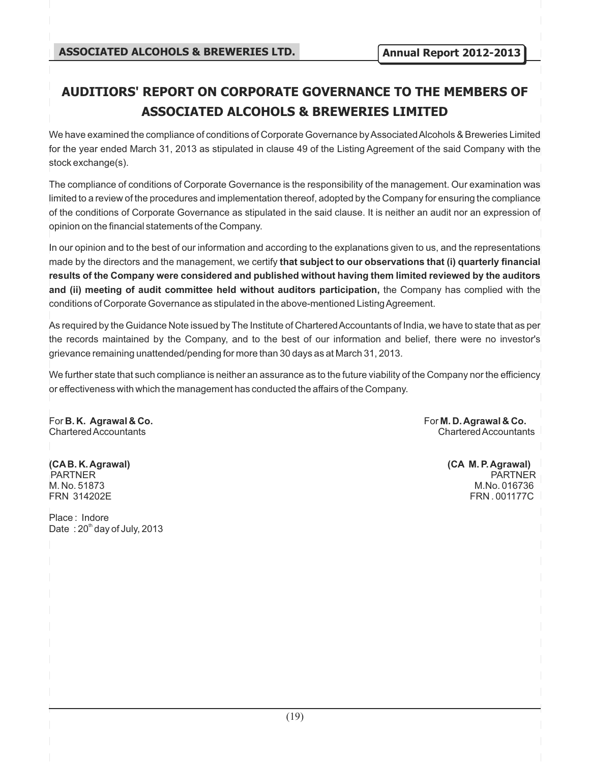## **AUDITIORS' REPORT ON CORPORATE GOVERNANCE TO THE MEMBERS OF ASSOCIATED ALCOHOLS & BREWERIES LIMITED**

We have examined the compliance of conditions of Corporate Governance by Associated Alcohols & Breweries Limited for the year ended March 31, 2013 as stipulated in clause 49 of the Listing Agreement of the said Company with the stock exchange(s).

The compliance of conditions of Corporate Governance is the responsibility of the management. Our examination was limited to a review of the procedures and implementation thereof, adopted by the Company for ensuring the compliance of the conditions of Corporate Governance as stipulated in the said clause. It is neither an audit nor an expression of opinion on the financial statements of the Company.

In our opinion and to the best of our information and according to the explanations given to us, and the representations made by the directors and the management, we certify **that subject to our observations that (i) quarterly financial results of the Company were considered and published without having them limited reviewed by the auditors and (ii) meeting of audit committee held without auditors participation,** the Company has complied with the conditions of Corporate Governance as stipulated in the above-mentioned Listing Agreement.

As required by the Guidance Note issued by The Institute of Chartered Accountants of India, we have to state that as per the records maintained by the Company, and to the best of our information and belief, there were no investor's grievance remaining unattended/pending for more than 30 days as at March 31, 2013.

We further state that such compliance is neither an assurance as to the future viability of the Company nor the efficiency or effectiveness with which the management has conducted the affairs of the Company.

For **B. K. Agrawal & Co.** For **M. D. Agrawal & Co.**

Chartered Accountants Chartered Accountants

**(CAB. K. Agrawal) (CA M. P. Agrawal)** M. No. 51873 M.No. 016736

Place : Indore Date  $: 20<sup>th</sup>$  day of July, 2013

PARTNER PARTNER FRN 314202E FRN . 001177C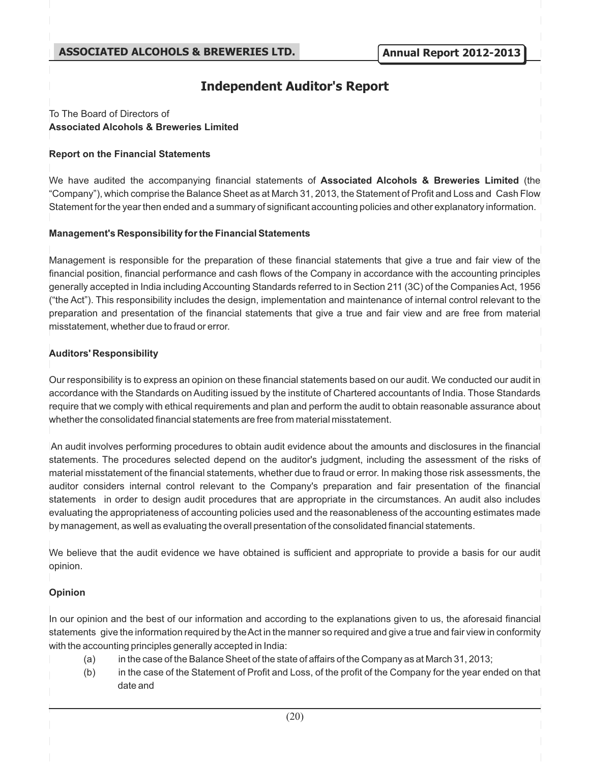## **Independent Auditor's Report**

#### To The Board of Directors of **Associated Alcohols & Breweries Limited**

#### **Report on the Financial Statements**

We have audited the accompanying financial statements of **Associated Alcohols & Breweries Limited** (the "Company"), which comprise the Balance Sheet as at March 31, 2013, the Statement of Profit and Loss and Cash Flow Statement for the year then ended and a summary of significant accounting policies and other explanatory information.

#### **Management's Responsibility for the Financial Statements**

Management is responsible for the preparation of these financial statements that give a true and fair view of the financial position, financial performance and cash flows of the Company in accordance with the accounting principles generally accepted in India including Accounting Standards referred to in Section 211 (3C) of the Companies Act, 1956 ("the Act"). This responsibility includes the design, implementation and maintenance of internal control relevant to the preparation and presentation of the financial statements that give a true and fair view and are free from material misstatement, whether due to fraud or error.

### **Auditors' Responsibility**

Our responsibility is to express an opinion on these financial statements based on our audit. We conducted our audit in accordance with the Standards on Auditing issued by the institute of Chartered accountants of India. Those Standards require that we comply with ethical requirements and plan and perform the audit to obtain reasonable assurance about whether the consolidated financial statements are free from material misstatement.

An audit involves performing procedures to obtain audit evidence about the amounts and disclosures in the financial statements. The procedures selected depend on the auditor's judgment, including the assessment of the risks of material misstatement of the financial statements, whether due to fraud or error. In making those risk assessments, the auditor considers internal control relevant to the Company's preparation and fair presentation of the financial statements in order to design audit procedures that are appropriate in the circumstances. An audit also includes evaluating the appropriateness of accounting policies used and the reasonableness of the accounting estimates made by management, as well as evaluating the overall presentation of the consolidated financial statements.

We believe that the audit evidence we have obtained is sufficient and appropriate to provide a basis for our audit opinion.

#### **Opinion**

In our opinion and the best of our information and according to the explanations given to us, the aforesaid financial statements give the information required by the Act in the manner so required and give a true and fair view in conformity with the accounting principles generally accepted in India:

- (a) in the case of the Balance Sheet of the state of affairs of the Company as at March 31, 2013;
- (b) in the case of the Statement of Profit and Loss, of the profit of the Company for the year ended on that date and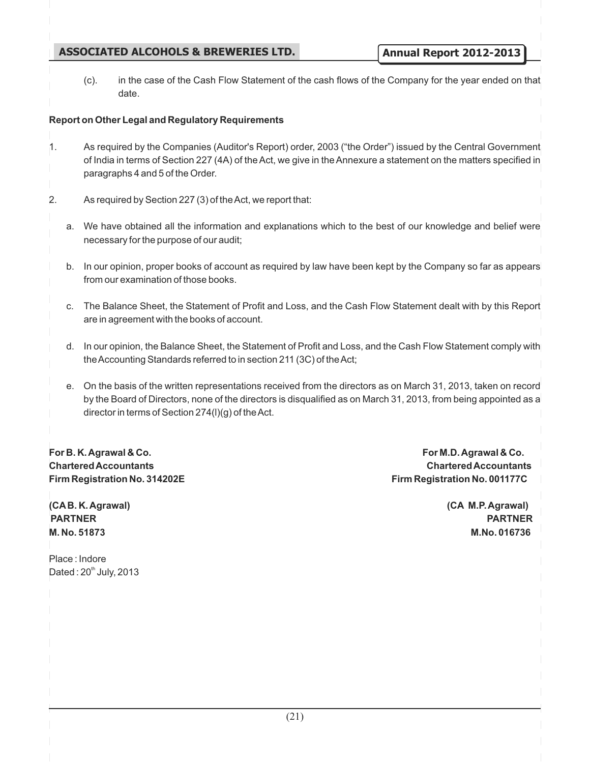(c). in the case of the Cash Flow Statement of the cash flows of the Company for the year ended on that date.

#### **Report on Other Legal and Regulatory Requirements**

- 1. As required by the Companies (Auditor's Report) order, 2003 ("the Order") issued by the Central Government of India in terms of Section 227 (4A) of the Act, we give in the Annexure a statement on the matters specified in paragraphs 4 and 5 of the Order.
- 2. As required by Section 227 (3) of the Act, we report that:
	- a. We have obtained all the information and explanations which to the best of our knowledge and belief were necessary for the purpose of our audit;
	- b. In our opinion, proper books of account as required by law have been kept by the Company so far as appears from our examination of those books.
	- c. The Balance Sheet, the Statement of Profit and Loss, and the Cash Flow Statement dealt with by this Report are in agreement with the books of account.
	- d. In our opinion, the Balance Sheet, the Statement of Profit and Loss, and the Cash Flow Statement comply with the Accounting Standards referred to in section 211 (3C) of the Act;
	- e. On the basis of the written representations received from the directors as on March 31, 2013, taken on record by the Board of Directors, none of the directors is disqualified as on March 31, 2013, from being appointed as a director in terms of Section 274(l)(g) of the Act.

**For B. K. Agrawal & Co. For M.D. Agrawal & Co. Firm Registration No. 314202E Firm Registration No. 001177C**

Place : Indore Dated:  $20<sup>th</sup>$  July, 2013

**Chartered Accountants Chartered Accountants**

**(CAB. K. Agrawal) (CA M.P. Agrawal) PARTNER PARTNER M. No. 51873 M.No. 016736**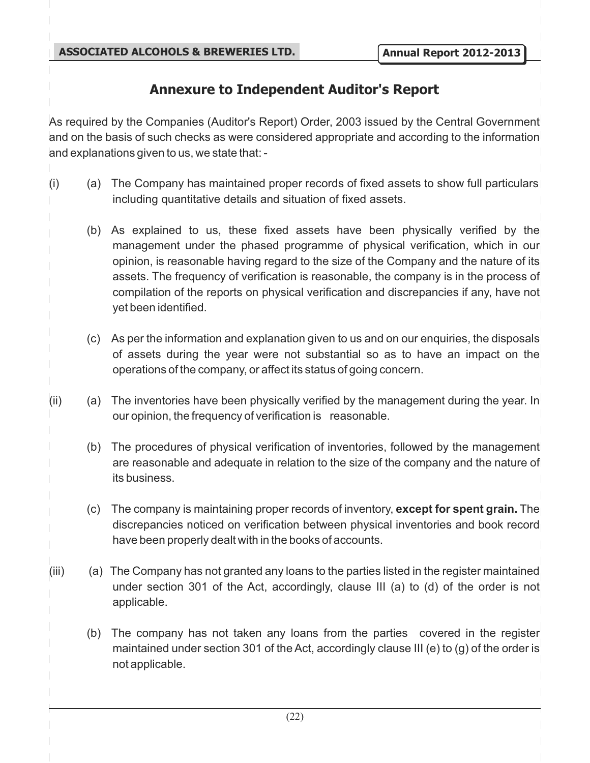## **Annexure to Independent Auditor's Report**

As required by the Companies (Auditor's Report) Order, 2003 issued by the Central Government and on the basis of such checks as were considered appropriate and according to the information and explanations given to us, we state that: -

- $(i)$  (a) The Company has maintained proper records of fixed assets to show full particulars including quantitative details and situation of fixed assets.
	- (b) As explained to us, these fixed assets have been physically verified by the management under the phased programme of physical verification, which in our opinion, is reasonable having regard to the size of the Company and the nature of its assets. The frequency of verification is reasonable, the company is in the process of compilation of the reports on physical verification and discrepancies if any, have not yet been identified.
	- (c) As per the information and explanation given to us and on our enquiries, the disposals of assets during the year were not substantial so as to have an impact on the operations of the company, or affect its status of going concern.
- (ii) (a) The inventories have been physically verified by the management during the year. In our opinion, the frequency of verification is reasonable.
	- (b) The procedures of physical verification of inventories, followed by the management are reasonable and adequate in relation to the size of the company and the nature of its business.
	- (c) The company is maintaining proper records of inventory, **except for spent grain.** The discrepancies noticed on verification between physical inventories and book record have been properly dealt with in the books of accounts.
- (iii) (a) The Company has not granted any loans to the parties listed in the register maintained under section 301 of the Act, accordingly, clause III (a) to (d) of the order is not applicable.
	- (b) The company has not taken any loans from the parties covered in the register maintained under section 301 of the Act, accordingly clause III (e) to (g) of the order is not applicable.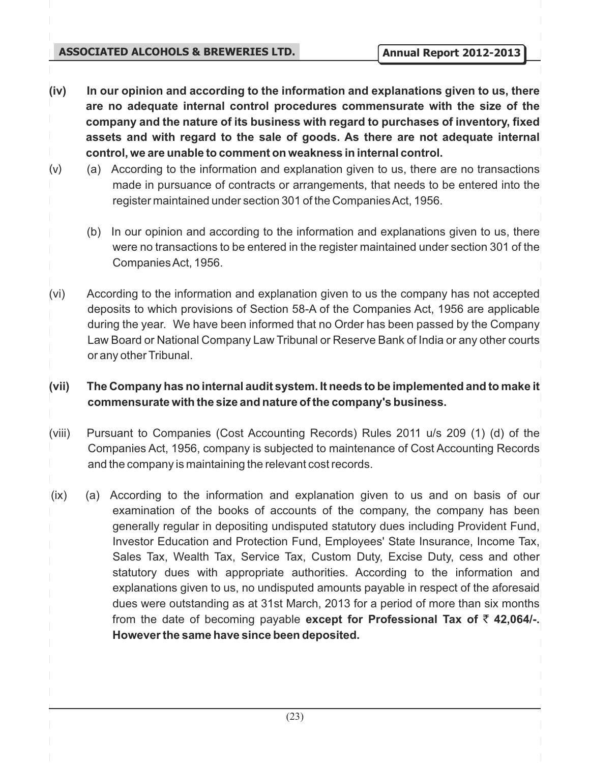- (iv) In our opinion and according to the information and explanations given to us, there **are no adequate internal control procedures commensurate with the size of the company and the nature of its business with regard to purchases of inventory, fixed assets and with regard to the sale of goods. As there are not adequate internal control, we are unable to comment on weakness in internal control.**
- $(v)$  (a) According to the information and explanation given to us, there are no transactions made in pursuance of contracts or arrangements, that needs to be entered into the register maintained under section 301 of the Companies Act, 1956.
	- (b) In our opinion and according to the information and explanations given to us, there were no transactions to be entered in the register maintained under section 301 of the Companies Act, 1956.
- (vi) According to the information and explanation given to us the company has not accepted deposits to which provisions of Section 58-A of the Companies Act, 1956 are applicable during the year. We have been informed that no Order has been passed by the Company Law Board or National Company Law Tribunal or Reserve Bank of India or any other courts or any other Tribunal.
- **(vii) The Company has no internal audit system. It needs to be implemented and to make it commensurate with the size and nature of the company's business.**
- (viii) Pursuant to Companies (Cost Accounting Records) Rules 2011 u/s 209 (1) (d) of the Companies Act, 1956, company is subjected to maintenance of Cost Accounting Records and the company is maintaining the relevant cost records.
- $\vert$ (ix) (a) According to the information and explanation given to us and on basis of our examination of the books of accounts of the company, the company has been generally regular in depositing undisputed statutory dues including Provident Fund, Investor Education and Protection Fund, Employees' State Insurance, Income Tax, Sales Tax, Wealth Tax, Service Tax, Custom Duty, Excise Duty, cess and other statutory dues with appropriate authorities. According to the information and explanations given to us, no undisputed amounts payable in respect of the aforesaid dues were outstanding as at 31st March, 2013 for a period of more than six months from the date of becoming payable except for Professional Tax of ₹ 42,064/-. **However the same have since been deposited.**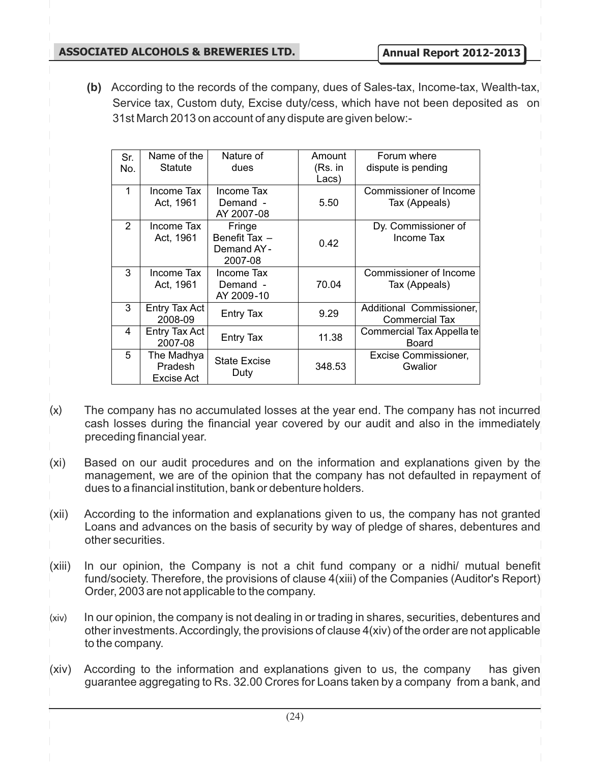**(b)** According to the records of the company, dues of Sales-tax, Income-tax, Wealth-tax, Service tax, Custom duty, Excise duty/cess, which have not been deposited as on 31st March 2013 on account of any dispute are given below:-

| Sr.<br>No. | Name of the<br>Statute                     | Nature of<br>dues                                | Amount<br>(Rs. in<br>Lacs) | Forum where<br>dispute is pending                 |
|------------|--------------------------------------------|--------------------------------------------------|----------------------------|---------------------------------------------------|
| 1          | Income Tax<br>Act, 1961                    | Income Tax<br>Demand -<br>AY 2007-08             | 5.50                       | Commissioner of Income<br>Tax (Appeals)           |
| 2          | Income Tax<br>Act, 1961                    | Fringe<br>Benefit Tax -<br>Demand AY-<br>2007-08 | 0.42                       | Dy. Commissioner of<br>Income Tax                 |
| 3          | Income Tax<br>Act, 1961                    | Income Tax<br>Demand -<br>AY 2009-10             | 70.04                      | Commissioner of Income<br>Tax (Appeals)           |
| 3          | Entry Tax Act<br>2008-09                   | <b>Entry Tax</b>                                 | 9.29                       | Additional Commissioner,<br><b>Commercial Tax</b> |
| 4          | Entry Tax Act<br>2007-08                   | <b>Entry Tax</b>                                 | 11.38                      | Commercial Tax Appella te<br><b>Board</b>         |
| 5          | The Madhya<br><b>Pradesh</b><br>Excise Act | <b>State Excise</b><br>Duty                      | 348.53                     | Excise Commissioner,<br>Gwalior                   |

 $(x)$  The company has no accumulated losses at the year end. The company has not incurred cash losses during the financial year covered by our audit and also in the immediately preceding financial year.

 $(xi)$  Based on our audit procedures and on the information and explanations given by the management, we are of the opinion that the company has not defaulted in repayment of dues to a financial institution, bank or debenture holders.

 $(xii)$  According to the information and explanations given to us, the company has not granted Loans and advances on the basis of security by way of pledge of shares, debentures and other securities.

(xiii) In our opinion, the Company is not a chit fund company or a nidhi/ mutual benefit fund/society. Therefore, the provisions of clause 4(xiii) of the Companies (Auditor's Report) Order, 2003 are not applicable to the company.

(xiv) In our opinion, the company is not dealing in or trading in shares, securities, debentures and other investments. Accordingly, the provisions of clause 4(xiv) of the order are not applicable to the company.

(xiv) According to the information and explanations given to us, the company has given guarantee aggregating to Rs. 32.00 Crores for Loans taken by a company from a bank, and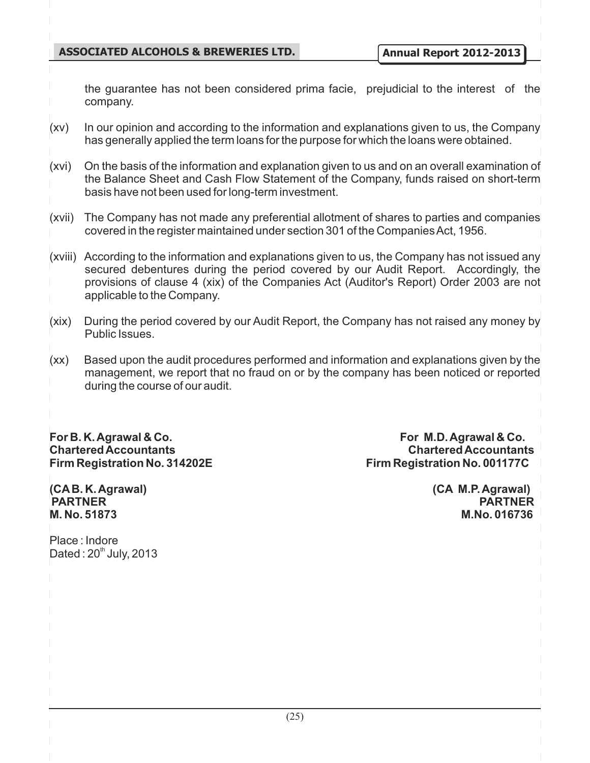- the guarantee has not been considered prima facie, prejudicial to the interest of the company.
- (xv) In our opinion and according to the information and explanations given to us, the Company has generally applied the term loans for the purpose for which the loans were obtained.
- (xvi) On the basis of the information and explanation given to us and on an overall examination of the Balance Sheet and Cash Flow Statement of the Company, funds raised on short-term basis have not been used for long-term investment.
- (xvii) The Company has not made any preferential allotment of shares to parties and companies covered in the register maintained under section 301 of the Companies Act, 1956.
- (xviii) According to the information and explanations given to us, the Company has not issued any secured debentures during the period covered by our Audit Report. Accordingly, the provisions of clause 4 (xix) of the Companies Act (Auditor's Report) Order 2003 are not applicable to the Company.
- (xix) During the period covered by our Audit Report, the Company has not raised any money by Public Issues.
- $(xx)$  Based upon the audit procedures performed and information and explanations given by the management, we report that no fraud on or by the company has been noticed or reported during the course of our audit.

**For B. K. Agrawal & Co. For M.D. Agrawal & Co. Firm Registration No. 314202E Firm Registration No. 001177C**

**(CAB. K. Agrawal) (CA M.P. Agrawal)**

Place : Indore Dated :  $20<sup>th</sup>$  July, 2013

**Chartered Accountants Chartered Accountants**

**PARTNER PARTNER M. No. 51873 M.No. 016736**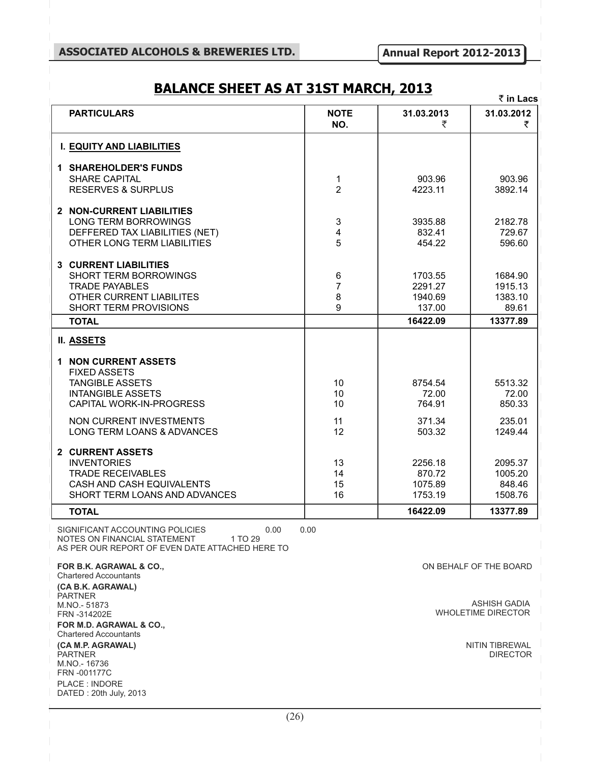## **BALANCE SHEET AS AT 31ST MARCH, 2013**

|                                                                                                                                                   |                               |                                         | ₹ in Lacs                               |
|---------------------------------------------------------------------------------------------------------------------------------------------------|-------------------------------|-----------------------------------------|-----------------------------------------|
| <b>PARTICULARS</b>                                                                                                                                | <b>NOTE</b><br>NO.            | 31.03.2013<br>₹                         | 31.03.2012<br>₹                         |
| <b>I. EQUITY AND LIABILITIES</b>                                                                                                                  |                               |                                         |                                         |
| <b>1 SHAREHOLDER'S FUNDS</b><br><b>SHARE CAPITAL</b><br><b>RESERVES &amp; SURPLUS</b>                                                             | 1<br>$\overline{2}$           | 903.96<br>4223.11                       | 903.96<br>3892.14                       |
| 2 NON-CURRENT LIABILITIES<br><b>LONG TERM BORROWINGS</b><br>DEFFERED TAX LIABILITIES (NET)<br>OTHER LONG TERM LIABILITIES                         | 3<br>$\overline{4}$<br>5      | 3935.88<br>832.41<br>454.22             | 2182.78<br>729.67<br>596.60             |
| <b>3 CURRENT LIABILITIES</b><br>SHORT TERM BORROWINGS<br><b>TRADE PAYABLES</b><br><b>OTHER CURRENT LIABILITES</b><br><b>SHORT TERM PROVISIONS</b> | 6<br>$\overline{7}$<br>8<br>9 | 1703.55<br>2291.27<br>1940.69<br>137.00 | 1684.90<br>1915.13<br>1383.10<br>89.61  |
| <b>TOTAL</b>                                                                                                                                      |                               | 16422.09                                | 13377.89                                |
| <b>II. ASSETS</b>                                                                                                                                 |                               |                                         |                                         |
| <b>1 NON CURRENT ASSETS</b><br><b>FIXED ASSETS</b><br><b>TANGIBLE ASSETS</b><br><b>INTANGIBLE ASSETS</b><br><b>CAPITAL WORK-IN-PROGRESS</b>       | 10<br>10<br>10                | 8754.54<br>72.00<br>764.91              | 5513.32<br>72.00<br>850.33              |
| NON CURRENT INVESTMENTS<br>LONG TERM LOANS & ADVANCES                                                                                             | 11<br>12                      | 371.34<br>503.32                        | 235.01<br>1249.44                       |
| 2 CURRENT ASSETS<br><b>INVENTORIES</b><br><b>TRADE RECEIVABLES</b><br>CASH AND CASH EQUIVALENTS<br>SHORT TERM LOANS AND ADVANCES                  | 13<br>14<br>15<br>16          | 2256.18<br>870.72<br>1075.89<br>1753.19 | 2095.37<br>1005.20<br>848.46<br>1508.76 |
| <b>TOTAL</b>                                                                                                                                      |                               | 16422.09                                | 13377.89                                |
| SIGNIFICANT ACCOUNTING POLICIES<br>0.00<br>1 TO 29<br>NOTES ON FINANCIAL STATEMENT<br>AS PER OUR REPORT OF EVEN DATE ATTACHED HERE TO             | 0.00                          |                                         |                                         |

**FOR B.K. AGRAWAL & CO.,** ON BEHALF OF THE BOARD

Chartered Accountants **(CA B.K. AGRAWAL) PARTNER** M.NO.- 51873 FRN -314202E **FOR M.D. AGRAWAL & CO.,** Chartered Accountants

 $\overline{1}$ 

PARTNER DIRECTOR CONTROL DESCRIPTION OF THE CONTROL OF THE CONTROL OF THE CONTROL OF THE CONTROL OF THE CONTROL OF THE CONTROL OF THE CONTROL OF THE CONTROL OF THE CONTROL OF THE CONTROL OF THE CONTROL OF THE CONTROL OF TH M.NO.- 16736 FRN -001177C PLACE : INDORE DATED : 20th July, 2013

ASHISH GADIA WHOLETIME DIRECTOR

**(CA M.P. AGRAWAL)** NITIN TIBREWAL

 $\overline{\phantom{a}}$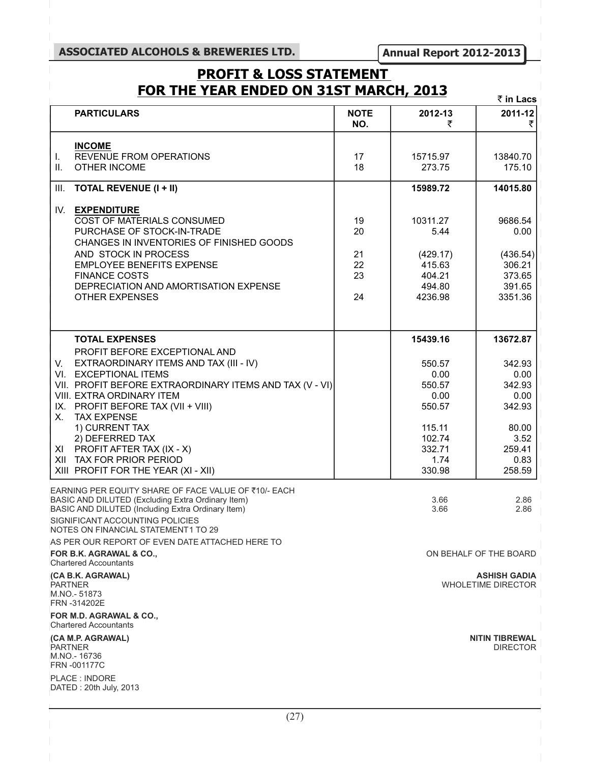## **PROFIT & LOSS STATEMENT FOR THE YEAR ENDED ON 31ST MARCH, 2013**

|                |                                                                                                                  |                    |                  | ₹ in Lacs                 |
|----------------|------------------------------------------------------------------------------------------------------------------|--------------------|------------------|---------------------------|
|                | <b>PARTICULARS</b>                                                                                               | <b>NOTE</b><br>NO. | 2012-13<br>₹     | 2011-12                   |
|                | <b>INCOME</b>                                                                                                    |                    |                  |                           |
| $\mathbf{L}$   | <b>REVENUE FROM OPERATIONS</b>                                                                                   | 17                 | 15715.97         | 13840.70                  |
| II.            | <b>OTHER INCOME</b>                                                                                              | 18                 | 273.75           | 175.10                    |
| III.           | <b>TOTAL REVENUE (I + II)</b>                                                                                    |                    | 15989.72         | 14015.80                  |
| IV.            | <b>EXPENDITURE</b>                                                                                               |                    |                  |                           |
|                | COST OF MATERIALS CONSUMED<br>PURCHASE OF STOCK-IN-TRADE                                                         | 19<br>20           | 10311.27<br>5.44 | 9686.54<br>0.00           |
|                | CHANGES IN INVENTORIES OF FINISHED GOODS                                                                         |                    |                  |                           |
|                | AND STOCK IN PROCESS                                                                                             | 21                 | (429.17)         | (436.54)                  |
|                | <b>EMPLOYEE BENEFITS EXPENSE</b>                                                                                 | 22                 | 415.63           | 306.21                    |
|                | <b>FINANCE COSTS</b>                                                                                             | 23                 | 404.21           | 373.65                    |
|                | DEPRECIATION AND AMORTISATION EXPENSE                                                                            |                    | 494.80           | 391.65                    |
|                | <b>OTHER EXPENSES</b>                                                                                            | 24                 | 4236.98          | 3351.36                   |
|                | <b>TOTAL EXPENSES</b>                                                                                            |                    | 15439.16         | 13672.87                  |
|                | PROFIT BEFORE EXCEPTIONAL AND                                                                                    |                    |                  |                           |
| V.             | EXTRAORDINARY ITEMS AND TAX (III - IV)                                                                           |                    | 550.57           | 342.93                    |
|                | VI. EXCEPTIONAL ITEMS                                                                                            |                    | 0.00             | 0.00                      |
|                | VII. PROFIT BEFORE EXTRAORDINARY ITEMS AND TAX (V - VI)                                                          |                    | 550.57           | 342.93                    |
|                | VIII. EXTRA ORDINARY ITEM                                                                                        |                    | 0.00             | 0.00<br>342.93            |
| X.             | IX. PROFIT BEFORE TAX (VII + VIII)<br><b>TAX EXPENSE</b>                                                         |                    | 550.57           |                           |
|                | 1) CURRENT TAX                                                                                                   |                    | 115.11           | 80.00                     |
|                | 2) DEFERRED TAX                                                                                                  |                    | 102.74           | 3.52                      |
|                | XI PROFIT AFTER TAX (IX - X)                                                                                     |                    | 332.71           | 259.41                    |
|                | XII TAX FOR PRIOR PERIOD<br>XIII PROFIT FOR THE YEAR (XI - XII)                                                  |                    | 1.74<br>330.98   | 0.83<br>258.59            |
|                |                                                                                                                  |                    |                  |                           |
|                | <b>EARNING PER EQUITY SHARE OF FACE VALUE OF ₹10/- EACH</b><br>BASIC AND DILUTED (Excluding Extra Ordinary Item) |                    | 3.66             | 2.86                      |
|                | BASIC AND DILUTED (Including Extra Ordinary Item)                                                                |                    | 3.66             | 2.86                      |
|                | SIGNIFICANT ACCOUNTING POLICIES<br>NOTES ON FINANCIAL STATEMENT1 TO 29                                           |                    |                  |                           |
|                | JAS PER OUR REPORT OF EVEN DATE ATTACHED HERE TO                                                                 |                    |                  |                           |
|                | FOR B.K. AGRAWAL & CO.,<br>Chartered Accountants                                                                 |                    |                  | ON BEHALF OF THE BOARD    |
|                | (CA B.K. AGRAWAL)                                                                                                |                    |                  | <b>ASHISH GADIA</b>       |
| <b>PARTNER</b> | M.NO.-51873<br>FRN -314202E                                                                                      |                    |                  | <b>WHOLETIME DIRECTOR</b> |
|                | FOR M.D. AGRAWAL & CO.,<br>Chartered Accountants                                                                 |                    |                  |                           |
|                | (CA M.P. AGRAWAL)                                                                                                |                    |                  | <b>NITIN TIBREWAL</b>     |
| PARTNER        | M.NO.- 16736<br>FRN -001177C                                                                                     |                    |                  | <b>DIRECTOR</b>           |
|                | <b>PLACE: INDORE</b>                                                                                             |                    |                  |                           |
|                | DATED: 20th July, 2013                                                                                           |                    |                  |                           |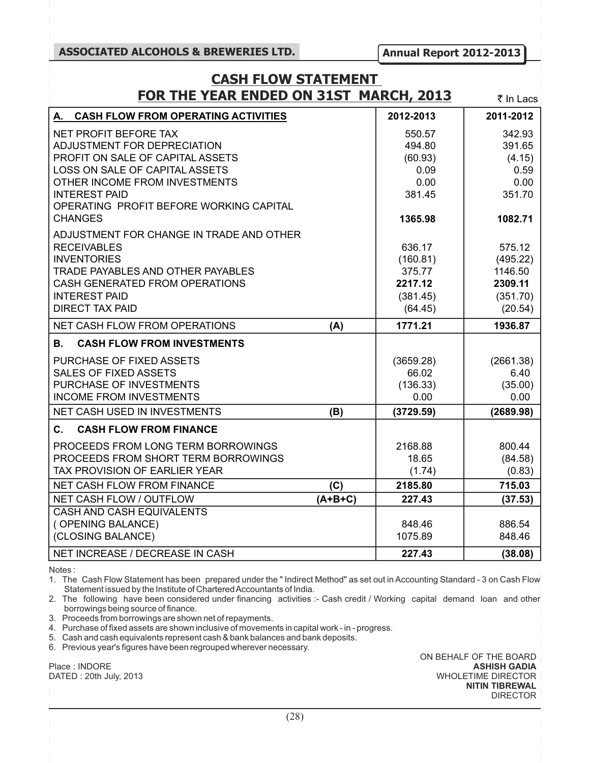| <b>CASH FLOW STATEMENT</b>             |           |
|----------------------------------------|-----------|
| FOR THE YEAR ENDED ON 31ST MARCH, 2013 | ₹ In Lacs |
| AU FRAU ARFRITIUA I ATILIERA           | AAJJ AAJA |

| <b>CASH FLOW FROM OPERATING ACTIVITIES</b><br>А.                |           | 2012-2013          | 2011-2012          |
|-----------------------------------------------------------------|-----------|--------------------|--------------------|
| NET PROFIT BEFORE TAX                                           |           | 550.57             | 342.93             |
| ADJUSTMENT FOR DEPRECIATION                                     |           | 494.80             | 391.65             |
| PROFIT ON SALE OF CAPITAL ASSETS                                |           | (60.93)            | (4.15)             |
| LOSS ON SALE OF CAPITAL ASSETS                                  |           | 0.09               | 0.59               |
| OTHER INCOME FROM INVESTMENTS                                   |           | 0.00               | 0.00               |
| <b>INTEREST PAID</b><br>OPERATING PROFIT BEFORE WORKING CAPITAL |           | 381.45             | 351.70             |
| <b>CHANGES</b>                                                  |           | 1365.98            | 1082.71            |
|                                                                 |           |                    |                    |
| ADJUSTMENT FOR CHANGE IN TRADE AND OTHER                        |           |                    |                    |
| <b>RECEIVABLES</b><br><b>INVENTORIES</b>                        |           | 636.17<br>(160.81) | 575.12<br>(495.22) |
| TRADE PAYABLES AND OTHER PAYABLES                               |           | 375.77             | 1146.50            |
| CASH GENERATED FROM OPERATIONS                                  |           | 2217.12            | 2309.11            |
| <b>INTEREST PAID</b>                                            |           | (381.45)           | (351.70)           |
| <b>DIRECT TAX PAID</b>                                          |           | (64.45)            | (20.54)            |
| <b>NET CASH FLOW FROM OPERATIONS</b>                            | (A)       | 1771.21            | 1936.87            |
| <b>CASH FLOW FROM INVESTMENTS</b><br>В.                         |           |                    |                    |
|                                                                 |           |                    |                    |
|                                                                 |           |                    |                    |
| PURCHASE OF FIXED ASSETS<br><b>SALES OF FIXED ASSETS</b>        |           | (3659.28)<br>66.02 | (2661.38)<br>6.40  |
| PURCHASE OF INVESTMENTS                                         |           | (136.33)           | (35.00)            |
| <b>INCOME FROM INVESTMENTS</b>                                  |           | 0.00               | 0.00               |
| NET CASH USED IN INVESTMENTS                                    | (B)       | (3729.59)          | (2689.98)          |
| $\mathbf{C}$<br><b>CASH FLOW FROM FINANCE</b>                   |           |                    |                    |
| PROCEEDS FROM LONG TERM BORROWINGS                              |           | 2168.88            | 800.44             |
| PROCEEDS FROM SHORT TERM BORROWINGS                             |           | 18.65              | (84.58)            |
| TAX PROVISION OF EARLIER YEAR                                   |           | (1.74)             | (0.83)             |
| <b>NET CASH FLOW FROM FINANCE</b>                               | (C)       | 2185.80            | 715.03             |
| NET CASH FLOW / OUTFLOW                                         | $(A+B+C)$ | 227.43             | (37.53)            |
| CASH AND CASH EQUIVALENTS                                       |           |                    |                    |
| (OPENING BALANCE)                                               |           | 848.46             | 886.54             |
| (CLOSING BALANCE)                                               |           | 1075.89            | 848.46             |

Notes :

1. The Cash Flow Statement has been prepared under the "Indirect Method" as set out in Accounting Standard - 3 on Cash Flow Statement issued by the Institute of Chartered Accountants of India.

 $2.$  The following have been considered under financing activities :- Cash credit / Working capital demand loan and other borrowings being source of finance.

3. Proceeds from borrowings are shown net of repayments.

4. Purchase of fixed assets are shown inclusive of movements in capital work - in - progress.

5. Cash and cash equivalents represent cash & bank balances and bank deposits.

6. Previous year's figures have been regrouped wherever necessary.

DATED : 20th July, 2013

ON BEHALF OF THE BOARD |<br>**ASHISH GADIA** Place : INDORE **ASHISH GADIA NITIN TIBREWAL**  DIRECTOR<sup>1</sup>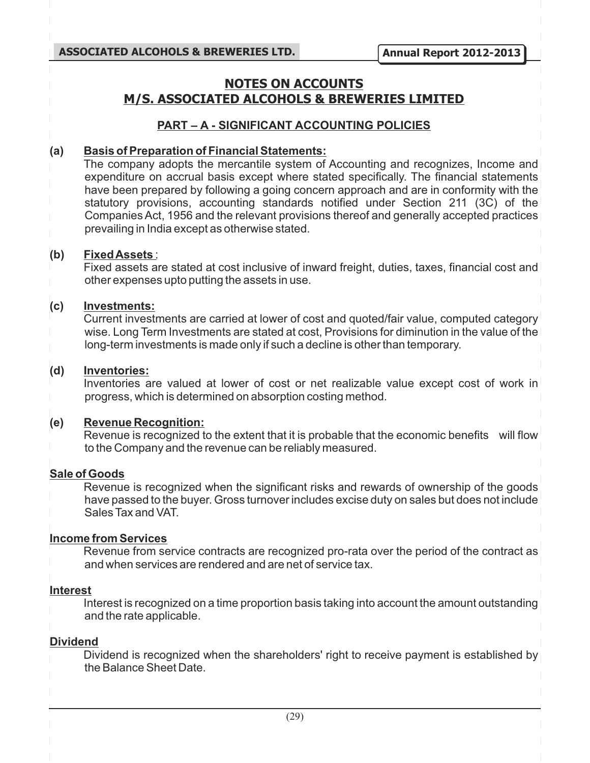## **NOTES ON ACCOUNTS M/S. ASSOCIATED ALCOHOLS & BREWERIES LIMITED**

## **PART – A - SIGNIFICANT ACCOUNTING POLICIES**

#### **(a) Basis of Preparation of Financial Statements:**

The company adopts the mercantile system of Accounting and recognizes, Income and expenditure on accrual basis except where stated specifically. The financial statements have been prepared by following a going concern approach and are in conformity with the statutory provisions, accounting standards notified under Section 211 (3C) of the Companies Act, 1956 and the relevant provisions thereof and generally accepted practices prevailing in India except as otherwise stated.

#### **(b) Fixed Assets** :

Fixed assets are stated at cost inclusive of inward freight, duties, taxes, financial cost and other expenses upto putting the assets in use.

#### **(c) Investments:**

Current investments are carried at lower of cost and quoted/fair value, computed category wise. Long Term Investments are stated at cost, Provisions for diminution in the value of the long-term investments is made only if such a decline is other than temporary.

#### **(d) Inventories:**

Inventories are valued at lower of cost or net realizable value except cost of work in progress, which is determined on absorption costing method.

#### **(e) Revenue Recognition:**

Revenue is recognized to the extent that it is probable that the economic benefits will flow to the Company and the revenue can be reliably measured.

### **Sale of Goods**

Revenue is recognized when the significant risks and rewards of ownership of the goods have passed to the buyer. Gross turnover includes excise duty on sales but does not include Sales Tax and VAT.

#### **Income from Services**

Revenue from service contracts are recognized pro-rata over the period of the contract as and when services are rendered and are net of service tax.

#### **Interest**

Interest is recognized on a time proportion basis taking into account the amount outstanding and the rate applicable.

#### **Dividend**

Dividend is recognized when the shareholders' right to receive payment is established by the Balance Sheet Date.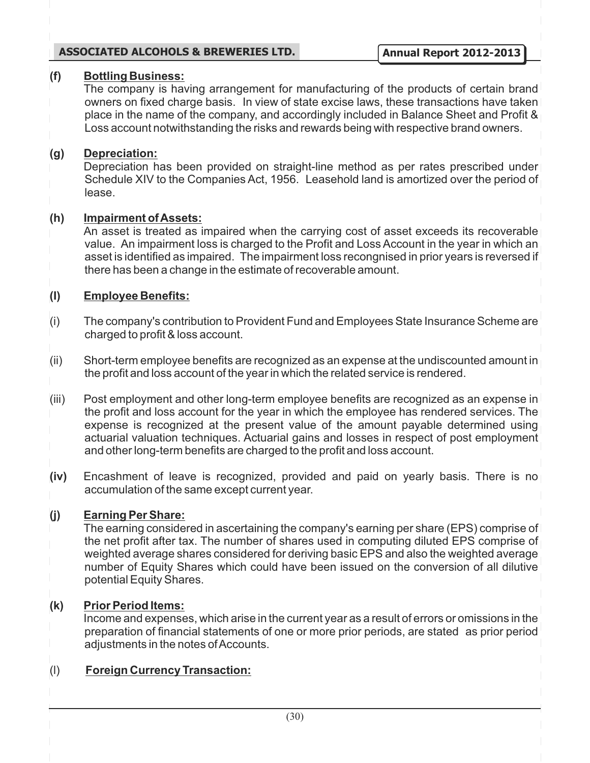### **(f) Bottling Business:**

The company is having arrangement for manufacturing of the products of certain brand owners on fixed charge basis. In view of state excise laws, these transactions have taken place in the name of the company, and accordingly included in Balance Sheet and Profit  $\⊂>1$ Loss account notwithstanding the risks and rewards being with respective brand owners.

### **(g) Depreciation:**

Depreciation has been provided on straight-line method as per rates prescribed under Schedule XIV to the Companies Act, 1956. Leasehold land is amortized over the period of lease.

## **(h) Impairment of Assets:**

An asset is treated as impaired when the carrying cost of asset exceeds its recoverable value. An impairment loss is charged to the Profit and Loss Account in the year in which an asset is identified as impaired. The impairment loss recongnised in prior years is reversed if there has been a change in the estimate of recoverable amount.

## **(I) Employee Benefits:**

- (i) The company's contribution to Provident Fund and Employees State Insurance Scheme are charged to profit & loss account.
- $\ket{0}$  Short-term employee benefits are recognized as an expense at the undiscounted amount in the profit and loss account of the year in which the related service is rendered.
- $\langle$ iii) Post employment and other long-term employee benefits are recognized as an expense in the profit and loss account for the year in which the employee has rendered services. The expense is recognized at the present value of the amount payable determined using actuarial valuation techniques. Actuarial gains and losses in respect of post employment and other long-term benefits are charged to the profit and loss account.
- **(iv)** Encashment of leave is recognized, provided and paid on yearly basis. There is no accumulation of the same except current year.

## **(j) Earning Per Share:**

The earning considered in ascertaining the company's earning per share (EPS) comprise of the net profit after tax. The number of shares used in computing diluted EPS comprise of weighted average shares considered for deriving basic EPS and also the weighted average number of Equity Shares which could have been issued on the conversion of all dilutive potential Equity Shares.

## **(k) Prior Period Items:**

Income and expenses, which arise in the current year as a result of errors or omissions in the preparation of financial statements of one or more prior periods, are stated as prior period adjustments in the notes of Accounts.

## (l) **Foreign Currency Transaction:**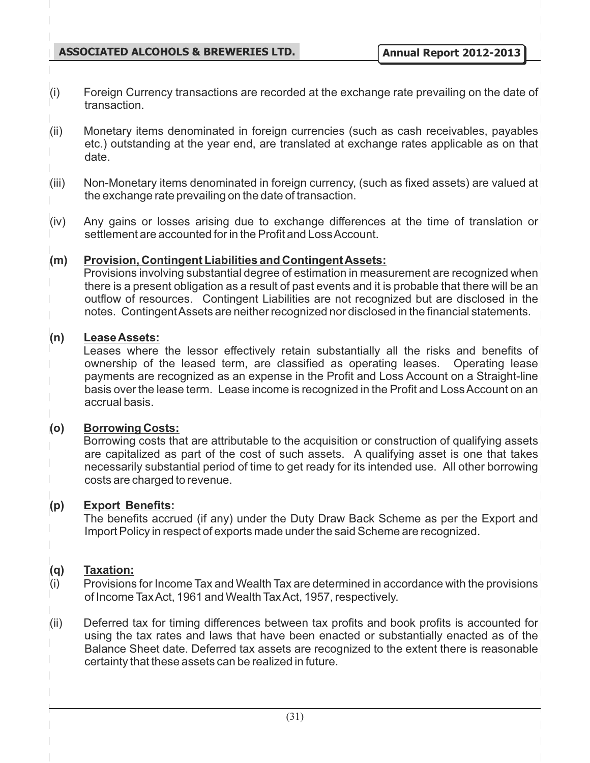- (i) Foreign Currency transactions are recorded at the exchange rate prevailing on the date of transaction.
- $\left| \right\rangle$  Monetary items denominated in foreign currencies (such as cash receivables, payables etc.) outstanding at the year end, are translated at exchange rates applicable as on that date.
- $\lvert$ (iii) Non-Monetary items denominated in foreign currency, (such as fixed assets) are valued at the exchange rate prevailing on the date of transaction.
- (iv) Any gains or losses arising due to exchange differences at the time of translation or settlement are accounted for in the Profit and Loss Account.

### **(m) Provision, Contingent Liabilities and Contingent Assets:**

Provisions involving substantial degree of estimation in measurement are recognized when there is a present obligation as a result of past events and it is probable that there will be an  $\mathsf{I}$ outflow of resources. Contingent Liabilities are not recognized but are disclosed in the notes. Contingent Assets are neither recognized nor disclosed in the financial statements.

### **(n) Lease Assets:**

Leases where the lessor effectively retain substantially all the risks and benefits of ownership of the leased term, are classified as operating leases. Operating lease payments are recognized as an expense in the Profit and Loss Account on a Straight-line basis over the lease term. Lease income is recognized in the Profit and Loss Account on an accrual basis.

### **(o) Borrowing Costs:**

Borrowing costs that are attributable to the acquisition or construction of qualifying assets are capitalized as part of the cost of such assets. A qualifying asset is one that takes necessarily substantial period of time to get ready for its intended use. All other borrowing costs are charged to revenue.

## **(p) Export Benefits:**

The benefits accrued (if any) under the Duty Draw Back Scheme as per the Export and Import Policy in respect of exports made under the said Scheme are recognized.

## **(q) Taxation:**

(i) Provisions for Income Tax and Wealth Tax are determined in accordance with the provisions of Income Tax Act, 1961 and Wealth Tax Act, 1957, respectively.

- 
- $(i)$  Deferred tax for timing differences between tax profits and book profits is accounted for using the tax rates and laws that have been enacted or substantially enacted as of the Balance Sheet date. Deferred tax assets are recognized to the extent there is reasonable certainty that these assets can be realized in future.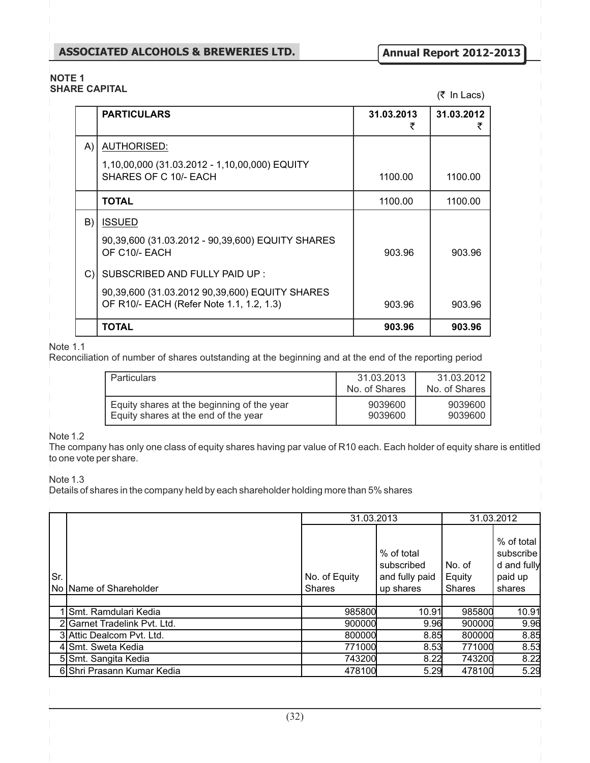# **NOTE 1<br>SHARE CAPITAL**

|    | <b>SHARE CAPITAL</b>                                                                       |                 | $(5 \text{ In}$ Lacs) |
|----|--------------------------------------------------------------------------------------------|-----------------|-----------------------|
|    | <b>PARTICULARS</b>                                                                         | 31.03.2013<br>₹ | 31.03.2012<br>₹       |
| A) | <b>AUTHORISED:</b>                                                                         |                 |                       |
|    | 1,10,00,000 (31.03.2012 - 1,10,00,000) EQUITY<br>SHARES OF C 10/- EACH                     | 1100.00         | 1100.00               |
|    | <b>TOTAL</b>                                                                               | 1100.00         | 1100.00               |
| B) | <b>ISSUED</b><br>90,39,600 (31.03.2012 - 90,39,600) EQUITY SHARES                          |                 |                       |
|    | OF C10/- EACH                                                                              | 903.96          | 903.96                |
| C) | SUBSCRIBED AND FULLY PAID UP :                                                             |                 |                       |
|    | 90,39,600 (31.03.2012 90,39,600) EQUITY SHARES<br>OF R10/- EACH (Refer Note 1.1, 1.2, 1.3) | 903.96          | 903.96                |
|    | <b>TOTAL</b>                                                                               | 903.96          | 903.96                |

Note 1.1

Reconciliation of number of shares outstanding at the beginning and at the end of the reporting period

| <b>Particulars</b> |                                            | 31.03.2013<br>No. of Shares | 31.03.2012<br>No. of Shares |
|--------------------|--------------------------------------------|-----------------------------|-----------------------------|
|                    | Equity shares at the beginning of the year | 9039600                     | 9039600                     |
|                    | Equity shares at the end of the year       | 9039600                     | 9039600                     |

Note 1.2

The company has only one class of equity shares having par value of R10 each. Each holder of equity share is entitled to one vote per share.

Note 1.3

Details of shares in the company held by each shareholder holding more than 5% shares

|     |                            |                                | 31.03.2013                                              |                                   | 31.03.2012                                                  |
|-----|----------------------------|--------------------------------|---------------------------------------------------------|-----------------------------------|-------------------------------------------------------------|
| Sr. | No Name of Shareholder     | No. of Equity<br><b>Shares</b> | % of total<br>subscribed<br>and fully paid<br>up shares | No. of<br>Equity<br><b>Shares</b> | % of total<br>subscribe<br>d and fully<br>paid up<br>shares |
|     |                            |                                |                                                         |                                   |                                                             |
|     | Smt. Ramdulari Kedia       | 985800                         | 10.91                                                   | 985800                            | 10.91                                                       |
|     | Garnet Tradelink Pvt. Ltd. | 900000                         | 9.96                                                    | 900000                            | 9.96                                                        |
|     | 3 Attic Dealcom Pvt. Ltd.  | 800000                         | 8.85                                                    | 800000                            | 8.85                                                        |
|     | 4 Smt. Sweta Kedia         | 771000                         | 8.53                                                    | 771000                            | 8.53                                                        |
|     | 5 Smt. Sangita Kedia       | 743200                         | 8.22                                                    | 743200                            | 8.22                                                        |
|     | 6 Shri Prasann Kumar Kedia | 478100                         | 5.29                                                    | 478100                            | 5.29                                                        |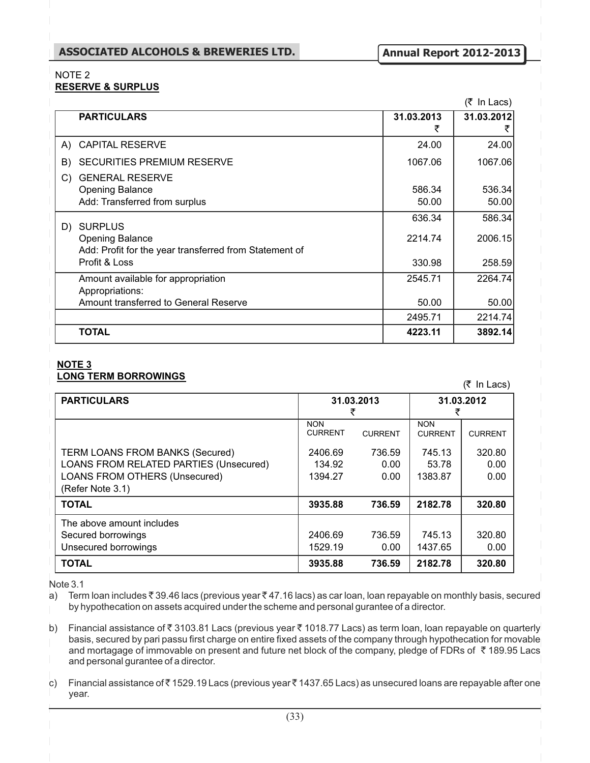#### NOTE 2 **RESERVE & SURPLUS**

|    |                                                                                   |                 | $(5 \text{ In}$ Lacs) |
|----|-----------------------------------------------------------------------------------|-----------------|-----------------------|
|    | <b>PARTICULARS</b>                                                                | 31.03.2013      | 31.03.2012            |
|    |                                                                                   |                 |                       |
| A) | <b>CAPITAL RESERVE</b>                                                            | 24.00           | 24.00                 |
| B) | SECURITIES PREMIUM RESERVE                                                        | 1067.06         | 1067.06               |
| C) | <b>GENERAL RESERVE</b><br><b>Opening Balance</b><br>Add: Transferred from surplus | 586.34<br>50.00 | 536.34<br>50.00       |
| D) | <b>SURPLUS</b>                                                                    | 636.34          | 586.34                |
|    | <b>Opening Balance</b><br>Add: Profit for the year transferred from Statement of  | 2214.74         | 2006.15               |
|    | Profit & Loss                                                                     | 330.98          | 258.59                |
|    | Amount available for appropriation<br>Appropriations:                             | 2545.71         | 2264.74               |
|    | Amount transferred to General Reserve                                             | 50.00           | 50.00                 |
|    |                                                                                   | 2495.71         | 2214.74               |
|    | <b>TOTAL</b>                                                                      | 4223.11         | 3892.14               |

#### **NOTE 3 LONG TERM BORROWINGS**

 $($ ₹ In Lacs)

| <b>PARTICULARS</b>                     |                              | 31.03.2013<br>₹ |                              | 31.03.2012     |
|----------------------------------------|------------------------------|-----------------|------------------------------|----------------|
|                                        | <b>NON</b><br><b>CURRENT</b> | <b>CURRENT</b>  | <b>NON</b><br><b>CURRENT</b> | <b>CURRENT</b> |
| <b>TERM LOANS FROM BANKS (Secured)</b> | 2406.69                      | 736.59          | 745.13                       | 320.80         |
| LOANS FROM RELATED PARTIES (Unsecured) | 134.92                       | 0.00            | 53.78                        | 0.00           |
| LOANS FROM OTHERS (Unsecured)          | 1394.27                      | 0.00            | 1383.87                      | 0.00           |
| (Refer Note 3.1)                       |                              |                 |                              |                |
| <b>TOTAL</b>                           | 3935.88                      | 736.59          | 2182.78                      | 320.80         |
| The above amount includes              |                              |                 |                              |                |
| Secured borrowings                     | 2406.69                      | 736.59          | 745.13                       | 320.80         |
| Unsecured borrowings                   | 1529.19                      | 0.00            | 1437.65                      | 0.00           |
| <b>TOTAL</b>                           | 3935.88                      | 736.59          | 2182.78                      | 320.80         |

Note 3.1

a) Term loan includes  $\bar{z}$  39.46 lacs (previous year  $\bar{z}$  47.16 lacs) as car loan, loan repayable on monthly basis, secured by hypothecation on assets acquired under the scheme and personal gurantee of a director.  $\overline{1}$ 

b) Financial assistance of  $\bar{\tau}$  3103.81 Lacs (previous year  $\bar{\tau}$  1018.77 Lacs) as term loan, loan repayable on quarterly basis, secured by pari passu first charge on entire fixed assets of the company through hypothecation for movable and mortagage of immovable on present and future net block of the company, pledge of FDRs of ₹189.95 Lacs and personal gurantee of a director.

c) Financial assistance of  $\bar{\tau}$  1529.19 Lacs (previous year  $\bar{\tau}$  1437.65 Lacs) as unsecured loans are repayable after one year.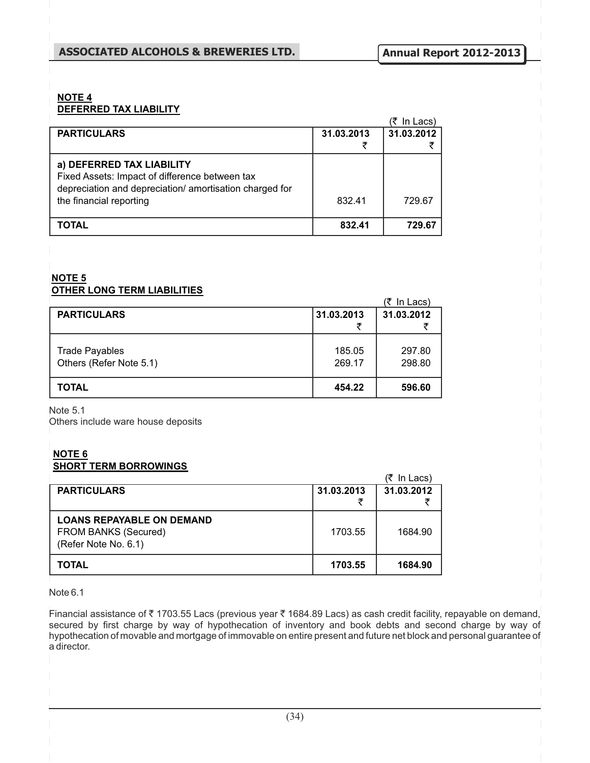#### **NOTE 4 DEFERRED TAX LIABILITY**

|                                                                                                                                                                   |            | (₹ In Lacs) |
|-------------------------------------------------------------------------------------------------------------------------------------------------------------------|------------|-------------|
| <b>PARTICULARS</b>                                                                                                                                                | 31.03.2013 | 31.03.2012  |
|                                                                                                                                                                   |            |             |
| a) DEFERRED TAX LIABILITY<br>Fixed Assets: Impact of difference between tax<br>depreciation and depreciation/ amortisation charged for<br>the financial reporting | 832.41     | 729.67      |
| <b>TOTAL</b>                                                                                                                                                      | 832.41     | 729.67      |

#### **NOTE 5 OTHER LONG TERM LIABILITIES**

|                         |            | (₹ In Lacs) |
|-------------------------|------------|-------------|
| <b>PARTICULARS</b>      | 31.03.2013 | 31.03.2012  |
|                         | ₹          |             |
|                         |            |             |
| <b>Trade Payables</b>   | 185.05     | 297.80      |
| Others (Refer Note 5.1) | 269.17     | 298.80      |
| <b>TOTAL</b>            | 454.22     | 596.60      |

Note 5.1

Others include ware house deposits

#### **NOTE 6 SHORT TERM BORROWINGS**

|                                  |            | (₹ In Lacs) |
|----------------------------------|------------|-------------|
| <b>PARTICULARS</b>               | 31.03.2013 | 31.03.2012  |
|                                  |            |             |
| <b>LOANS REPAYABLE ON DEMAND</b> |            |             |
| <b>FROM BANKS (Secured)</b>      | 1703.55    | 1684.90     |
| (Refer Note No. 6.1)             |            |             |
| <b>TOTAL</b>                     | 1703.55    | 1684.90     |

Note 6.1

Financial assistance of  $\bar{\tau}$  1703.55 Lacs (previous year  $\bar{\tau}$  1684.89 Lacs) as cash credit facility, repayable on demand, secured by first charge by way of hypothecation of inventory and book debts and second charge by way of hypothecation of movable and mortgage of immovable on entire present and future net block and personal guarantee of a director.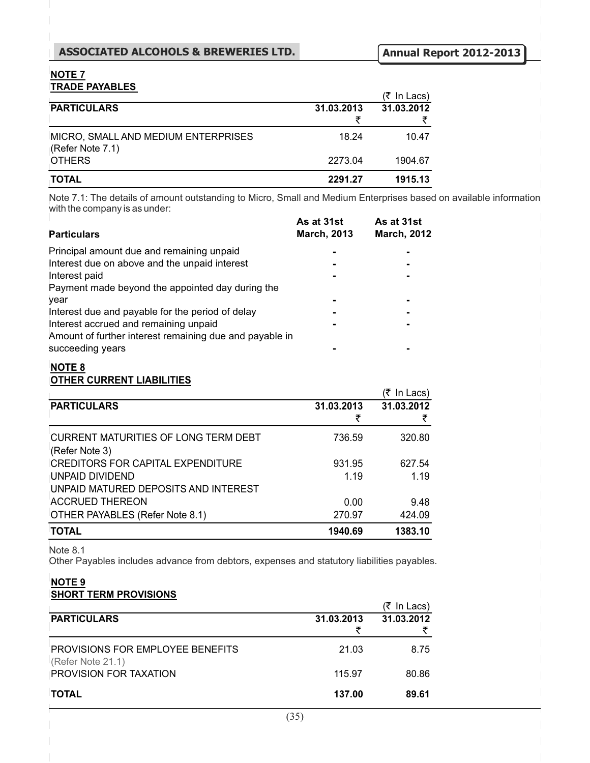#### **NOTE 7 TRADE PAYABLES**

|                                                                |            | $(5 \text{ In}$ Lacs) |
|----------------------------------------------------------------|------------|-----------------------|
| <b>PARTICULARS</b>                                             | 31.03.2013 | 31.03.2012            |
|                                                                |            |                       |
| <b>MICRO, SMALL AND MEDIUM ENTERPRISES</b><br>(Refer Note 7.1) | 18.24      | 10.47                 |
| <b>OTHERS</b>                                                  | 2273.04    | 1904.67               |
| <b>TOTAL</b>                                                   | 2291.27    | 1915.13               |

Note 7.1: The details of amount outstanding to Micro, Small and Medium Enterprises based on available information with the company is as under:

| <b>Particulars</b>                                      | As at 31st<br><b>March, 2013</b> | As at 31st<br><b>March, 2012</b> |
|---------------------------------------------------------|----------------------------------|----------------------------------|
| Principal amount due and remaining unpaid               |                                  |                                  |
| Interest due on above and the unpaid interest           |                                  |                                  |
| Interest paid                                           |                                  |                                  |
| Payment made beyond the appointed day during the        |                                  |                                  |
| year                                                    |                                  |                                  |
| Interest due and payable for the period of delay        |                                  |                                  |
| Interest accrued and remaining unpaid                   |                                  |                                  |
| Amount of further interest remaining due and payable in |                                  |                                  |
| succeeding years                                        |                                  |                                  |

#### **NOTE 8 OTHER CURRENT LIABILITIES**

|                                      |            | (₹ In Lacs) |
|--------------------------------------|------------|-------------|
| <b>PARTICULARS</b>                   | 31.03.2013 | 31.03.2012  |
|                                      | ₹          |             |
| CURRENT MATURITIES OF LONG TERM DEBT | 736.59     | 320.80      |
| (Refer Note 3)                       |            |             |
| ICREDITORS FOR CAPITAL EXPENDITURE   | 931.95     | 627.54      |
| <b>UNPAID DIVIDEND</b>               | 1.19       | 1.19        |
| UNPAID MATURED DEPOSITS AND INTEREST |            |             |
| <b>ACCRUED THEREON</b>               | 0.00       | 9.48        |
| OTHER PAYABLES (Refer Note 8.1)      | 270.97     | 424.09      |
| <b>TOTAL</b>                         | 1940.69    | 1383.10     |

Note 8.1

Other Payables includes advance from debtors, expenses and statutory liabilities payables.

#### **NOTE 9 SHORT TERM PROVISIONS**

|                                                              |            | (₹ In Lacs) |
|--------------------------------------------------------------|------------|-------------|
| <b>PARTICULARS</b>                                           | 31.03.2013 | 31.03.2012  |
|                                                              |            |             |
| <b>PROVISIONS FOR EMPLOYEE BENEFITS</b><br>(Refer Note 21.1) | 21.03      | 8.75        |
| <b>PROVISION FOR TAXATION</b>                                | 115.97     | 80.86       |
| <b>TOTAL</b>                                                 | 137.00     | 89.61       |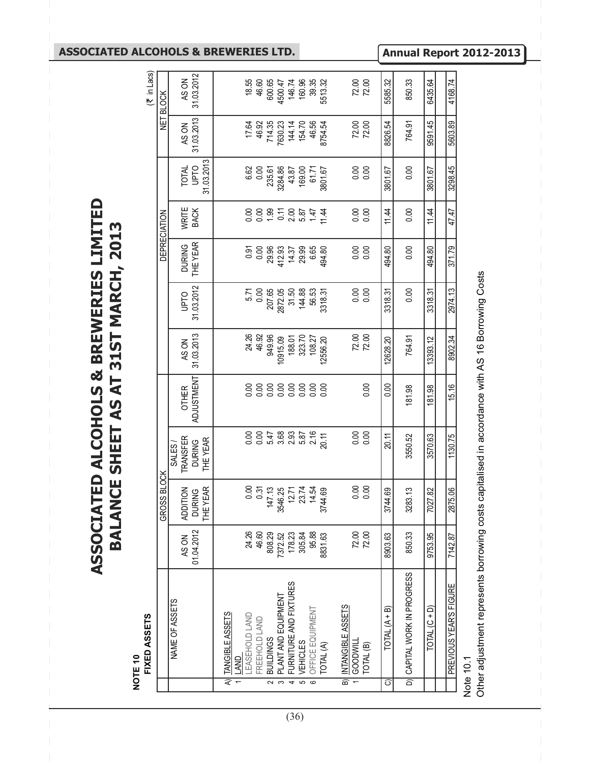**ASSOCIATED ALCOHOLS & BREWERIES LIMITED BALANCE SHEET AS AT 31ST MARCH, 2013**

BALANCE SHEET AS AT 31ST MARCH, 2013

ASSOCIATED ALCOHOLS & BREWERIES LIMITED

|                    | FIXED ASSETS<br>NOTE <sub>10</sub>             |                             |                                               |                           |              |                            |                    |                                          |                     |                                                                                    |                          | $(35 \text{ in } 2)$        |
|--------------------|------------------------------------------------|-----------------------------|-----------------------------------------------|---------------------------|--------------|----------------------------|--------------------|------------------------------------------|---------------------|------------------------------------------------------------------------------------|--------------------------|-----------------------------|
|                    |                                                |                             | <b>GROSS BLOCK</b>                            |                           |              |                            |                    |                                          | <b>DEPRECIATION</b> |                                                                                    |                          | NET BLOCK                   |
|                    | NAME OF ASSETS                                 | AS ON                       | ADDITION                                      | <b>TRANSFER</b><br>SALES/ | <b>OTHER</b> |                            |                    | <b>DURING</b>                            |                     |                                                                                    |                          |                             |
|                    |                                                | 01.04.2012                  | THE YEAR<br><b>DURING</b>                     | THE YEAR<br><b>DURING</b> | ADJUSTMENT   | AS ON<br>31.03.2013        | UPTO<br>31.03.2012 | THE YEAR                                 | WRITE<br>BACK       | 31.03.2013<br><b>TOTAL</b><br>UPTO                                                 | AS ON                    | AS ON<br>31.03.2012         |
|                    | A) TANGIBLE ASSETS<br>LAND                     |                             |                                               |                           |              |                            |                    |                                          |                     |                                                                                    |                          |                             |
|                    | LEASEHOLD LAND                                 | 24.26                       | 0.00                                          |                           | 0.00         | 24.26<br>46.92             | 5.71               | 0.97                                     |                     | 6.62                                                                               |                          | $18.55$<br>$46.60$          |
|                    | <b>FREEHOLD LAND</b><br>BUILDINGS              | 46.60                       | 0.31                                          |                           |              |                            | 0.00               | 0.00                                     |                     | 0.00                                                                               | 17.64<br>46.92<br>714.35 |                             |
| 2                  |                                                | 808.29                      | 147.13                                        |                           |              | 949.96                     | 207.65             | 29.96                                    |                     | 235.61                                                                             |                          | 600.65                      |
| က                  | PLANT AND EQUIPMENT                            | 7372.52<br>178.23<br>305.84 | 46.25<br>22.74<br>42.74.54<br>35 <sup>2</sup> |                           | 88888        | 10915.09                   | 2872.05            | $412.93$<br>$14.37$<br>$29.95$<br>$6.65$ |                     | $\begin{array}{c} 3284.86 \\ 43.87 \\ 169.00 \\ 61.71 \\ 67 \\ 801.67 \end{array}$ | 7630.23                  | 1500.47<br>146.74<br>160.96 |
| 4                  | FURNITURE AND FIXTURES<br>VEHICLES             |                             |                                               |                           |              | 188.01<br>323.70<br>108.27 | 31.50<br>144.88    |                                          |                     |                                                                                    | 144.14<br>154.70         |                             |
| 5                  |                                                |                             |                                               |                           |              |                            |                    |                                          |                     |                                                                                    |                          |                             |
| $\overline{\circ}$ | OFFICE EQUIPMENT                               | 95.88                       |                                               |                           |              |                            | 56.53              |                                          |                     |                                                                                    | 46.56<br>8754.54         | 39.35                       |
|                    | TOTAL (A)                                      | 8831.63                     | 3744.69                                       |                           |              | 12556.20                   | 3318.31            | 494.80                                   |                     |                                                                                    |                          | 5513.32                     |
|                    | B) INTANGIBLE ASSETS                           |                             |                                               |                           |              |                            |                    |                                          |                     |                                                                                    |                          |                             |
|                    | $\left\vert \right\vert$ Goodwill<br>TOTAL (B) | 72.00<br>72.00              | 8<br>0.00                                     |                           | 0.00         | 72.00<br>72.00             | 0.00<br>0.00       | 0.00<br>0.00                             | 0.00<br>0.00        |                                                                                    | 72.00<br>72.00           | 72.00<br>72.00              |
| $\overline{\circ}$ | TOTAL (A + B)                                  | 8903.63                     | 3744.69                                       | 20.11                     | 0.00         | 12628.20                   | 3318.31            | 494.80                                   | 11.44               | 3801.67                                                                            | 8826.54                  | 5585.32                     |
|                    | D) CAPITAL WORK IN PROGRESS                    | 850.33                      | 3283.13                                       | 3550.52                   | 181.98       | 764.91                     | 0.00               | 0.00                                     | 0.00                | 0.00                                                                               | 764.91                   | 850.33                      |
|                    |                                                |                             |                                               |                           |              |                            |                    |                                          |                     |                                                                                    |                          |                             |
|                    | TOTAL (C + D)                                  | 9753.95                     | 7027.82                                       | 3570.63                   | 181.98       | 13393.12                   | 3318.31            | 494.80                                   | 11.44               | 3801.67                                                                            | 9591.45                  | 6435.64                     |
|                    |                                                |                             |                                               |                           |              |                            |                    |                                          |                     |                                                                                    |                          |                             |
|                    | PREVIOUS YEAR'S FIGURE                         | 7142.87                     | 2875.06                                       | 1130.75                   | 15.16        | 8902.34                    | 2974.13            | 371.79                                   | 47.47               | 3298.45                                                                            | 5603.89                  | 4168.74                     |
|                    | $\sim$ 10 $\sim$ 10 1                          |                             |                                               |                           |              |                            |                    |                                          |                     |                                                                                    |                          |                             |

(36)

Note 10.1<br>Other adjustment represents borrowing costs capitalised in accordance with AS 16 Borrowing Costs Other adjustment represents borrowing costs capitalised in accordance with AS 16 Borrowing Costs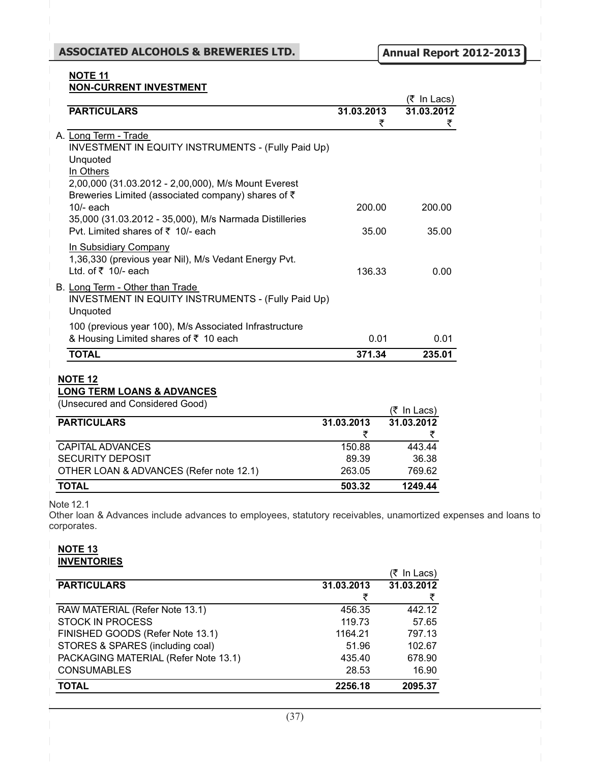# **NOTE 11**

# **NON-CURRENT INVESTMENT**

|                                                                                              |            | (₹ In Lacs) |
|----------------------------------------------------------------------------------------------|------------|-------------|
| <b>PARTICULARS</b>                                                                           | 31.03.2013 | 31.03.2012  |
|                                                                                              | ₹          |             |
| A. Long Term - Trade                                                                         |            |             |
| INVESTMENT IN EQUITY INSTRUMENTS - (Fully Paid Up)                                           |            |             |
| Unquoted                                                                                     |            |             |
| In Others                                                                                    |            |             |
| 2,00,000 (31.03.2012 - 2,00,000), M/s Mount Everest                                          |            |             |
| Breweries Limited (associated company) shares of $\bar{\tau}$<br>$10/-$ each                 |            |             |
|                                                                                              | 200.00     | 200.00      |
| 35,000 (31.03.2012 - 35,000), M/s Narmada Distilleries<br>Pvt. Limited shares of ₹ 10/- each | 35.00      | 35.00       |
|                                                                                              |            |             |
| In Subsidiary Company                                                                        |            |             |
| 1,36,330 (previous year Nil), M/s Vedant Energy Pvt.<br>Ltd. of ₹ 10/- each                  |            |             |
|                                                                                              | 136.33     | 0.00        |
| B. Long Term - Other than Trade                                                              |            |             |
| INVESTMENT IN EQUITY INSTRUMENTS - (Fully Paid Up)                                           |            |             |
| Unquoted                                                                                     |            |             |
| 100 (previous year 100), M/s Associated Infrastructure                                       |            |             |
| & Housing Limited shares of ₹ 10 each                                                        | 0.01       | 0.01        |
| <b>TOTAL</b>                                                                                 | 371.34     | 235.01      |
|                                                                                              |            |             |
| <b>NOTE 12</b>                                                                               |            |             |

# **LONG TERM LOANS & ADVANCES**

(Unsecured and Considered Good)

|                                         |            | $(5 \text{ In } \text{Lacs})$ |
|-----------------------------------------|------------|-------------------------------|
| <b>PARTICULARS</b>                      | 31.03.2013 | 31.03.2012                    |
|                                         |            |                               |
| CAPITAL ADVANCES                        | 150.88     | 443.44                        |
| <b>SECURITY DEPOSIT</b>                 | 89.39      | 36.38                         |
| OTHER LOAN & ADVANCES (Refer note 12.1) | 263.05     | 769.62                        |
| <b>TOTAL</b>                            | 503.32     | 1249.44                       |

Note 12.1

Other loan & Advances include advances to employees, statutory receivables, unamortized expenses and loans to corporates.

#### **NOTE 13 INVENTORIES**

|                                      |            | (₹ In Lacs) |
|--------------------------------------|------------|-------------|
| <b>PARTICULARS</b>                   | 31.03.2013 | 31.03.2012  |
|                                      | ₹          |             |
| RAW MATERIAL (Refer Note 13.1)       | 456.35     | 442.12      |
| <b>STOCK IN PROCESS</b>              | 119.73     | 57.65       |
| FINISHED GOODS (Refer Note 13.1)     | 1164.21    | 797.13      |
| STORES & SPARES (including coal)     | 51.96      | 102.67      |
| PACKAGING MATERIAL (Refer Note 13.1) | 435.40     | 678.90      |
| <b>CONSUMABLES</b>                   | 28.53      | 16.90       |
| <b>TOTAL</b>                         | 2256.18    | 2095.37     |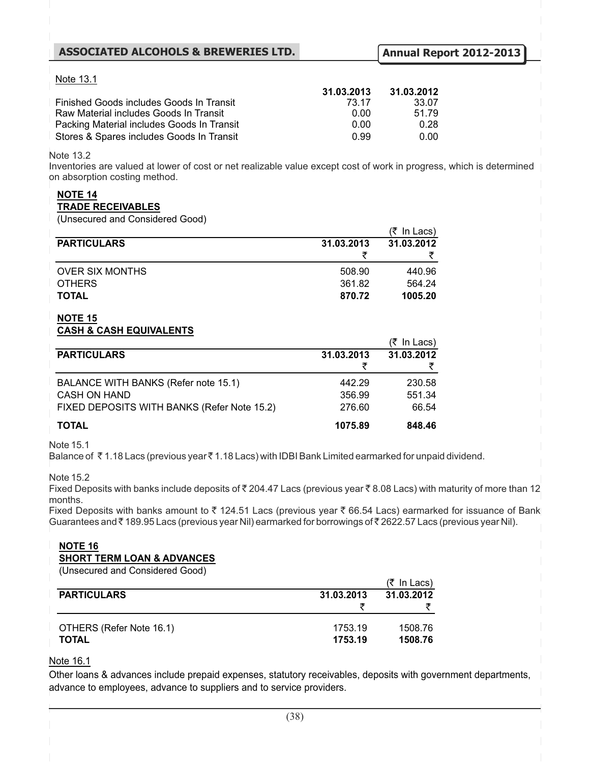| <b>ASSOCIATED ALCOHOLS &amp; BREWERIES LTD.</b>                                                                                                                                       |                 | Annual Report 2012-2013 |
|---------------------------------------------------------------------------------------------------------------------------------------------------------------------------------------|-----------------|-------------------------|
|                                                                                                                                                                                       |                 |                         |
| <u>Note 13.1</u>                                                                                                                                                                      |                 |                         |
| Finished Goods includes Goods In Transit                                                                                                                                              | 31.03.2013      | 31.03.2012              |
| Raw Material includes Goods In Transit                                                                                                                                                | 73.17<br>0.00   | 33.07<br>51.79          |
| Packing Material includes Goods In Transit                                                                                                                                            | 0.00            | 0.28                    |
| Stores & Spares includes Goods In Transit                                                                                                                                             | 0.99            | 0.00                    |
|                                                                                                                                                                                       |                 |                         |
| Note 13.2<br>Inventories are valued at lower of cost or net realizable value except cost of work in progress, which is determined                                                     |                 |                         |
| on absorption costing method.                                                                                                                                                         |                 |                         |
| <b>NOTE 14</b>                                                                                                                                                                        |                 |                         |
| <b>TRADE RECEIVABLES</b>                                                                                                                                                              |                 |                         |
| (Unsecured and Considered Good)                                                                                                                                                       |                 |                         |
|                                                                                                                                                                                       |                 | $(5 \text{ In}$ Lacs)   |
| <b>PARTICULARS</b>                                                                                                                                                                    | 31.03.2013      | 31.03.2012              |
|                                                                                                                                                                                       | ₹               | ₹                       |
| <b>OVER SIX MONTHS</b>                                                                                                                                                                | 508.90          | 440.96                  |
| <b>OTHERS</b>                                                                                                                                                                         | 361.82          | 564.24                  |
| <b>TOTAL</b>                                                                                                                                                                          | 870.72          | 1005.20                 |
|                                                                                                                                                                                       |                 |                         |
| <b>NOTE 15</b>                                                                                                                                                                        |                 |                         |
| <b>CASH &amp; CASH EQUIVALENTS</b>                                                                                                                                                    |                 |                         |
|                                                                                                                                                                                       |                 | $(5 \text{ In}$ Lacs)   |
| <b>PARTICULARS</b>                                                                                                                                                                    | 31.03.2013      | 31.03.2012              |
|                                                                                                                                                                                       | ₹               | ₹                       |
| BALANCE WITH BANKS (Refer note 15.1)                                                                                                                                                  | 442.29          | 230.58                  |
| <b>CASH ON HAND</b>                                                                                                                                                                   | 356.99          | 551.34                  |
| FIXED DEPOSITS WITH BANKS (Refer Note 15.2)                                                                                                                                           | 276.60          | 66.54                   |
| <b>TOTAL</b>                                                                                                                                                                          | 1075.89         | 848.46                  |
|                                                                                                                                                                                       |                 |                         |
| Note 15.1<br>Balance of ₹1.18 Lacs (previous year₹1.18 Lacs) with IDBI Bank Limited earmarked for unpaid dividend.                                                                    |                 |                         |
|                                                                                                                                                                                       |                 |                         |
| Note 15.2                                                                                                                                                                             |                 |                         |
| Fixed Deposits with banks include deposits of ₹204.47 Lacs (previous year ₹8.08 Lacs) with maturity of more than 12                                                                   |                 |                         |
| months.                                                                                                                                                                               |                 |                         |
|                                                                                                                                                                                       |                 |                         |
| Fixed Deposits with banks amount to ₹ 124.51 Lacs (previous year ₹ 66.54 Lacs) earmarked for issuance of Bank                                                                         |                 |                         |
| Guarantees and ₹189.95 Lacs (previous year Nil) earmarked for borrowings of ₹2622.57 Lacs (previous year Nil).                                                                        |                 |                         |
|                                                                                                                                                                                       |                 |                         |
| <b>NOTE 16</b>                                                                                                                                                                        |                 |                         |
| <b>SHORT TERM LOAN &amp; ADVANCES</b>                                                                                                                                                 |                 |                         |
| (Unsecured and Considered Good)                                                                                                                                                       |                 |                         |
|                                                                                                                                                                                       |                 | (₹ In Lacs)             |
| <b>PARTICULARS</b>                                                                                                                                                                    | 31.03.2013<br>₹ | 31.03.2012<br>₹         |
|                                                                                                                                                                                       |                 |                         |
| OTHERS (Refer Note 16.1)                                                                                                                                                              | 1753.19         | 1508.76                 |
| <b>TOTAL</b>                                                                                                                                                                          | 1753.19         | 1508.76                 |
|                                                                                                                                                                                       |                 |                         |
| Note 16.1                                                                                                                                                                             |                 |                         |
| Other loans & advances include prepaid expenses, statutory receivables, deposits with government departments,<br>advance to employees, advance to suppliers and to service providers. |                 |                         |

 $\overline{\phantom{a}}$ 

 $\begin{array}{c} \hline \end{array}$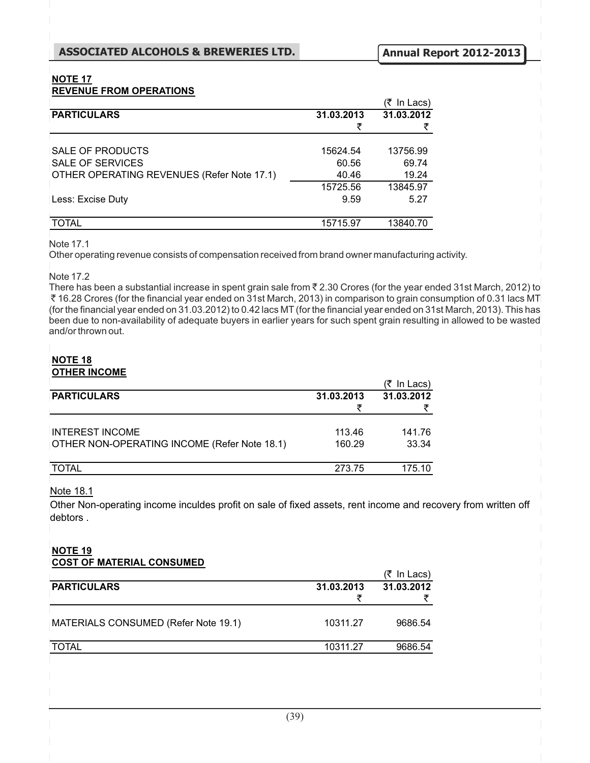# **NOTE 17**

# **REVENUE FROM OPERATIONS**

|                                            |            | In Lacs)   |
|--------------------------------------------|------------|------------|
| <b>PARTICULARS</b>                         | 31.03.2013 | 31.03.2012 |
|                                            |            |            |
|                                            |            |            |
| SALE OF PRODUCTS                           | 15624.54   | 13756.99   |
| <b>SALE OF SERVICES</b>                    | 60.56      | 69.74      |
| OTHER OPERATING REVENUES (Refer Note 17.1) | 40.46      | 19.24      |
|                                            | 15725.56   | 13845.97   |
| Less: Excise Duty                          | 9.59       | 5.27       |
|                                            |            |            |
| <b>TOTAL</b>                               | 15715.97   | 13840.70   |
|                                            |            |            |

Note 17.1

Other operating revenue consists of compensation received from brand owner manufacturing activity.

Note 17.2

There has been a substantial increase in spent grain sale from  $\bar{\tau}$  2.30 Crores (for the year ended 31st March, 2012) to ` 16.28 Crores (for the financial year ended on 31st March, 2013) in comparison to grain consumption of 0.31 lacs MT (for the financial year ended on 31.03.2012) to 0.42 lacs MT (for the financial year ended on 31st March, 2013). This has been due to non-availability of adequate buyers in earlier years for such spent grain resulting in allowed to be wasted and/or thrown out.

# **NOTE 18 OTHER INCOME**

|                                              |            | (₹ In Lacs) |
|----------------------------------------------|------------|-------------|
| <b>PARTICULARS</b>                           | 31.03.2013 | 31.03.2012  |
|                                              |            |             |
| <b>INTEREST INCOME</b>                       | 113.46     | 141.76      |
| OTHER NON-OPERATING INCOME (Refer Note 18.1) | 160.29     | 33.34       |
| <b>TOTAL</b>                                 | 273.75     | 175.10      |

Note 18.1

Other Non-operating income inculdes profit on sale of fixed assets, rent income and recovery from written off debtors .

#### **NOTE 19 COST OF MATERIAL CONSUMED**

|                                      |            | $(5 \text{ In}$ Lacs) |
|--------------------------------------|------------|-----------------------|
| <b>PARTICULARS</b>                   | 31.03.2013 | 31.03.2012            |
|                                      |            |                       |
| MATERIALS CONSUMED (Refer Note 19.1) | 10311.27   | 9686.54               |
| <b>TOTAL</b>                         | 10311.27   | 9686.54               |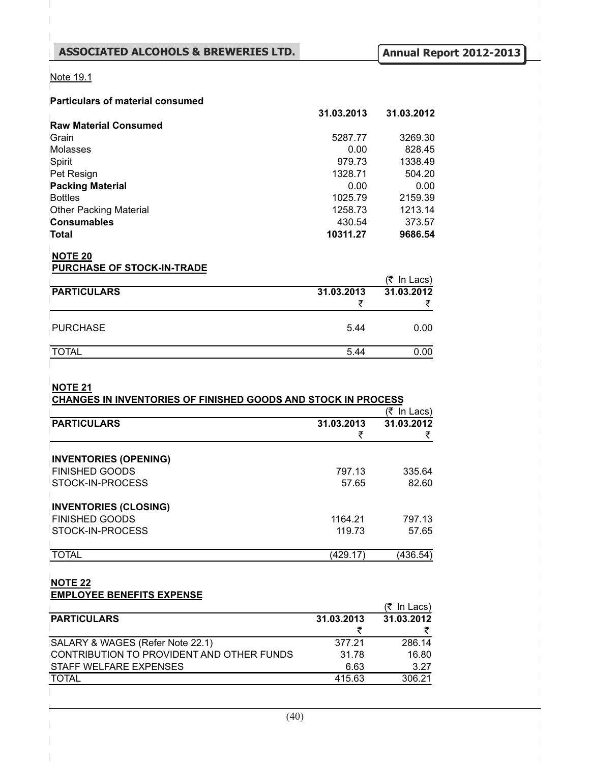| <b>ASSOCIATED ALCOHOLS &amp; BREWERIES LTD.</b>                                 |                 | Annual Report 2012-2013   |  |
|---------------------------------------------------------------------------------|-----------------|---------------------------|--|
| Note 19.1                                                                       |                 |                           |  |
| <b>Particulars of material consumed</b>                                         |                 |                           |  |
|                                                                                 | 31.03.2013      | 31.03.2012                |  |
| <b>Raw Material Consumed</b>                                                    |                 |                           |  |
| Grain                                                                           | 5287.77         | 3269.30                   |  |
| Molasses                                                                        | 0.00            | 828.45                    |  |
| Spirit                                                                          | 979.73          | 1338.49                   |  |
| Pet Resign                                                                      | 1328.71         | 504.20                    |  |
| <b>Packing Material</b>                                                         | 0.00            | 0.00                      |  |
| Bottles                                                                         | 1025.79         | 2159.39                   |  |
| <b>Other Packing Material</b>                                                   | 1258.73         | 1213.14                   |  |
| <b>Consumables</b>                                                              | 430.54          | 373.57                    |  |
| Total                                                                           | 10311.27        | 9686.54                   |  |
| <b>NOTE 20</b>                                                                  |                 |                           |  |
| <b>PURCHASE OF STOCK-IN-TRADE</b>                                               |                 |                           |  |
| <b>PARTICULARS</b>                                                              | 31.03.2013      | (₹ In Lacs)<br>31.03.2012 |  |
|                                                                                 | ₹               | ₹                         |  |
|                                                                                 |                 |                           |  |
| <b>PURCHASE</b>                                                                 | 5.44            | 0.00                      |  |
| $\overline{TOTAL}$                                                              | 5.44            | 0.00                      |  |
| <b>NOTE 21</b><br>CHANGES IN INVENTORIES OF FINISHED GOODS AND STOCK IN PROCESS |                 | (₹ In Lacs)               |  |
| <b>PARTICULARS</b>                                                              | 31.03.2013      | 31.03.2012                |  |
|                                                                                 | ₹               | ₹                         |  |
| <b>INVENTORIES (OPENING)</b>                                                    |                 |                           |  |
| <b>FINISHED GOODS</b>                                                           |                 |                           |  |
|                                                                                 |                 |                           |  |
| STOCK-IN-PROCESS                                                                | 797.13<br>57.65 | 335.64<br>82.60           |  |
|                                                                                 |                 |                           |  |
| <b>INVENTORIES (CLOSING)</b>                                                    |                 |                           |  |
| <b>FINISHED GOODS</b>                                                           | 1164.21         | 797.13                    |  |
| STOCK-IN-PROCESS                                                                | 119.73          | 57.65                     |  |
| <b>TOTAL</b>                                                                    | (429.17)        | (436.54)                  |  |
|                                                                                 |                 |                           |  |
| NOTE 22                                                                         |                 |                           |  |
| <b>EMPLOYEE BENEFITS EXPENSE</b>                                                |                 |                           |  |
|                                                                                 |                 | $(5 \text{ In}$ Lacs)     |  |
| PARTICULARS                                                                     | 31.03.2013<br>₹ | 31.03.2012<br>₹           |  |
|                                                                                 | 377.21          | 286.14                    |  |
| CONTRIBUTION TO PROVIDENT AND OTHER FUNDS                                       | 31.78           | 16.80                     |  |
| SALARY & WAGES (Refer Note 22.1)<br>STAFF WELFARE EXPENSES                      | 6.63            | 3.27                      |  |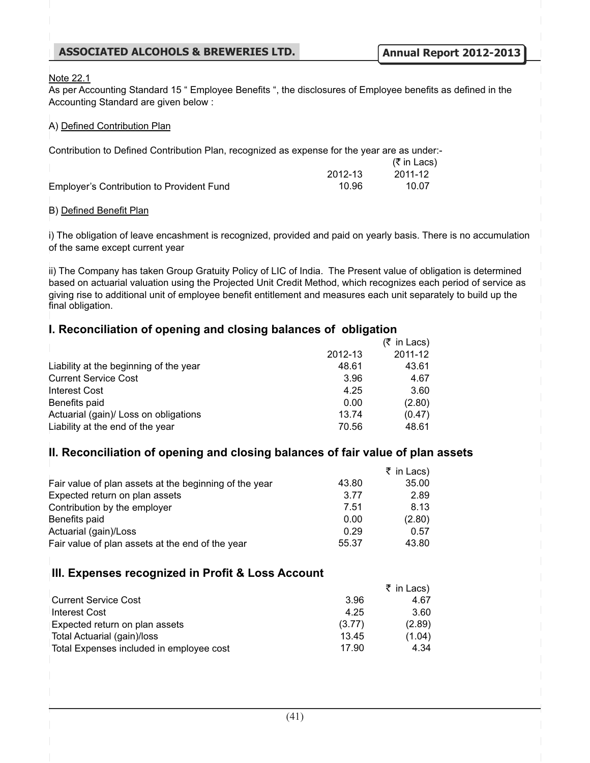#### Note 22.1

As per Accounting Standard 15 " Employee Benefits ", the disclosures of Employee benefits as defined in the Accounting Standard are given below :

### A) Defined Contribution Plan

Contribution to Defined Contribution Plan, recognized as expense for the year are as under:-

|                                                  |         | (₹ in Lacs) |
|--------------------------------------------------|---------|-------------|
|                                                  | 2012-13 | 2011-12     |
| <b>Employer's Contribution to Provident Fund</b> | 10.96   | 10.07       |

### B) Defined Benefit Plan

i) The obligation of leave encashment is recognized, provided and paid on yearly basis. There is no accumulation of the same except current year

ii) The Company has taken Group Gratuity Policy of LIC of India. The Present value of obligation is determined based on actuarial valuation using the Projected Unit Credit Method, which recognizes each period of service as giving rise to additional unit of employee benefit entitlement and measures each unit separately to build up the final obligation.

# **I. Reconciliation of opening and closing balances of obligation**

| 2011-12 |
|---------|
|         |
| 43.61   |
| 4.67    |
| 3.60    |
| (2.80)  |
| (0.47)  |
| 48.61   |
|         |

# **II. Reconciliation of opening and closing balances of fair value of plan assets**

|                                                        |       | ₹ in Lacs) |
|--------------------------------------------------------|-------|------------|
| Fair value of plan assets at the beginning of the year | 43.80 | 35.00      |
| Expected return on plan assets                         | 3.77  | 2.89       |
| Contribution by the employer                           | 7.51  | 8.13       |
| Benefits paid                                          | 0.00  | (2.80)     |
| Actuarial (gain)/Loss                                  | 0.29  | 0.57       |
| Fair value of plan assets at the end of the year       | 55.37 | 43.80      |

# **III. Expenses recognized in Profit & Loss Account**

|                                          |        | ₹ in Lacs) |
|------------------------------------------|--------|------------|
| Current Service Cost                     | 3.96   | 4.67       |
| ⊺Interest Cost                           | 4.25   | 3.60       |
| Expected return on plan assets           | (3.77) | (2.89)     |
| Total Actuarial (gain)/loss              | 13.45  | (1.04)     |
| Total Expenses included in employee cost | 17.90  | 4.34       |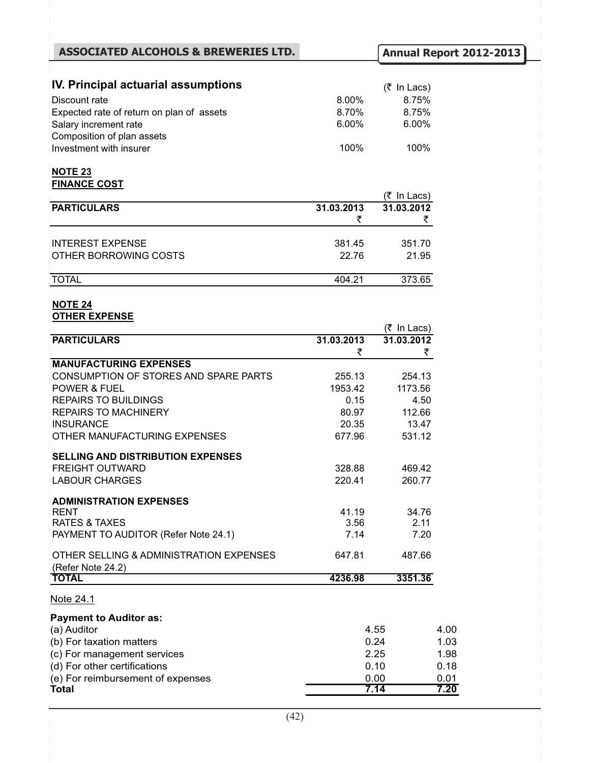| <b>IV. Principal actuarial assumptions</b><br>$(5 \text{ In}$ Lacs)<br>8.00%<br>8.75%<br>Discount rate<br>8.70%<br>8.75%<br>Expected rate of return on plan of assets<br>Salary increment rate<br>6.00%<br>6.00%<br>Composition of plan assets<br>Investment with insurer<br>100%<br>100%<br><b>NOTE 23</b><br><b>FINANCE COST</b><br>(₹ In Lacs)<br>31.03.2013<br>31.03.2012<br>₹<br>₹<br>381.45<br><b>INTEREST EXPENSE</b><br>351.70<br>OTHER BORROWING COSTS<br>22.76<br>21.95<br>404.21<br>373.65<br><b>NOTE 24</b><br><b>OTHER EXPENSE</b><br>( ₹ In Lacs)<br>31.03.2012<br><b>PARTICULARS</b><br>31.03.2013<br>₹<br>₹<br><b>MANUFACTURING EXPENSES</b><br>CONSUMPTION OF STORES AND SPARE PARTS<br>255.13<br>254.13<br>POWER & FUEL<br>1953.42<br>1173.56<br><b>REPAIRS TO BUILDINGS</b><br>0.15<br>4.50<br><b>REPAIRS TO MACHINERY</b><br>80.97<br>112.66<br><b>INSURANCE</b><br>20.35<br>13.47<br>OTHER MANUFACTURING EXPENSES<br>677.96<br>531.12<br><b>SELLING AND DISTRIBUTION EXPENSES</b><br><b>FREIGHT OUTWARD</b><br>328.88<br>469.42<br>LABOUR CHARGES<br>220.41<br>260.77<br><b>ADMINISTRATION EXPENSES</b><br>41.19<br><b>RENT</b><br>34.76<br><b>RATES &amp; TAXES</b><br>3.56<br>2.11<br>PAYMENT TO AUDITOR (Refer Note 24.1)<br>7.20<br>7.14<br>OTHER SELLING & ADMINISTRATION EXPENSES<br>647.81<br>487.66<br>(Refer Note 24.2)<br><b>TOTAL</b><br>4236.98<br>3351.36<br>4.55<br>4.00<br>0.24<br>1.03<br>2.25<br>1.98<br>0.10<br>0.18<br>0.00<br>0.01<br>7.20<br>7.14<br>Total | <b>ASSOCIATED ALCOHOLS &amp; BREWERIES LTD.</b> |  | Annual Report 2012-2013 |
|------------------------------------------------------------------------------------------------------------------------------------------------------------------------------------------------------------------------------------------------------------------------------------------------------------------------------------------------------------------------------------------------------------------------------------------------------------------------------------------------------------------------------------------------------------------------------------------------------------------------------------------------------------------------------------------------------------------------------------------------------------------------------------------------------------------------------------------------------------------------------------------------------------------------------------------------------------------------------------------------------------------------------------------------------------------------------------------------------------------------------------------------------------------------------------------------------------------------------------------------------------------------------------------------------------------------------------------------------------------------------------------------------------------------------------------------------------------------------------------------------|-------------------------------------------------|--|-------------------------|
|                                                                                                                                                                                                                                                                                                                                                                                                                                                                                                                                                                                                                                                                                                                                                                                                                                                                                                                                                                                                                                                                                                                                                                                                                                                                                                                                                                                                                                                                                                      |                                                 |  |                         |
|                                                                                                                                                                                                                                                                                                                                                                                                                                                                                                                                                                                                                                                                                                                                                                                                                                                                                                                                                                                                                                                                                                                                                                                                                                                                                                                                                                                                                                                                                                      |                                                 |  |                         |
|                                                                                                                                                                                                                                                                                                                                                                                                                                                                                                                                                                                                                                                                                                                                                                                                                                                                                                                                                                                                                                                                                                                                                                                                                                                                                                                                                                                                                                                                                                      |                                                 |  |                         |
|                                                                                                                                                                                                                                                                                                                                                                                                                                                                                                                                                                                                                                                                                                                                                                                                                                                                                                                                                                                                                                                                                                                                                                                                                                                                                                                                                                                                                                                                                                      |                                                 |  |                         |
|                                                                                                                                                                                                                                                                                                                                                                                                                                                                                                                                                                                                                                                                                                                                                                                                                                                                                                                                                                                                                                                                                                                                                                                                                                                                                                                                                                                                                                                                                                      |                                                 |  |                         |
|                                                                                                                                                                                                                                                                                                                                                                                                                                                                                                                                                                                                                                                                                                                                                                                                                                                                                                                                                                                                                                                                                                                                                                                                                                                                                                                                                                                                                                                                                                      |                                                 |  |                         |
|                                                                                                                                                                                                                                                                                                                                                                                                                                                                                                                                                                                                                                                                                                                                                                                                                                                                                                                                                                                                                                                                                                                                                                                                                                                                                                                                                                                                                                                                                                      |                                                 |  |                         |
|                                                                                                                                                                                                                                                                                                                                                                                                                                                                                                                                                                                                                                                                                                                                                                                                                                                                                                                                                                                                                                                                                                                                                                                                                                                                                                                                                                                                                                                                                                      |                                                 |  |                         |
|                                                                                                                                                                                                                                                                                                                                                                                                                                                                                                                                                                                                                                                                                                                                                                                                                                                                                                                                                                                                                                                                                                                                                                                                                                                                                                                                                                                                                                                                                                      |                                                 |  |                         |
|                                                                                                                                                                                                                                                                                                                                                                                                                                                                                                                                                                                                                                                                                                                                                                                                                                                                                                                                                                                                                                                                                                                                                                                                                                                                                                                                                                                                                                                                                                      |                                                 |  |                         |
|                                                                                                                                                                                                                                                                                                                                                                                                                                                                                                                                                                                                                                                                                                                                                                                                                                                                                                                                                                                                                                                                                                                                                                                                                                                                                                                                                                                                                                                                                                      | <b>PARTICULARS</b>                              |  |                         |
|                                                                                                                                                                                                                                                                                                                                                                                                                                                                                                                                                                                                                                                                                                                                                                                                                                                                                                                                                                                                                                                                                                                                                                                                                                                                                                                                                                                                                                                                                                      |                                                 |  |                         |
|                                                                                                                                                                                                                                                                                                                                                                                                                                                                                                                                                                                                                                                                                                                                                                                                                                                                                                                                                                                                                                                                                                                                                                                                                                                                                                                                                                                                                                                                                                      |                                                 |  |                         |
|                                                                                                                                                                                                                                                                                                                                                                                                                                                                                                                                                                                                                                                                                                                                                                                                                                                                                                                                                                                                                                                                                                                                                                                                                                                                                                                                                                                                                                                                                                      |                                                 |  |                         |
|                                                                                                                                                                                                                                                                                                                                                                                                                                                                                                                                                                                                                                                                                                                                                                                                                                                                                                                                                                                                                                                                                                                                                                                                                                                                                                                                                                                                                                                                                                      |                                                 |  |                         |
|                                                                                                                                                                                                                                                                                                                                                                                                                                                                                                                                                                                                                                                                                                                                                                                                                                                                                                                                                                                                                                                                                                                                                                                                                                                                                                                                                                                                                                                                                                      | <b>TOTAL</b>                                    |  |                         |
|                                                                                                                                                                                                                                                                                                                                                                                                                                                                                                                                                                                                                                                                                                                                                                                                                                                                                                                                                                                                                                                                                                                                                                                                                                                                                                                                                                                                                                                                                                      |                                                 |  |                         |
|                                                                                                                                                                                                                                                                                                                                                                                                                                                                                                                                                                                                                                                                                                                                                                                                                                                                                                                                                                                                                                                                                                                                                                                                                                                                                                                                                                                                                                                                                                      |                                                 |  |                         |
|                                                                                                                                                                                                                                                                                                                                                                                                                                                                                                                                                                                                                                                                                                                                                                                                                                                                                                                                                                                                                                                                                                                                                                                                                                                                                                                                                                                                                                                                                                      |                                                 |  |                         |
|                                                                                                                                                                                                                                                                                                                                                                                                                                                                                                                                                                                                                                                                                                                                                                                                                                                                                                                                                                                                                                                                                                                                                                                                                                                                                                                                                                                                                                                                                                      |                                                 |  |                         |
|                                                                                                                                                                                                                                                                                                                                                                                                                                                                                                                                                                                                                                                                                                                                                                                                                                                                                                                                                                                                                                                                                                                                                                                                                                                                                                                                                                                                                                                                                                      |                                                 |  |                         |
|                                                                                                                                                                                                                                                                                                                                                                                                                                                                                                                                                                                                                                                                                                                                                                                                                                                                                                                                                                                                                                                                                                                                                                                                                                                                                                                                                                                                                                                                                                      |                                                 |  |                         |
|                                                                                                                                                                                                                                                                                                                                                                                                                                                                                                                                                                                                                                                                                                                                                                                                                                                                                                                                                                                                                                                                                                                                                                                                                                                                                                                                                                                                                                                                                                      |                                                 |  |                         |
|                                                                                                                                                                                                                                                                                                                                                                                                                                                                                                                                                                                                                                                                                                                                                                                                                                                                                                                                                                                                                                                                                                                                                                                                                                                                                                                                                                                                                                                                                                      |                                                 |  |                         |
|                                                                                                                                                                                                                                                                                                                                                                                                                                                                                                                                                                                                                                                                                                                                                                                                                                                                                                                                                                                                                                                                                                                                                                                                                                                                                                                                                                                                                                                                                                      |                                                 |  |                         |
|                                                                                                                                                                                                                                                                                                                                                                                                                                                                                                                                                                                                                                                                                                                                                                                                                                                                                                                                                                                                                                                                                                                                                                                                                                                                                                                                                                                                                                                                                                      |                                                 |  |                         |
|                                                                                                                                                                                                                                                                                                                                                                                                                                                                                                                                                                                                                                                                                                                                                                                                                                                                                                                                                                                                                                                                                                                                                                                                                                                                                                                                                                                                                                                                                                      |                                                 |  |                         |
|                                                                                                                                                                                                                                                                                                                                                                                                                                                                                                                                                                                                                                                                                                                                                                                                                                                                                                                                                                                                                                                                                                                                                                                                                                                                                                                                                                                                                                                                                                      |                                                 |  |                         |
|                                                                                                                                                                                                                                                                                                                                                                                                                                                                                                                                                                                                                                                                                                                                                                                                                                                                                                                                                                                                                                                                                                                                                                                                                                                                                                                                                                                                                                                                                                      |                                                 |  |                         |
|                                                                                                                                                                                                                                                                                                                                                                                                                                                                                                                                                                                                                                                                                                                                                                                                                                                                                                                                                                                                                                                                                                                                                                                                                                                                                                                                                                                                                                                                                                      |                                                 |  |                         |
|                                                                                                                                                                                                                                                                                                                                                                                                                                                                                                                                                                                                                                                                                                                                                                                                                                                                                                                                                                                                                                                                                                                                                                                                                                                                                                                                                                                                                                                                                                      |                                                 |  |                         |
|                                                                                                                                                                                                                                                                                                                                                                                                                                                                                                                                                                                                                                                                                                                                                                                                                                                                                                                                                                                                                                                                                                                                                                                                                                                                                                                                                                                                                                                                                                      |                                                 |  |                         |
|                                                                                                                                                                                                                                                                                                                                                                                                                                                                                                                                                                                                                                                                                                                                                                                                                                                                                                                                                                                                                                                                                                                                                                                                                                                                                                                                                                                                                                                                                                      |                                                 |  |                         |
|                                                                                                                                                                                                                                                                                                                                                                                                                                                                                                                                                                                                                                                                                                                                                                                                                                                                                                                                                                                                                                                                                                                                                                                                                                                                                                                                                                                                                                                                                                      |                                                 |  |                         |
|                                                                                                                                                                                                                                                                                                                                                                                                                                                                                                                                                                                                                                                                                                                                                                                                                                                                                                                                                                                                                                                                                                                                                                                                                                                                                                                                                                                                                                                                                                      |                                                 |  |                         |
|                                                                                                                                                                                                                                                                                                                                                                                                                                                                                                                                                                                                                                                                                                                                                                                                                                                                                                                                                                                                                                                                                                                                                                                                                                                                                                                                                                                                                                                                                                      |                                                 |  |                         |
|                                                                                                                                                                                                                                                                                                                                                                                                                                                                                                                                                                                                                                                                                                                                                                                                                                                                                                                                                                                                                                                                                                                                                                                                                                                                                                                                                                                                                                                                                                      |                                                 |  |                         |
|                                                                                                                                                                                                                                                                                                                                                                                                                                                                                                                                                                                                                                                                                                                                                                                                                                                                                                                                                                                                                                                                                                                                                                                                                                                                                                                                                                                                                                                                                                      |                                                 |  |                         |
|                                                                                                                                                                                                                                                                                                                                                                                                                                                                                                                                                                                                                                                                                                                                                                                                                                                                                                                                                                                                                                                                                                                                                                                                                                                                                                                                                                                                                                                                                                      | Note 24.1                                       |  |                         |
|                                                                                                                                                                                                                                                                                                                                                                                                                                                                                                                                                                                                                                                                                                                                                                                                                                                                                                                                                                                                                                                                                                                                                                                                                                                                                                                                                                                                                                                                                                      | <b>Payment to Auditor as:</b>                   |  |                         |
|                                                                                                                                                                                                                                                                                                                                                                                                                                                                                                                                                                                                                                                                                                                                                                                                                                                                                                                                                                                                                                                                                                                                                                                                                                                                                                                                                                                                                                                                                                      | <sup> </sup> (a) Auditor                        |  |                         |
|                                                                                                                                                                                                                                                                                                                                                                                                                                                                                                                                                                                                                                                                                                                                                                                                                                                                                                                                                                                                                                                                                                                                                                                                                                                                                                                                                                                                                                                                                                      | (b) For taxation matters                        |  |                         |
|                                                                                                                                                                                                                                                                                                                                                                                                                                                                                                                                                                                                                                                                                                                                                                                                                                                                                                                                                                                                                                                                                                                                                                                                                                                                                                                                                                                                                                                                                                      | $(C)$ For management services                   |  |                         |
|                                                                                                                                                                                                                                                                                                                                                                                                                                                                                                                                                                                                                                                                                                                                                                                                                                                                                                                                                                                                                                                                                                                                                                                                                                                                                                                                                                                                                                                                                                      | (d) For other certifications                    |  |                         |
|                                                                                                                                                                                                                                                                                                                                                                                                                                                                                                                                                                                                                                                                                                                                                                                                                                                                                                                                                                                                                                                                                                                                                                                                                                                                                                                                                                                                                                                                                                      | $\vert$ (e) For reimbursement of expenses       |  |                         |
|                                                                                                                                                                                                                                                                                                                                                                                                                                                                                                                                                                                                                                                                                                                                                                                                                                                                                                                                                                                                                                                                                                                                                                                                                                                                                                                                                                                                                                                                                                      |                                                 |  |                         |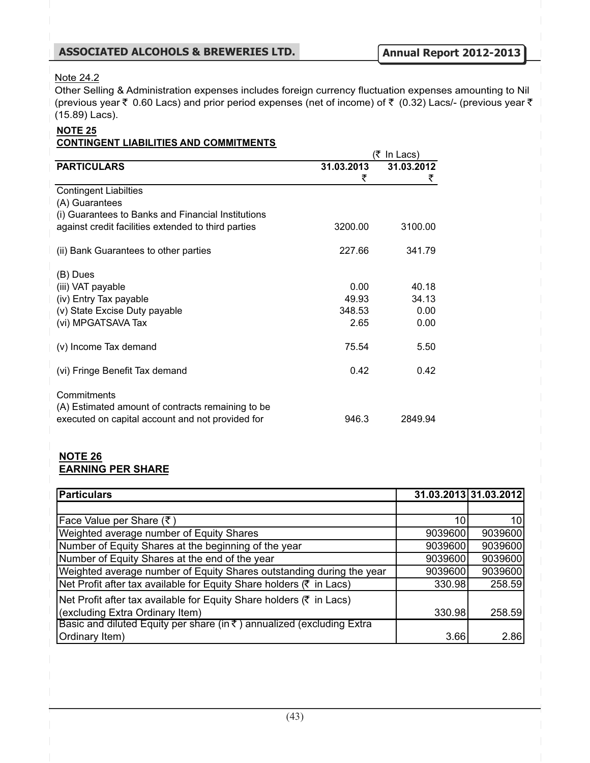# Note 24.2

Other Selling & Administration expenses includes foreign currency fluctuation expenses amounting to Nil | (previous year ₹ 0.60 Lacs) and prior period expenses (net of income) of ₹ (0.32) Lacs/- (previous year ₹ |  $(15.89)$  Lacs).

### **NOTE 25**

# **CONTINGENT LIABILITIES AND COMMITMENTS**

|                                                                                                                      | (₹ In Lacs) |            |  |
|----------------------------------------------------------------------------------------------------------------------|-------------|------------|--|
| <b>PARTICULARS</b>                                                                                                   | 31.03.2013  | 31.03.2012 |  |
|                                                                                                                      | ₹           | ₹          |  |
| <b>Contingent Liabilties</b>                                                                                         |             |            |  |
| (A) Guarantees                                                                                                       |             |            |  |
| (i) Guarantees to Banks and Financial Institutions                                                                   |             |            |  |
| against credit facilities extended to third parties                                                                  | 3200.00     | 3100.00    |  |
| (ii) Bank Guarantees to other parties                                                                                | 227.66      | 341.79     |  |
| (B) Dues                                                                                                             |             |            |  |
| (iii) VAT payable                                                                                                    | 0.00        | 40.18      |  |
| (iv) Entry Tax payable                                                                                               | 49.93       | 34.13      |  |
| (v) State Excise Duty payable                                                                                        | 348.53      | 0.00       |  |
| (vi) MPGATSAVA Tax                                                                                                   | 2.65        | 0.00       |  |
| (v) Income Tax demand                                                                                                | 75.54       | 5.50       |  |
| (vi) Fringe Benefit Tax demand                                                                                       | 0.42        | 0.42       |  |
| Commitments<br>(A) Estimated amount of contracts remaining to be<br>executed on capital account and not provided for | 946.3       | 2849.94    |  |

#### **NOTE 26 EARNING PER SHARE**

| <b>Particulars</b>                                                                |         | 31.03.2013 31.03.2012 |
|-----------------------------------------------------------------------------------|---------|-----------------------|
|                                                                                   |         |                       |
| Face Value per Share (₹)                                                          | 10      | 10                    |
| Weighted average number of Equity Shares                                          | 9039600 | 9039600               |
| Number of Equity Shares at the beginning of the year                              | 9039600 | 9039600               |
| Number of Equity Shares at the end of the year                                    | 9039600 | 9039600               |
| Weighted average number of Equity Shares outstanding during the year              | 9039600 | 9039600               |
| Net Profit after tax available for Equity Share holders (₹ in Lacs)               | 330.98  | 258.59                |
| Net Profit after tax available for Equity Share holders $(\bar{\tau})$ in Lacs)   |         |                       |
| (excluding Extra Ordinary Item)                                                   | 330.98  | 258.59                |
| Basic and diluted Equity per share (in $\bar{\tau}$ ) annualized (excluding Extra |         |                       |
| Ordinary Item)                                                                    | 3.66    | 2.86                  |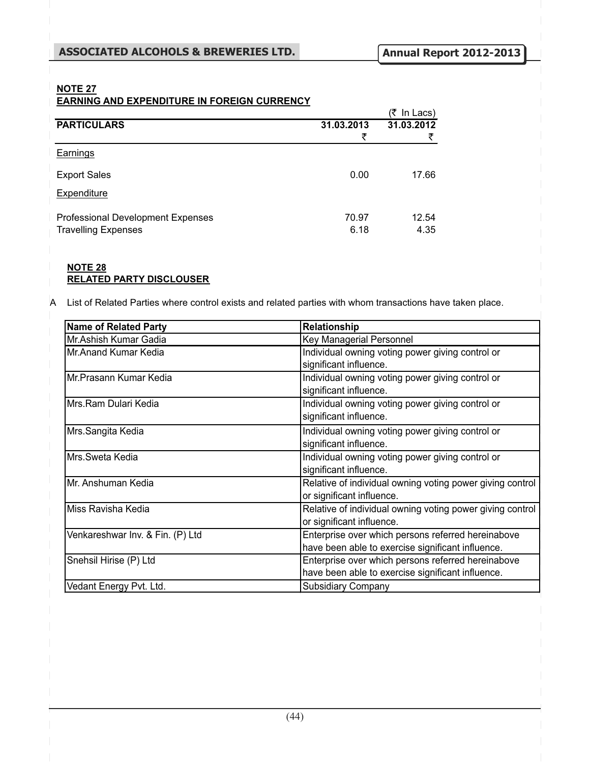# **NOTE 27**

# **EARNING AND EXPENDITURE IN FOREIGN CURRENCY**

|                                                                        |               | (₹<br>In Lacs) |
|------------------------------------------------------------------------|---------------|----------------|
| <b>PARTICULARS</b>                                                     | 31.03.2013    | 31.03.2012     |
|                                                                        |               |                |
| Earnings                                                               |               |                |
| <b>Export Sales</b>                                                    | 0.00          | 17.66          |
| Expenditure                                                            |               |                |
| <b>Professional Development Expenses</b><br><b>Travelling Expenses</b> | 70.97<br>6.18 | 12.54<br>4.35  |

#### **NOTE 28 RELATED PARTY DISCLOUSER**

 $\overline{A}$ List of Related Parties where control exists and related parties with whom transactions have taken place.

| <b>Name of Related Party</b>     | Relationship                                              |
|----------------------------------|-----------------------------------------------------------|
| Mr. Ashish Kumar Gadia           | Key Managerial Personnel                                  |
| Mr. Anand Kumar Kedia            | Individual owning voting power giving control or          |
|                                  | significant influence.                                    |
| Mr. Prasann Kumar Kedia          | Individual owning voting power giving control or          |
|                                  | significant influence.                                    |
| Mrs.Ram Dulari Kedia             | Individual owning voting power giving control or          |
|                                  | significant influence.                                    |
| Mrs.Sangita Kedia                | Individual owning voting power giving control or          |
|                                  | significant influence.                                    |
| Mrs.Sweta Kedia                  | Individual owning voting power giving control or          |
|                                  | significant influence.                                    |
| Mr. Anshuman Kedia               | Relative of individual owning voting power giving control |
|                                  | or significant influence.                                 |
| Miss Ravisha Kedia               | Relative of individual owning voting power giving control |
|                                  | or significant influence.                                 |
| Venkareshwar Inv. & Fin. (P) Ltd | Enterprise over which persons referred hereinabove        |
|                                  | have been able to exercise significant influence.         |
| Snehsil Hirise (P) Ltd           | Enterprise over which persons referred hereinabove        |
|                                  | have been able to exercise significant influence.         |
| Vedant Energy Pvt. Ltd.          | <b>Subsidiary Company</b>                                 |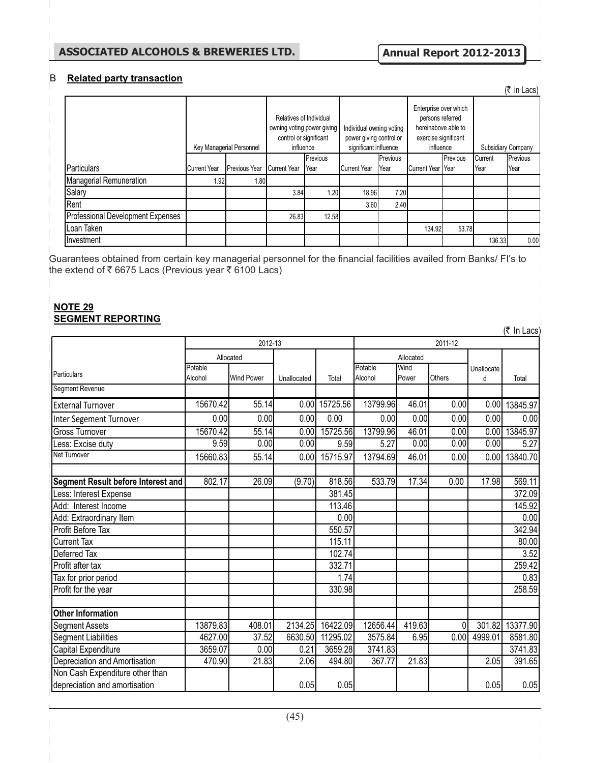#### B **Related party transaction**

|                                   |                     | Key Managerial Personnel          | Relatives of Individual<br>owning voting power giving<br>control or significant<br>influence |          | Individual owning voting<br>power giving control or<br>significant influence |             | Enterprise over which<br>persons referred<br>hereinabove able to<br>exercise significant<br>influence |          | Subsidiary Company |          |
|-----------------------------------|---------------------|-----------------------------------|----------------------------------------------------------------------------------------------|----------|------------------------------------------------------------------------------|-------------|-------------------------------------------------------------------------------------------------------|----------|--------------------|----------|
|                                   |                     |                                   |                                                                                              | Previous |                                                                              | Previous    |                                                                                                       | Previous | Current            | Previous |
| <b>Particulars</b>                | <b>Current Year</b> | <b>Previous Year Current Year</b> |                                                                                              | Year     | Current Year                                                                 | <b>Year</b> | Current Year Year                                                                                     |          | Year               | Year     |
| Managerial Remuneration           | 1.92                | 1.80                              |                                                                                              |          |                                                                              |             |                                                                                                       |          |                    |          |
| Salary                            |                     |                                   | 3.84                                                                                         | 1.20     | 18.96                                                                        | 7.20.       |                                                                                                       |          |                    |          |
| Rent                              |                     |                                   |                                                                                              |          | 3.60                                                                         | 2.40        |                                                                                                       |          |                    |          |
| Professional Development Expenses |                     |                                   | 26.83                                                                                        | 12.58    |                                                                              |             |                                                                                                       |          |                    |          |
| Loan Taken                        |                     |                                   |                                                                                              |          |                                                                              |             | 134.92                                                                                                | 53.78    |                    |          |
| Investment                        |                     |                                   |                                                                                              |          |                                                                              |             |                                                                                                       |          | 136.33             | 0.00     |

Guarantees obtained from certain key managerial personnel for the financial facilities availed from Banks/ FI's to the extend of ₹ 6675 Lacs (Previous year ₹ 6100 Lacs)

#### **NOTE 29 SEGMENT REPORTING**

|                                                                  |                    |                   |             |               |                    |               |          |                 | (₹ In Lacs)   |
|------------------------------------------------------------------|--------------------|-------------------|-------------|---------------|--------------------|---------------|----------|-----------------|---------------|
|                                                                  |                    | 2012-13           |             |               |                    |               | 2011-12  |                 |               |
|                                                                  | Allocated          |                   |             |               |                    | Allocated     |          |                 |               |
| Particulars                                                      | Potable<br>Alcohol | <b>Wind Power</b> | Unallocated | Total         | Potable<br>Alcohol | Wind<br>Power | Others   | Unallocate<br>d | Total         |
| <b>Segment Revenue</b>                                           |                    |                   |             |               |                    |               |          |                 |               |
| <b>External Turnover</b>                                         | 15670.42           | 55.14             |             | 0.00 15725.56 | 13799.96           | 46.01         | 0.00     | 0.00            | 13845.97      |
| Inter Segement Turnover                                          | 0.00               | 0.00              | 0.00        | 0.00          | 0.00               | 0.00          | 0.00     | 0.00            | 0.00          |
| <b>Gross Turnover</b>                                            | 15670.42           | 55.14             | 0.00        | 15725.56      | 13799.96           | 46.01         | 0.00     | 0.00            | 13845.97      |
| Less: Excise duty                                                | 9.59               | 0.00              | 0.00        | 9.59          | 5.27               | 0.00          | 0.00     | 0.00            | 5.27          |
| <b>Net Turnover</b>                                              | 15660.83           | 55.14             | 0.00        | 15715.97      | 13794.69           | 46.01         | 0.00     |                 | 0.00 13840.70 |
|                                                                  |                    |                   |             |               |                    |               |          |                 |               |
| <b>Segment Result before Interest and</b>                        | 802.17             | 26.09             | (9.70)      | 818.56        | 533.79             | 17.34         | 0.00     | 17.98           | 569.11        |
| Less: Interest Expense                                           |                    |                   |             | 381.45        |                    |               |          |                 | 372.09        |
| Add: Interest Income                                             |                    |                   |             | 113.46        |                    |               |          |                 | 145.92        |
| Add: Extraordinary Item                                          |                    |                   |             | 0.00          |                    |               |          |                 | 0.00          |
| Profit Before Tax                                                |                    |                   |             | 550.57        |                    |               |          |                 | 342.94        |
| <b>Current Tax</b>                                               |                    |                   |             | 115.11        |                    |               |          |                 | 80.00         |
| Deferred Tax                                                     |                    |                   |             | 102.74        |                    |               |          |                 | 3.52          |
| Profit after tax                                                 |                    |                   |             | 332.71        |                    |               |          |                 | 259.42        |
| Tax for prior period                                             |                    |                   |             | 1.74          |                    |               |          |                 | 0.83          |
| Profit for the year                                              |                    |                   |             | 330.98        |                    |               |          |                 | 258.59        |
| <b>Other Information</b>                                         |                    |                   |             |               |                    |               |          |                 |               |
| <b>Segment Assets</b>                                            | 13879.83           | 408.01            | 2134.25     | 16422.09      | 12656.44           | 419.63        | $\Omega$ | 301.82          | 13377.90      |
| <b>Segment Liabilities</b>                                       | 4627.00            | 37.52             | 6630.50     | 11295.02      | 3575.84            | 6.95          | 0.00     | 4999.01         | 8581.80       |
| Capital Expenditure                                              | 3659.07            | 0.00              | 0.21        | 3659.28       | 3741.83            |               |          |                 | 3741.83       |
| Depreciation and Amortisation                                    | 470.90             | 21.83             | 2.06        | 494.80        | 367.77             | 21.83         |          | 2.05            | 391.65        |
| Non Cash Expenditure other than<br>depreciation and amortisation |                    |                   | 0.05        | 0.05          |                    |               |          | 0.05            | 0.05          |

 $($ ₹ in Lacs)<sup> $|$ </sup>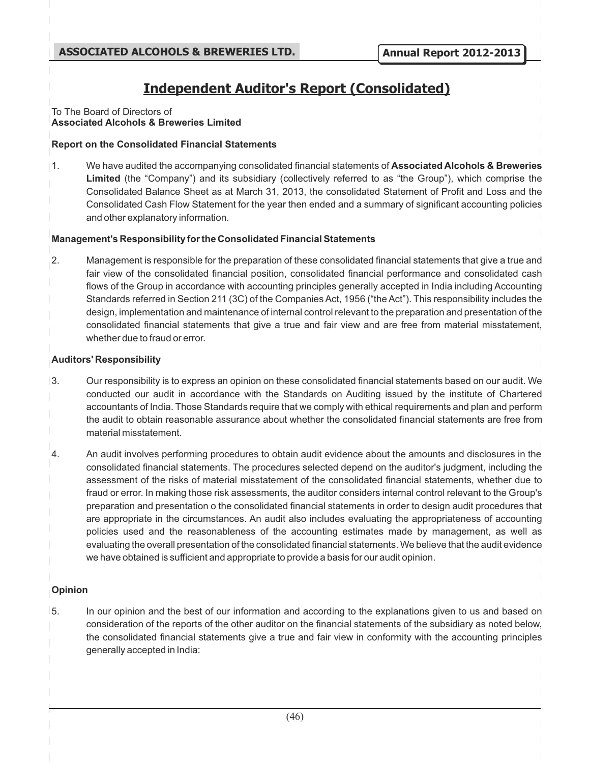# **Independent Auditor's Report (Consolidated)**

To The Board of Directors of **Associated Alcohols & Breweries Limited**

#### **Report on the Consolidated Financial Statements**

1. We have audited the accompanying consolidated financial statements of **Associated Alcohols & Breweries Limited** (the "Company") and its subsidiary (collectively referred to as "the Group"), which comprise the Consolidated Balance Sheet as at March 31, 2013, the consolidated Statement of Profit and Loss and the Consolidated Cash Flow Statement for the year then ended and a summary of significant accounting policies and other explanatory information.

### **Management's Responsibility for the Consolidated Financial Statements**

2. Management is responsible for the preparation of these consolidated financial statements that give a true and fair view of the consolidated financial position, consolidated financial performance and consolidated cash flows of the Group in accordance with accounting principles generally accepted in India including Accounting Standards referred in Section 211 (3C) of the Companies Act, 1956 ("the Act"). This responsibility includes the design, implementation and maintenance of internal control relevant to the preparation and presentation of the consolidated financial statements that give a true and fair view and are free from material misstatement, whether due to fraud or error.

#### **Auditors' Responsibility**

- 3. Our responsibility is to express an opinion on these consolidated financial statements based on our audit. We conducted our audit in accordance with the Standards on Auditing issued by the institute of Chartered accountants of India. Those Standards require that we comply with ethical requirements and plan and perform the audit to obtain reasonable assurance about whether the consolidated financial statements are free from material misstatement.
- 4. An audit involves performing procedures to obtain audit evidence about the amounts and disclosures in the consolidated financial statements. The procedures selected depend on the auditor's judgment, including the assessment of the risks of material misstatement of the consolidated financial statements, whether due to fraud or error. In making those risk assessments, the auditor considers internal control relevant to the Group's preparation and presentation o the consolidated financial statements in order to design audit procedures that are appropriate in the circumstances. An audit also includes evaluating the appropriateness of accounting policies used and the reasonableness of the accounting estimates made by management, as well as evaluating the overall presentation of the consolidated financial statements. We believe that the audit evidence we have obtained is sufficient and appropriate to provide a basis for our audit opinion.

# **Opinion**

 $\vert$ 5. In our opinion and the best of our information and according to the explanations given to us and based on consideration of the reports of the other auditor on the financial statements of the subsidiary as noted below, the consolidated financial statements give a true and fair view in conformity with the accounting principles generally accepted in India: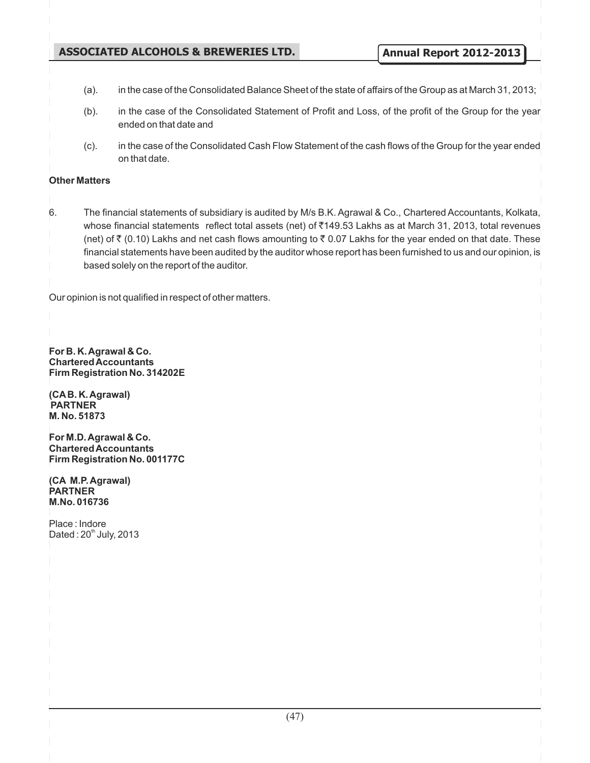- (a). in the case of the Consolidated Balance Sheet of the state of affairs of the Group as at March 31, 2013;
- (b). in the case of the Consolidated Statement of Profit and Loss, of the profit of the Group for the year ended on that date and
- (c). in the case of the Consolidated Cash Flow Statement of the cash flows of the Group for the year ended on that date.

### **Other Matters**

6. The financial statements of subsidiary is audited by M/s B.K. Agrawal & Co., Chartered Accountants, Kolkata, whose financial statements reflect total assets (net) of  $\overline{5}149.53$  Lakhs as at March 31, 2013, total revenues (net) of  $\bar{\tau}$  (0.10) Lakhs and net cash flows amounting to  $\bar{\tau}$  0.07 Lakhs for the year ended on that date. These financial statements have been audited by the auditor whose report has been furnished to us and our opinion, is based solely on the report of the auditor.

Our opinion is not qualified in respect of other matters.

**For B. K. Agrawal & Co. Chartered Accountants Firm Registration No. 314202E** 

**(CAB. K. Agrawal) PARTNER M. No. 51873** 

**For M.D. Agrawal & Co. Chartered Accountants Firm Registration No. 001177C**

**(CA M.P. Agrawal) PARTNER M.No. 016736**

Place : Indore Dated:  $20<sup>th</sup>$  July, 2013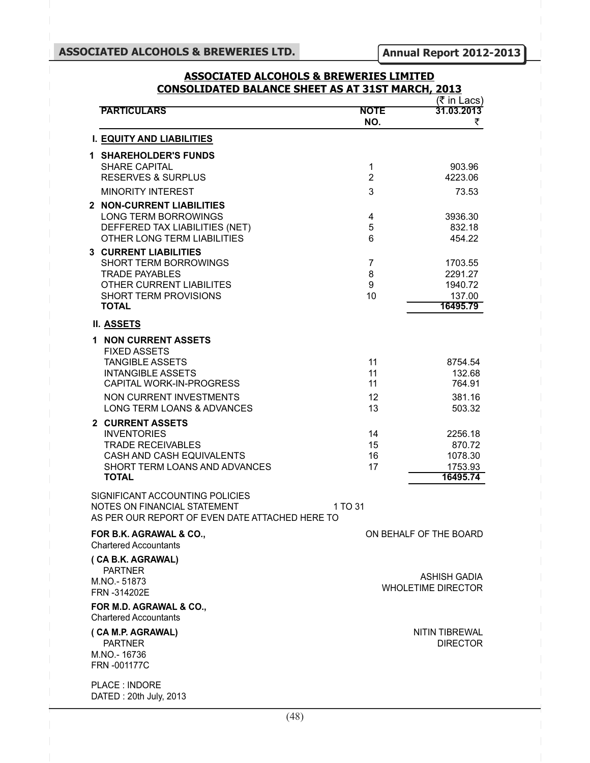#### **ASSOCIATED ALCOHOLS & BREWERIES LIMITED CONSOLIDATED BALANCE SHEET AS AT 31ST MARCH, 2013**

|                                                               |                    | (₹ in Lacs)               |
|---------------------------------------------------------------|--------------------|---------------------------|
| <b>PARTICULARS</b>                                            | <b>NOTE</b><br>NO. | 31.03.2013<br>₹           |
| <b>I. EQUITY AND LIABILITIES</b>                              |                    |                           |
| <b>1 SHAREHOLDER'S FUNDS</b>                                  |                    |                           |
| <b>SHARE CAPITAL</b>                                          | 1                  | 903.96                    |
| <b>RESERVES &amp; SURPLUS</b>                                 | $\overline{2}$     | 4223.06                   |
| <b>MINORITY INTEREST</b>                                      | 3                  | 73.53                     |
| 2 NON-CURRENT LIABILITIES                                     |                    |                           |
| <b>LONG TERM BORROWINGS</b><br>DEFFERED TAX LIABILITIES (NET) | 4<br>5             | 3936.30<br>832.18         |
| OTHER LONG TERM LIABILITIES                                   | 6                  | 454.22                    |
| <b>3 CURRENT LIABILITIES</b>                                  |                    |                           |
| <b>SHORT TERM BORROWINGS</b>                                  | $\overline{7}$     | 1703.55                   |
| <b>TRADE PAYABLES</b>                                         | 8                  | 2291.27                   |
| <b>OTHER CURRENT LIABILITES</b>                               | 9                  | 1940.72                   |
| <b>SHORT TERM PROVISIONS</b>                                  | 10                 | 137.00                    |
| <b>TOTAL</b>                                                  |                    | 16495.79                  |
| II. ASSETS                                                    |                    |                           |
| <b>1 NON CURRENT ASSETS</b>                                   |                    |                           |
| <b>FIXED ASSETS</b><br><b>TANGIBLE ASSETS</b>                 | 11                 | 8754.54                   |
| <b>INTANGIBLE ASSETS</b>                                      | 11                 | 132.68                    |
| <b>CAPITAL WORK-IN-PROGRESS</b>                               | 11                 | 764.91                    |
| <b>NON CURRENT INVESTMENTS</b>                                | 12                 | 381.16                    |
| <b>LONG TERM LOANS &amp; ADVANCES</b>                         | 13                 | 503.32                    |
| <b>2 CURRENT ASSETS</b>                                       |                    |                           |
| <b>INVENTORIES</b>                                            | 14                 | 2256.18                   |
| <b>TRADE RECEIVABLES</b>                                      | 15                 | 870.72<br>1078.30         |
| CASH AND CASH EQUIVALENTS<br>SHORT TERM LOANS AND ADVANCES    | 16<br>17           | 1753.93                   |
| <b>TOTAL</b>                                                  |                    | 16495.74                  |
| SIGNIFICANT ACCOUNTING POLICIES                               |                    |                           |
| NOTES ON FINANCIAL STATEMENT                                  | 1 TO 31            |                           |
| AS PER OUR REPORT OF EVEN DATE ATTACHED HERE TO               |                    |                           |
| FOR B.K. AGRAWAL & CO.,                                       |                    | ON BEHALF OF THE BOARD    |
| <b>Chartered Accountants</b>                                  |                    |                           |
| ( CA B.K. AGRAWAL)<br><b>PARTNER</b>                          |                    |                           |
| M.NO.-51873                                                   |                    | ASHISH GADIA              |
| FRN -314202E                                                  |                    | <b>WHOLETIME DIRECTOR</b> |
| FOR M.D. AGRAWAL & CO.,<br><b>Chartered Accountants</b>       |                    |                           |
| (CA M.P. AGRAWAL)                                             |                    | <b>NITIN TIBREWAL</b>     |
| <b>PARTNER</b>                                                |                    | <b>DIRECTOR</b>           |
| M.NO.- 16736                                                  |                    |                           |
| FRN -001177C                                                  |                    |                           |
| PLACE: INDORE                                                 |                    |                           |
| DATED: 20th July, 2013                                        |                    |                           |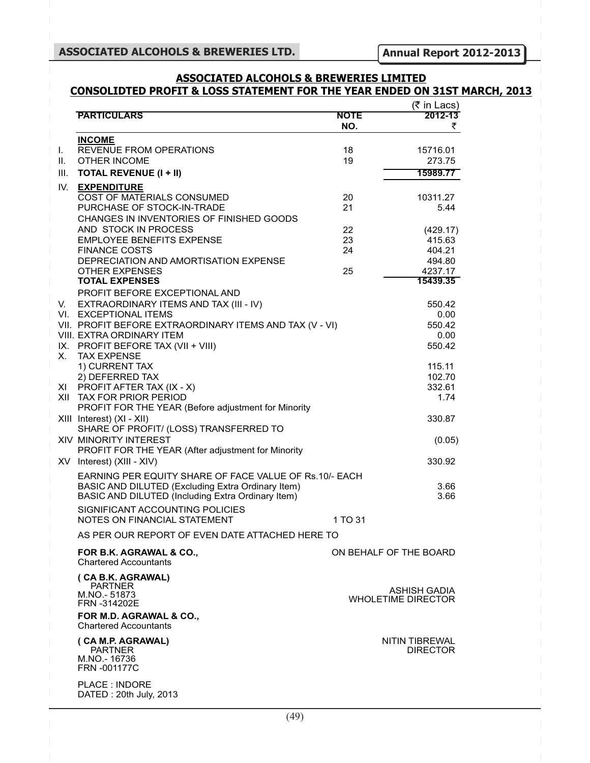# **ASSOCIATED ALCOHOLS & BREWERIES LIMITED CONSOLIDTED PROFIT & LOSS STATEMENT FOR THE YEAR ENDED ON 31ST MARCH, 2013**

|                                                                 |             | (₹ in Lacs)               |
|-----------------------------------------------------------------|-------------|---------------------------|
| <b>PARTICULARS</b>                                              | <b>NOTE</b> | 2012-13                   |
|                                                                 | NO.         | ₹                         |
| <b>INCOME</b>                                                   |             |                           |
| <b>REVENUE FROM OPERATIONS</b>                                  | 18          | 15716.01                  |
| <b>OTHER INCOME</b>                                             | 19          | 273.75                    |
| <b>TOTAL REVENUE (I + II)</b>                                   |             | 15989.77                  |
| <b>EXPENDITURE</b>                                              |             |                           |
| COST OF MATERIALS CONSUMED                                      | 20          | 10311.27                  |
| PURCHASE OF STOCK-IN-TRADE                                      | 21          | 5.44                      |
| CHANGES IN INVENTORIES OF FINISHED GOODS                        |             |                           |
| AND STOCK IN PROCESS                                            | 22          | (429.17)                  |
| <b>EMPLOYEE BENEFITS EXPENSE</b>                                | 23          | 415.63                    |
| <b>FINANCE COSTS</b>                                            | 24          | 404.21                    |
| DEPRECIATION AND AMORTISATION EXPENSE                           |             | 494.80                    |
| <b>OTHER EXPENSES</b><br><b>TOTAL EXPENSES</b>                  | 25          | 4237.17<br>15439.35       |
|                                                                 |             |                           |
| PROFIT BEFORE EXCEPTIONAL AND                                   |             |                           |
| EXTRAORDINARY ITEMS AND TAX (III - IV)<br>VI. EXCEPTIONAL ITEMS |             | 550.42                    |
| VII. PROFIT BEFORE EXTRAORDINARY ITEMS AND TAX (V - VI)         |             | 0.00<br>550.42            |
| VIII. EXTRA ORDINARY ITEM                                       |             | 0.00                      |
| IX. PROFIT BEFORE TAX (VII + VIII)                              |             | 550.42                    |
| <b>TAX EXPENSE</b>                                              |             |                           |
| 1) CURRENT TAX                                                  |             | 115.11                    |
| 2) DEFERRED TAX                                                 |             | 102.70                    |
| PROFIT AFTER TAX (IX - X)                                       |             | 332.61                    |
| TAX FOR PRIOR PERIOD                                            |             | 1.74                      |
| PROFIT FOR THE YEAR (Before adjustment for Minority             |             |                           |
| XIII Interest) (XI - XII)                                       |             | 330.87                    |
| SHARE OF PROFIT/ (LOSS) TRANSFERRED TO                          |             |                           |
| XIV MINORITY INTEREST                                           |             | (0.05)                    |
| PROFIT FOR THE YEAR (After adjustment for Minority              |             |                           |
| XV Interest) (XIII - XIV)                                       |             | 330.92                    |
| EARNING PER EQUITY SHARE OF FACE VALUE OF Rs.10/- EACH          |             |                           |
| BASIC AND DILUTED (Excluding Extra Ordinary Item)               |             | 3.66                      |
| BASIC AND DILUTED (Including Extra Ordinary Item)               |             | 3.66                      |
| SIGNIFICANT ACCOUNTING POLICIES                                 |             |                           |
| NOTES ON FINANCIAL STATEMENT                                    | 1 TO 31     |                           |
| AS PER OUR REPORT OF EVEN DATE ATTACHED HERE TO                 |             |                           |
|                                                                 |             |                           |
| FOR B.K. AGRAWAL & CO.,<br><b>Chartered Accountants</b>         |             | ON BEHALF OF THE BOARD    |
|                                                                 |             |                           |
| ( CA B.K. AGRAWAL)<br><b>PARTNER</b>                            |             |                           |
| M.NO.-51873                                                     |             | ASHISH GADIA              |
| FRN -314202E                                                    |             | <b>WHOLETIME DIRECTOR</b> |
| FOR M.D. AGRAWAL & CO.,                                         |             |                           |
| <b>Chartered Accountants</b>                                    |             |                           |
| (CA M.P. AGRAWAL)                                               |             | <b>NITIN TIBREWAL</b>     |
| <b>PARTNER</b>                                                  |             | <b>DIRECTOR</b>           |
| M.NO.-16736                                                     |             |                           |
| FRN -001177C                                                    |             |                           |
| PLACE : INDORE                                                  |             |                           |
| DATED: 20th July, 2013                                          |             |                           |
|                                                                 |             |                           |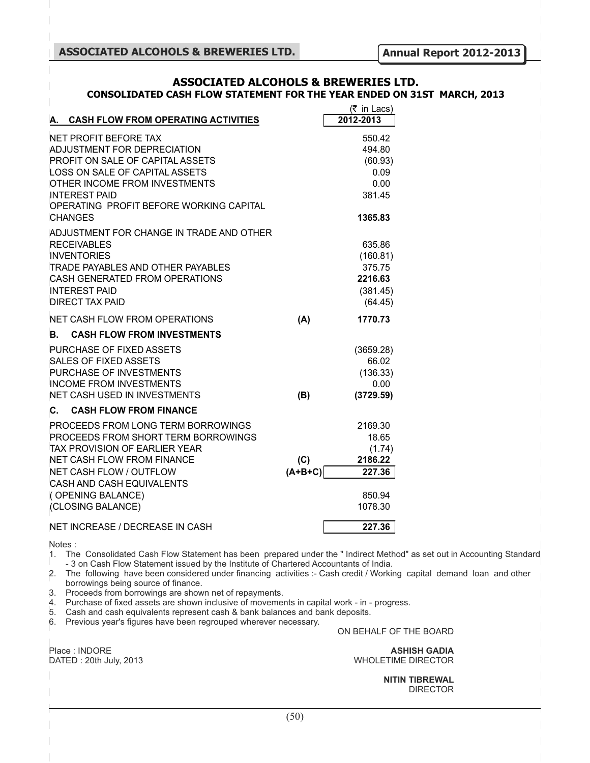#### **ASSOCIATED ALCOHOLS & BREWERIES LTD. CONSOLIDATED CASH FLOW STATEMENT FOR THE YEAR ENDED ON 31ST MARCH, 2013**

|                                                  |           | (₹ in Lacs) |
|--------------------------------------------------|-----------|-------------|
| A.<br><b>CASH FLOW FROM OPERATING ACTIVITIES</b> |           | 2012-2013   |
| NET PROFIT BEFORE TAX                            |           | 550.42      |
| ADJUSTMENT FOR DEPRECIATION                      |           | 494.80      |
| <b>PROFIT ON SALE OF CAPITAL ASSETS</b>          |           | (60.93)     |
| LOSS ON SALE OF CAPITAL ASSETS                   |           | 0.09        |
| <b>OTHER INCOME FROM INVESTMENTS</b>             |           | 0.00        |
| <b>INTEREST PAID</b>                             |           | 381.45      |
| OPERATING PROFIT BEFORE WORKING CAPITAL          |           |             |
| <b>CHANGES</b>                                   |           | 1365.83     |
| <b>ADJUSTMENT FOR CHANGE IN TRADE AND OTHER</b>  |           |             |
| <b>RECEIVABLES</b>                               |           | 635.86      |
| <b>INVENTORIES</b>                               |           | (160.81)    |
| <b>TRADE PAYABLES AND OTHER PAYABLES</b>         |           | 375.75      |
| CASH GENERATED FROM OPERATIONS                   |           | 2216.63     |
| <b>INTEREST PAID</b>                             |           | (381.45)    |
| <b>DIRECT TAX PAID</b>                           |           | (64.45)     |
| NET CASH FLOW FROM OPERATIONS                    | (A)       | 1770.73     |
| В.<br><b>CASH FLOW FROM INVESTMENTS</b>          |           |             |
| <b>PURCHASE OF FIXED ASSETS</b>                  |           | (3659.28)   |
| <b>SALES OF FIXED ASSETS</b>                     |           | 66.02       |
| PURCHASE OF INVESTMENTS                          |           | (136.33)    |
| INCOME FROM INVESTMENTS                          |           | 0.00        |
| <b>NET CASH USED IN INVESTMENTS</b>              | (B)       | (3729.59)   |
| <b>CASH FLOW FROM FINANCE</b><br>C.              |           |             |
| PROCEEDS FROM LONG TERM BORROWINGS               |           | 2169.30     |
| PROCEEDS FROM SHORT TERM BORROWINGS              |           | 18.65       |
| <b>TAX PROVISION OF EARLIER YEAR</b>             |           | (1.74)      |
| NET CASH FLOW FROM FINANCE                       | (C)       | 2186.22     |
| NET CASH FLOW / OUTFLOW                          | $(A+B+C)$ | 227.36      |
| CASH AND CASH EQUIVALENTS                        |           |             |
| (OPENING BALANCE)                                |           | 850.94      |
| (CLOSING BALANCE)                                |           | 1078.30     |
| NET INCREASE / DECREASE IN CASH                  |           | 227.36      |

Notes :

1. The Consolidated Cash Flow Statement has been prepared under the " Indirect Method" as set out in Accounting Standard - 3 on Cash Flow Statement issued by the Institute of Chartered Accountants of India.

2. The following have been considered under financing activities :- Cash credit / Working capital demand loan and other borrowings being source of finance.

3. Proceeds from borrowings are shown net of repayments.

4. Purchase of fixed assets are shown inclusive of movements in capital work - in - progress.

5. Cash and cash equivalents represent cash & bank balances and bank deposits.

6. Previous year's figures have been regrouped wherever necessary.

ON BEHALF OF THE BOARD

Place : INDORE **ASHISH GADIA**   $DATAE$  : 20th July, 2013

**NITIN TIBREWAL**  DIRECTOR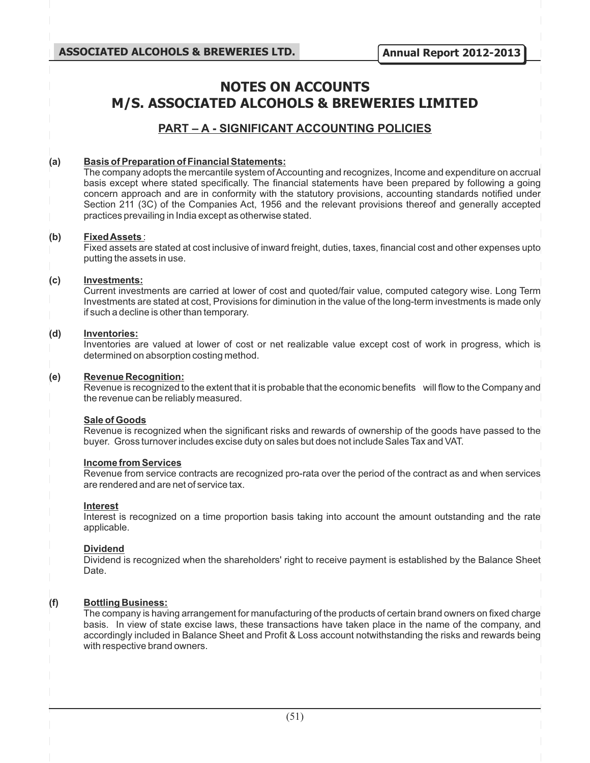# **NOTES ON ACCOUNTS M/S. ASSOCIATED ALCOHOLS & BREWERIES LIMITED**

# **PART – A - SIGNIFICANT ACCOUNTING POLICIES**

#### **(a) Basis of Preparation of Financial Statements:**

The company adopts the mercantile system of Accounting and recognizes, Income and expenditure on accrual basis except where stated specifically. The financial statements have been prepared by following a going concern approach and are in conformity with the statutory provisions, accounting standards notified under Section 211 (3C) of the Companies Act, 1956 and the relevant provisions thereof and generally accepted practices prevailing in India except as otherwise stated.

#### **(b) Fixed Assets** :

Fixed assets are stated at cost inclusive of inward freight, duties, taxes, financial cost and other expenses upto putting the assets in use.

#### **(c) Investments:**

Current investments are carried at lower of cost and quoted/fair value, computed category wise. Long Term Investments are stated at cost, Provisions for diminution in the value of the long-term investments is made only if such a decline is other than temporary.

#### **(d) Inventories:**

Inventories are valued at lower of cost or net realizable value except cost of work in progress, which is determined on absorption costing method.

#### **(e) Revenue Recognition:**

Revenue is recognized to the extent that it is probable that the economic benefits will flow to the Company and the revenue can be reliably measured.

#### **Sale of Goods**

Revenue is recognized when the significant risks and rewards of ownership of the goods have passed to the buyer. Gross turnover includes excise duty on sales but does not include Sales Tax and VAT.

#### **Income from Services**

Revenue from service contracts are recognized pro-rata over the period of the contract as and when services are rendered and are net of service tax.

#### **Interest**

Interest is recognized on a time proportion basis taking into account the amount outstanding and the rate applicable.

#### **Dividend**

Dividend is recognized when the shareholders' right to receive payment is established by the Balance Sheet Date.

#### **(f) Bottling Business:**

The company is having arrangement for manufacturing of the products of certain brand owners on fixed charge basis. In view of state excise laws, these transactions have taken place in the name of the company, and accordingly included in Balance Sheet and Profit & Loss account notwithstanding the risks and rewards being with respective brand owners.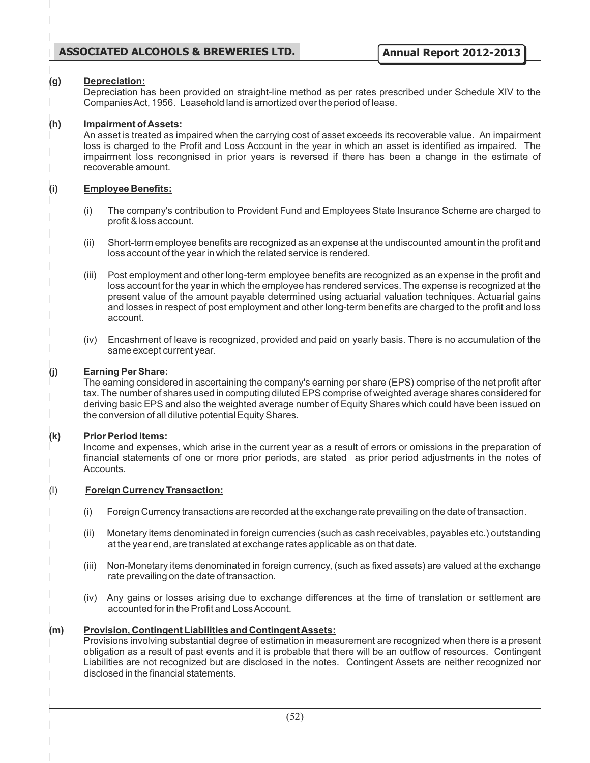#### **(g) Depreciation:**

Depreciation has been provided on straight-line method as per rates prescribed under Schedule XIV to the Companies Act, 1956. Leasehold land is amortized over the period of lease.

#### **(h) Impairment of Assets:**

An asset is treated as impaired when the carrying cost of asset exceeds its recoverable value. An impairment loss is charged to the Profit and Loss Account in the year in which an asset is identified as impaired. The impairment loss recongnised in prior years is reversed if there has been a change in the estimate of recoverable amount.

#### **(i) Employee Benefits:**

- (i) The company's contribution to Provident Fund and Employees State Insurance Scheme are charged to profit & loss account.
- (ii) Short-term employee benefits are recognized as an expense at the undiscounted amount in the profit and loss account of the year in which the related service is rendered.
- (iii) Post employment and other long-term employee benefits are recognized as an expense in the profit and loss account for the year in which the employee has rendered services. The expense is recognized at the present value of the amount payable determined using actuarial valuation techniques. Actuarial gains and losses in respect of post employment and other long-term benefits are charged to the profit and loss account.
- (iv) Encashment of leave is recognized, provided and paid on yearly basis. There is no accumulation of the same except current year.

#### **(j) Earning Per Share:**

The earning considered in ascertaining the company's earning per share (EPS) comprise of the net profit after tax. The number of shares used in computing diluted EPS comprise of weighted average shares considered for deriving basic EPS and also the weighted average number of Equity Shares which could have been issued on the conversion of all dilutive potential Equity Shares.

#### **(k) Prior Period Items:**

Income and expenses, which arise in the current year as a result of errors or omissions in the preparation of financial statements of one or more prior periods, are stated as prior period adjustments in the notes of **Accounts** 

#### (l) **Foreign Currency Transaction:**

- (i) Foreign Currency transactions are recorded at the exchange rate prevailing on the date of transaction.
- (ii) Monetary items denominated in foreign currencies (such as cash receivables, payables etc.) outstanding at the year end, are translated at exchange rates applicable as on that date.
- (iii) Non-Monetary items denominated in foreign currency, (such as fixed assets) are valued at the exchange rate prevailing on the date of transaction.
- (iv) Any gains or losses arising due to exchange differences at the time of translation or settlement are accounted for in the Profit and Loss Account.

#### **(m) Provision, Contingent Liabilities and Contingent Assets:**

Provisions involving substantial degree of estimation in measurement are recognized when there is a present obligation as a result of past events and it is probable that there will be an outflow of resources. Contingent Liabilities are not recognized but are disclosed in the notes. Contingent Assets are neither recognized nor disclosed in the financial statements.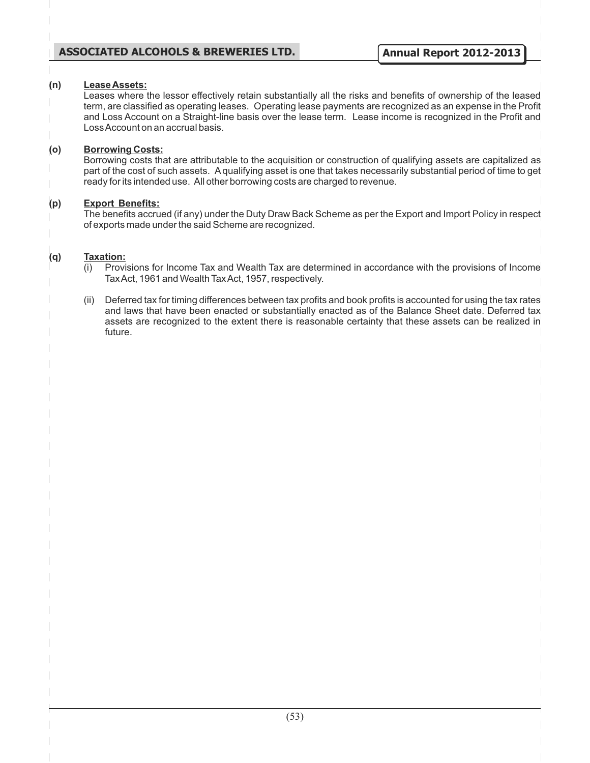#### **(n) Lease Assets:**

Leases where the lessor effectively retain substantially all the risks and benefits of ownership of the leased term, are classified as operating leases. Operating lease payments are recognized as an expense in the Profit and Loss Account on a Straight-line basis over the lease term. Lease income is recognized in the Profit and Loss Account on an accrual basis.

#### **(o) Borrowing Costs:**

Borrowing costs that are attributable to the acquisition or construction of qualifying assets are capitalized as part of the cost of such assets. Aqualifying asset is one that takes necessarily substantial period of time to get ready for its intended use. All other borrowing costs are charged to revenue.

#### **(p) Export Benefits:**

The benefits accrued (if any) under the Duty Draw Back Scheme as per the Export and Import Policy in respect of exports made under the said Scheme are recognized.

#### **(q) Taxation:**

- (i) Provisions for Income Tax and Wealth Tax are determined in accordance with the provisions of Income Tax Act, 1961 and Wealth Tax Act, 1957, respectively.
- (ii) Deferred tax for timing differences between tax profits and book profits is accounted for using the tax rates and laws that have been enacted or substantially enacted as of the Balance Sheet date. Deferred tax assets are recognized to the extent there is reasonable certainty that these assets can be realized in future.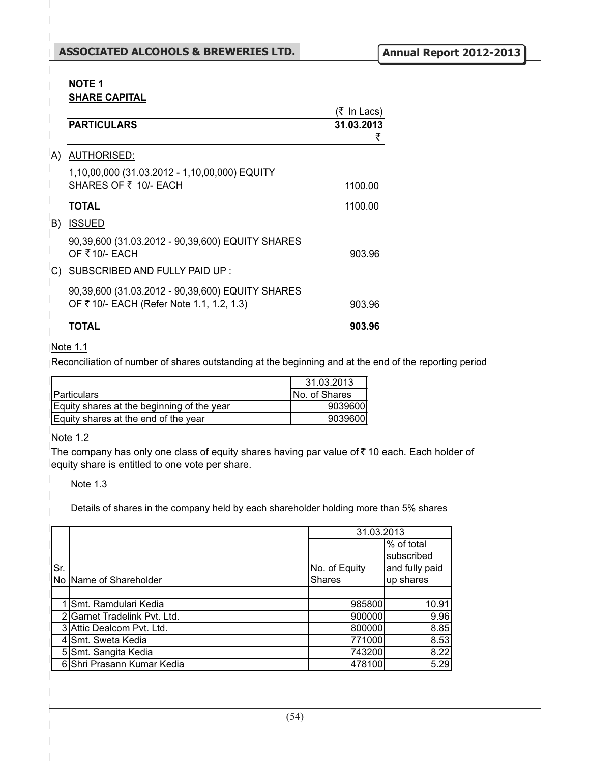### **NOTE 1**

### **SHARE CAPITAL**

|     |                                                                                              | (₹ In Lacs) |
|-----|----------------------------------------------------------------------------------------------|-------------|
|     | <b>PARTICULARS</b>                                                                           | 31.03.2013  |
|     |                                                                                              |             |
| 'A) | <b>AUTHORISED:</b>                                                                           |             |
|     | 1,10,00,000 (31.03.2012 - 1,10,00,000) EQUITY                                                |             |
|     | SHARES OF ₹ 10/- EACH                                                                        | 1100.00     |
|     | <b>TOTAL</b>                                                                                 | 1100.00     |
| B)  | <b>ISSUED</b>                                                                                |             |
|     | 90,39,600 (31.03.2012 - 90,39,600) EQUITY SHARES<br>OF ₹10/- EACH                            | 903.96      |
| C)  | SUBSCRIBED AND FULLY PAID UP :                                                               |             |
|     | 90,39,600 (31.03.2012 - 90,39,600) EQUITY SHARES<br>OF ₹10/- EACH (Refer Note 1.1, 1.2, 1.3) | 903.96      |
|     | <b>TOTAL</b>                                                                                 | 903.96      |

### Note 1.1

Reconciliation of number of shares outstanding at the beginning and at the end of the reporting period

|                                            | 31.03.2013    |
|--------------------------------------------|---------------|
| ⊪l Particulars                             | No. of Shares |
| Equity shares at the beginning of the year | 9039600       |
| Equity shares at the end of the year       | 9039600       |

Note 1.2

The company has only one class of equity shares having par value of  $\bar{\tau}$  10 each. Each holder of lequity share is entitled to one vote per share.

# Note 1.3

Details of shares in the company held by each shareholder holding more than 5% shares

|      |                            | 31.03.2013    |                |
|------|----------------------------|---------------|----------------|
|      |                            |               | % of total     |
|      |                            |               | subscribed     |
| Sr.  |                            | No. of Equity | and fully paid |
| l No | Name of Shareholder        | <b>Shares</b> | up shares      |
|      |                            |               |                |
|      | Smt. Ramdulari Kedia       | 985800        | 10.91          |
|      | Garnet Tradelink Pvt. Ltd. | 900000        | 9.96           |
|      | 3 Attic Dealcom Pvt. Ltd.  | 800000        | 8.85           |
|      | Smt. Sweta Kedia           | 771000        | 8.53           |
|      | 5 Smt. Sangita Kedia       | 743200        | 8.22           |
|      | 6 Shri Prasann Kumar Kedia | 478100        | 5.29           |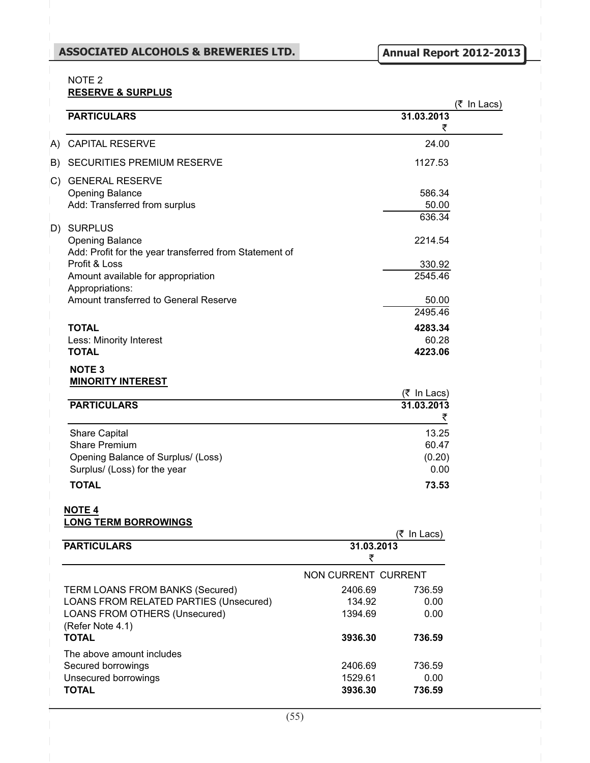NOTE 2

# **RESERVE & SURPLUS**

|    | .                                                      |                     |                 | $(5 \text{ In}$ Lacs) |
|----|--------------------------------------------------------|---------------------|-----------------|-----------------------|
|    | <b>PARTICULARS</b>                                     |                     | 31.03.2013<br>₹ |                       |
| A) | <b>CAPITAL RESERVE</b>                                 |                     | 24.00           |                       |
| B) | SECURITIES PREMIUM RESERVE                             |                     | 1127.53         |                       |
| C) | <b>GENERAL RESERVE</b>                                 |                     |                 |                       |
|    | <b>Opening Balance</b>                                 |                     | 586.34          |                       |
|    | Add: Transferred from surplus                          |                     | 50.00           |                       |
|    |                                                        |                     | 636.34          |                       |
| D) | <b>SURPLUS</b>                                         |                     |                 |                       |
|    | <b>Opening Balance</b>                                 |                     | 2214.54         |                       |
|    | Add: Profit for the year transferred from Statement of |                     |                 |                       |
|    | Profit & Loss                                          |                     | 330.92          |                       |
|    | Amount available for appropriation                     |                     | 2545.46         |                       |
|    | Appropriations:                                        |                     |                 |                       |
|    | Amount transferred to General Reserve                  |                     | 50.00           |                       |
|    |                                                        |                     | 2495.46         |                       |
|    | <b>TOTAL</b>                                           |                     | 4283.34         |                       |
|    | Less: Minority Interest                                |                     | 60.28           |                       |
|    | <b>TOTAL</b>                                           |                     | 4223.06         |                       |
|    | <b>NOTE 3</b>                                          |                     |                 |                       |
|    | <b>MINORITY INTEREST</b>                               |                     |                 |                       |
|    |                                                        |                     | (₹ In Lacs)     |                       |
|    | <b>PARTICULARS</b>                                     |                     | 31.03.2013      |                       |
|    |                                                        |                     | ₹               |                       |
|    | <b>Share Capital</b>                                   |                     | 13.25           |                       |
|    | <b>Share Premium</b>                                   |                     | 60.47           |                       |
|    | Opening Balance of Surplus/ (Loss)                     |                     | (0.20)          |                       |
|    | Surplus/ (Loss) for the year                           |                     | 0.00            |                       |
|    | <b>TOTAL</b>                                           |                     | 73.53           |                       |
|    | <b>NOTE 4</b><br><b>LONG TERM BORROWINGS</b>           |                     |                 |                       |
|    |                                                        |                     | (₹ In Lacs)     |                       |
|    | <b>PARTICULARS</b>                                     | 31.03.2013<br>₹     |                 |                       |
|    |                                                        | NON CURRENT CURRENT |                 |                       |
|    | <b>TERM LOANS FROM BANKS (Secured)</b>                 | 2406.69             | 736.59          |                       |
|    | LOANS FROM RELATED PARTIES (Unsecured)                 | 134.92              | 0.00            |                       |
|    | LOANS FROM OTHERS (Unsecured)                          | 1394.69             | 0.00            |                       |
|    | (Refer Note 4.1)                                       |                     |                 |                       |
|    | <b>TOTAL</b>                                           | 3936.30             | 736.59          |                       |
|    | The above amount includes                              |                     |                 |                       |
|    | Secured borrowings                                     | 2406.69             | 736.59          |                       |
|    | Unsecured borrowings                                   | 1529.61             | 0.00            |                       |
|    | <b>TOTAL</b>                                           | 3936.30             | 736.59          |                       |
|    |                                                        |                     |                 |                       |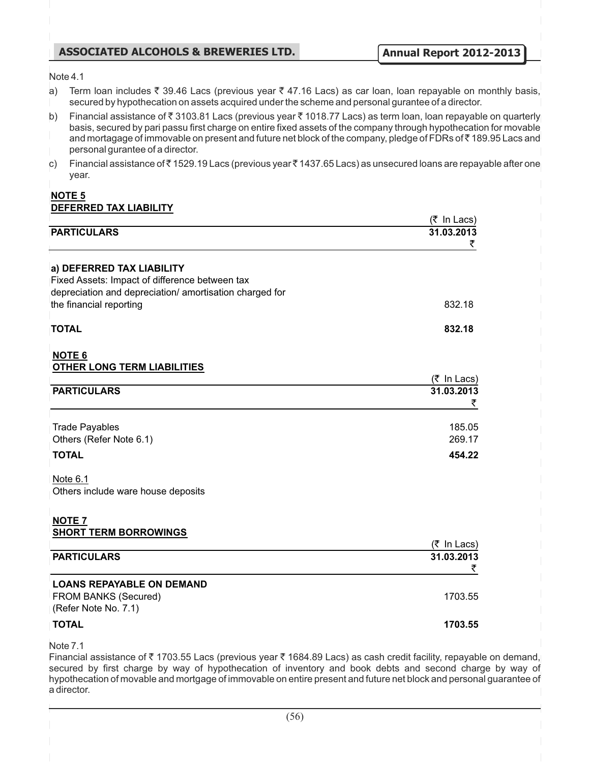Note 4.1

- a) Term loan includes  $\bar{\tau}$  39.46 Lacs (previous year  $\bar{\tau}$  47.16 Lacs) as car loan, loan repayable on monthly basis, secured by hypothecation on assets acquired under the scheme and personal gurantee of a director.
- b) Financial assistance of  $\bar{z}$  3103.81 Lacs (previous year  $\bar{z}$  1018.77 Lacs) as term loan, loan repayable on quarterly basis, secured by pari passu first charge on entire fixed assets of the company through hypothecation for movable and mortagage of immovable on present and future net block of the company, pledge of FDRs of ₹189.95 Lacs and personal gurantee of a director.
- c) Financial assistance of  $\bar{\tau}$  1529.19 Lacs (previous year  $\bar{\tau}$  1437.65 Lacs) as unsecured loans are repayable after one year.

### **NOTE 5 DEFERRED TAX LIABILITY**

|                                                         | $(₹$ In Lacs)                 |
|---------------------------------------------------------|-------------------------------|
| <b>PARTICULARS</b>                                      | 31.03.2013                    |
|                                                         | ₹                             |
| a) DEFERRED TAX LIABILITY                               |                               |
| Fixed Assets: Impact of difference between tax          |                               |
| depreciation and depreciation/ amortisation charged for |                               |
| the financial reporting                                 | 832.18                        |
|                                                         |                               |
| <b>TOTAL</b>                                            | 832.18                        |
|                                                         |                               |
| <b>NOTE 6</b>                                           |                               |
| <b>OTHER LONG TERM LIABILITIES</b>                      |                               |
|                                                         | $(5 \text{ In } \text{Lacs})$ |
| <b>PARTICULARS</b>                                      | 31.03.2013                    |
|                                                         | ₹                             |
| <b>Trade Payables</b>                                   | 185.05                        |
| Others (Refer Note 6.1)                                 | 269.17                        |
|                                                         |                               |
| <b>TOTAL</b>                                            | 454.22                        |
| Note 6.1                                                |                               |
| Others include ware house deposits                      |                               |
|                                                         |                               |
| <b>NOTE 7</b>                                           |                               |
| <b>SHORT TERM BORROWINGS</b>                            |                               |
|                                                         | (₹ In Lacs)                   |
| <b>PARTICULARS</b>                                      | 31.03.2013                    |
|                                                         | ₹                             |
| <b>LOANS REPAYABLE ON DEMAND</b>                        |                               |
| FROM BANKS (Secured)                                    | 1703.55                       |
| (Refer Note No. 7.1)                                    |                               |
| <b>TOTAL</b>                                            | 1703.55                       |
|                                                         |                               |

Note 7.1

Financial assistance of ₹1703.55 Lacs (previous year ₹1684.89 Lacs) as cash credit facility, repayable on demand, secured by first charge by way of hypothecation of inventory and book debts and second charge by way of hypothecation of movable and mortgage of immovable on entire present and future net block and personal guarantee of a director.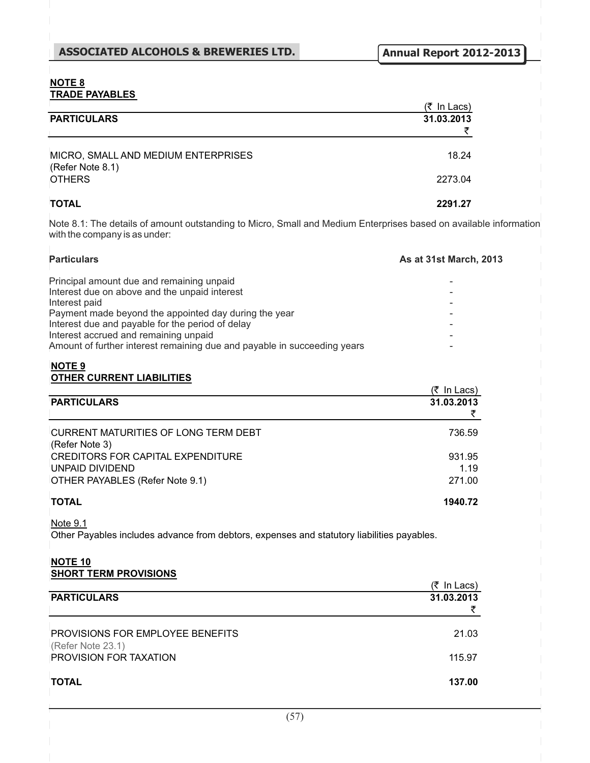| <b>ASSOCIATED ALCOHOLS &amp; BREWERIES LTD.</b>                          | Annual Report 2012-2013 |
|--------------------------------------------------------------------------|-------------------------|
| $NOTE$ 8<br><b>TRADE PAYABLES</b>                                        | (₹ In Lacs)             |
| <b>PARTICULARS</b>                                                       | 31.03.2013              |
| MICRO, SMALL AND MEDIUM ENTERPRISES<br>(Refer Note 8.1)<br><b>OTHERS</b> | 18.24<br>2273.04        |

Note 8.1: The details of amount outstanding to Micro, Small and Medium Enterprises based on available information with the company is as under:

| <b>Particulars</b>                                                       | <b>As at 31st March, 2013</b> |
|--------------------------------------------------------------------------|-------------------------------|
| Principal amount due and remaining unpaid                                |                               |
| Interest due on above and the unpaid interest                            |                               |
| Interest paid                                                            |                               |
| Payment made beyond the appointed day during the year                    |                               |
| Interest due and payable for the period of delay                         |                               |
| Interest accrued and remaining unpaid                                    |                               |
| Amount of further interest remaining due and payable in succeeding years |                               |
| $NATF$ $\alpha$                                                          |                               |

**TOTAL 2291.27**

#### **NOTE 9 OTHER CURRENT LIABILITIES**

|                                                        | (₹ In Lacs) |
|--------------------------------------------------------|-------------|
| <b>PARTICULARS</b>                                     | 31.03.2013  |
|                                                        |             |
| CURRENT MATURITIES OF LONG TERM DEBT<br>(Refer Note 3) | 736.59      |
| CREDITORS FOR CAPITAL EXPENDITURE.                     | 931.95      |
| 'UNPAID DIVIDEND                                       | 1.19        |
| OTHER PAYABLES (Refer Note 9.1)                        | 271.00      |
| <b>TOTAL</b>                                           | 1940.72     |

 $N$ ote 9.1

 $\overline{1}$ 

Other Payables includes advance from debtors, expenses and statutory liabilities payables.

#### **NOTE 10 SHORT TERM PROVISIONS**

|                                                              | $(5 \text{ In}$ Lacs) |
|--------------------------------------------------------------|-----------------------|
| <b>PARTICULARS</b>                                           | 31.03.2013            |
|                                                              |                       |
| <b>PROVISIONS FOR EMPLOYEE BENEFITS</b><br>(Refer Note 23.1) | 21.03                 |
| <b>PROVISION FOR TAXATION</b>                                | 115.97                |
| <b>TOTAL</b>                                                 | 137.00                |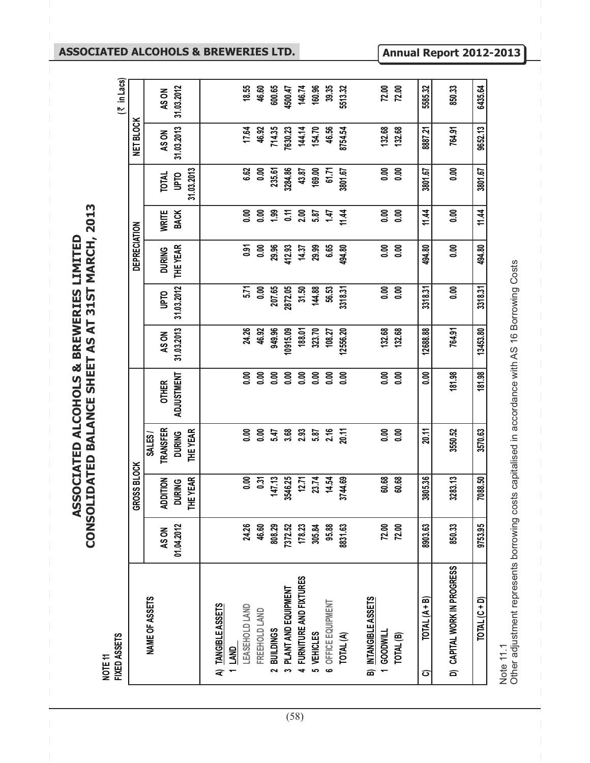**ASSOCIATED ALCOHOLS & BREWERIES LIMITED**

CONSOLIDATED BALANCE SHEET AS AT 31ST MARCH, 2013 ASSOCIATED ALCOHOLS & BREWERIES LIMITED

|                                          |                     |                                  |                                            | <b>CONSOLIDATED BALANCE SHEET</b> | $\mathbf{z}$<br>4   |                   | 31ST MARCH,               | <b>2013</b>          |                  |                     |                        |  |
|------------------------------------------|---------------------|----------------------------------|--------------------------------------------|-----------------------------------|---------------------|-------------------|---------------------------|----------------------|------------------|---------------------|------------------------|--|
| FIXED ASSETS<br>NOTE <sub>11</sub>       |                     |                                  |                                            |                                   |                     |                   |                           |                      |                  |                     | $(3 \times 1)$ in Lacs |  |
|                                          |                     | <b>GROSS BLOCK</b>               |                                            |                                   |                     |                   | DEPRECIATION              |                      |                  | <b>NET BLOCK</b>    |                        |  |
| NAME OF ASSETS                           | 01.04.2012<br>AS ON | <b>ADDITION</b><br><b>DURING</b> | <b>TRANSFER</b><br><b>DURING</b><br>SALES/ | ADJUSTMENT<br><b>OTHER</b>        | 31.03.2013<br>AS ON | 31.03.2012<br>DLE | THE YEAR<br><b>DURING</b> | BACK<br><b>WRITE</b> | TOTAL<br>DLd     | 31.03.2013<br>AS ON | 31.03.2012<br>AS ON    |  |
|                                          |                     | THE YEAR                         | THE YEAR                                   |                                   |                     |                   |                           |                      | 31.03.2013       |                     |                        |  |
| A) TANGIBLE ASSETS<br>1 LAND             |                     |                                  |                                            |                                   |                     |                   |                           |                      |                  |                     |                        |  |
| LEASEHOLD LAND                           | 24.26               | 0.00                             | 0.00                                       | $\overline{0.00}$                 | 24.26               |                   | 6:0                       | $\frac{8}{9}$        | 6.62             | 17.64               | 18.55                  |  |
| FREEHOLD LAND                            | 46.60               | 631                              | $\mathbf{5}$                               | $\overline{0}$                    | 46.92               | 5.71<br>0.00      | $\mathfrak{g}_0$          | $\mathbf{0.00}$      | $\mathfrak{g}_0$ | 46.92               | 46.60                  |  |
| 2 BUILDINGS                              | 808.29              | 147.13                           | 5.47                                       | $\overline{0.00}$                 | 949.96              | 207.65            | 29.96                     | 1,99                 | 235.61           | 714.35              | 600.65                 |  |
| 3 PLANT AND EQUIPMENT                    | 7372.52             | 3546.25                          | 3.68                                       | $\mathbf{5}$                      | 10915.09            | 2872.05           | 412.93                    | $\overline{5}$       | 3284.86          | 7630.23             | 4500.47                |  |
| FURNITURE AND FIXTURES<br>$\overline{a}$ | 178.23              | 12.71                            | 2.93                                       | $\overline{0.00}$                 | 188.01              | 31.50             | 14.37                     | 2.00                 | 43.87            | 144.14              | 146.74                 |  |
| 5 VEHICLES                               | 305.84              | 23.74                            | 5.87                                       | 0.00                              | 323.70              | 144.88            | 29.99                     | 5.87                 | 169.00           | 154.70              | 160.96                 |  |
| 6 OFFICE EQUIPMENT                       | 95.88               | 14.54                            | 2.16                                       | 0.00                              | 108.27              | 56.53             | <b>6.65</b>               | 147                  | 61.71            | 46.56               | 39.35                  |  |
| TOTAL (A)                                | 8831.63             | 3744.69                          | 20.11                                      | $\mathbf{5}$                      | 12556.20            | 3318.31           | 494.80                    | 11.4                 | 3801.67          | 8754.54             | 5513.32                |  |
| B) INTANGIBLE ASSETS                     |                     |                                  |                                            |                                   |                     |                   |                           |                      |                  |                     |                        |  |
| 1 GOODWILL                               | 72.00               | 60.68                            | $\mathbf{5}$                               | 0.00                              | 132.68              | $\mathbf{5}$      | $\mathbf{0.00}$           | $\overline{0.00}$    | $\mathbf{5}$     | 132.68              | 72.00                  |  |
| TOTAL (B)                                | 72.00               | 60.68                            | $\mathbf{5}$                               | $\mathbf{0.00}$                   | 132.68              | $\mathbf{0.00}$   | ទី                        | ទី                   | $\mathbf{5}$     | 132.68              | 72.00                  |  |
| TOTAL (A + B)<br>$\sigma$                | 8903.63             | 3805.36                          | 20.11                                      | 0.00                              | 12688.88            | 3318.31           | 494.80                    | 11.44                | 3801.67          | 887.21              | 5585.32                |  |
| D) CAPITAL WORK IN PROGRESS              | 850.33              | 3283.13                          | 3550.52                                    | 181.98                            | 764.91              | 0.00              | 0.00                      | 0.00                 | 0.00             | 764.91              | 850.33                 |  |
| TOTAL (C + D)                            | 9753.95             | 7088.50                          | 3570.63                                    | 181.98                            | 13453.80            | 3318.31           | 494.80                    | 11.44                | 3801.67          | 9652.13             | 6435.64                |  |
|                                          |                     |                                  |                                            |                                   |                     |                   |                           |                      |                  |                     |                        |  |

Note 11.1<br>Other adjustment represents borrowing costs capitalised in accordance with AS 16 Borrowing Costs Other adjustment represents borrowing costs capitalised in accordance with AS 16 Borrowing Costs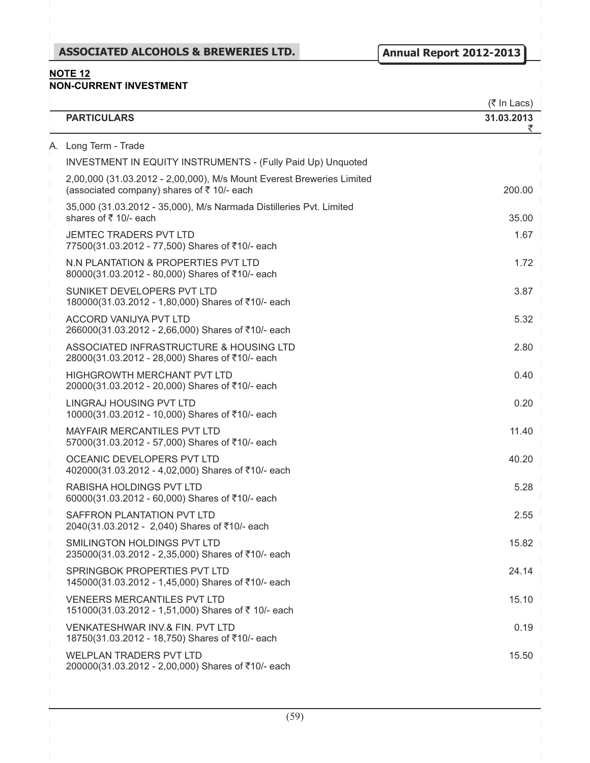#### **NOTE 12 NON-CURRENT INVESTMENT**

|                                                                                                                    | (₹ In Lacs)     |
|--------------------------------------------------------------------------------------------------------------------|-----------------|
| <b>PARTICULARS</b>                                                                                                 | 31.03.2013<br>₹ |
| A. Long Term - Trade                                                                                               |                 |
| <b>INVESTMENT IN EQUITY INSTRUMENTS - (Fully Paid Up) Unquoted</b>                                                 |                 |
| 2,00,000 (31.03.2012 - 2,00,000), M/s Mount Everest Breweries Limited<br>(associated company) shares of ₹10/- each | 200.00          |
| 35,000 (31.03.2012 - 35,000), M/s Narmada Distilleries Pvt. Limited<br>shares of ₹10/- each                        | 35.00           |
| <b>JEMTEC TRADERS PVT LTD</b><br>77500(31.03.2012 - 77,500) Shares of ₹10/- each                                   | 1.67            |
| N.N PLANTATION & PROPERTIES PVT LTD<br>80000(31.03.2012 - 80,000) Shares of ₹10/- each                             | 1.72            |
| SUNIKET DEVELOPERS PVT LTD<br>180000(31.03.2012 - 1,80,000) Shares of ₹10/- each                                   | 3.87            |
| ACCORD VANIJYA PVT LTD<br>266000(31.03.2012 - 2,66,000) Shares of ₹10/- each                                       | 5.32            |
| ASSOCIATED INFRASTRUCTURE & HOUSING LTD<br>28000(31.03.2012 - 28,000) Shares of ₹10/- each                         | 2.80            |
| <b>HIGHGROWTH MERCHANT PVT LTD</b><br>20000(31.03.2012 - 20,000) Shares of ₹10/- each                              | 0.40            |
| <b>LINGRAJ HOUSING PVT LTD</b><br>10000(31.03.2012 - 10,000) Shares of ₹10/- each                                  | 0.20            |
| MAYFAIR MERCANTILES PVT LTD<br>57000(31.03.2012 - 57,000) Shares of ₹10/- each                                     | 11.40           |
| OCEANIC DEVELOPERS PVT LTD<br>402000(31.03.2012 - 4,02,000) Shares of ₹10/- each                                   | 40.20           |
| RABISHA HOLDINGS PVT LTD<br>60000(31.03.2012 - 60,000) Shares of ₹10/- each                                        | 5.28            |
| SAFFRON PLANTATION PVT LTD<br>2040(31.03.2012 - 2,040) Shares of ₹10/- each                                        | 2.55            |
| <b>SMILINGTON HOLDINGS PVT LTD</b><br>235000(31.03.2012 - 2,35,000) Shares of ₹10/- each                           | 15.82           |
| SPRINGBOK PROPERTIES PVT LTD<br>145000(31.03.2012 - 1,45,000) Shares of ₹10/- each                                 | 24.14           |
| <b>VENEERS MERCANTILES PVT LTD</b><br>151000(31.03.2012 - 1,51,000) Shares of ₹ 10/- each                          | 15.10           |
| VENKATESHWAR INV.& FIN. PVT LTD<br>18750(31.03.2012 - 18,750) Shares of ₹10/- each                                 | 0.19            |
| <b>WELPLAN TRADERS PVT LTD</b><br>200000(31.03.2012 - 2,00,000) Shares of ₹10/- each                               | 15.50           |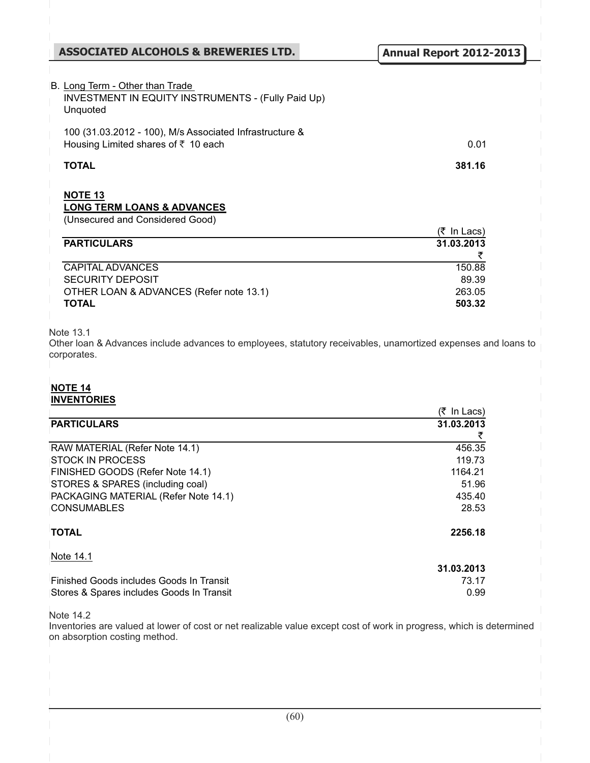| <b>ASSOCIATED ALCOHOLS &amp; BREWERIES LTD.</b>                                                                                                       | Annual Report 2012-2013 |
|-------------------------------------------------------------------------------------------------------------------------------------------------------|-------------------------|
|                                                                                                                                                       |                         |
| B. Long Term - Other than Trade<br>INVESTMENT IN EQUITY INSTRUMENTS - (Fully Paid Up)<br>Unquoted                                                     |                         |
| 100 (31.03.2012 - 100), M/s Associated Infrastructure &                                                                                               |                         |
| Housing Limited shares of ₹ 10 each                                                                                                                   | 0.01                    |
| <b>TOTAL</b>                                                                                                                                          | 381.16                  |
|                                                                                                                                                       |                         |
| <b>NOTE 13</b><br><b>LONG TERM LOANS &amp; ADVANCES</b>                                                                                               |                         |
| (Unsecured and Considered Good)                                                                                                                       |                         |
|                                                                                                                                                       | $(5 \text{ In}$ Lacs)   |
| <b>PARTICULARS</b>                                                                                                                                    | 31.03.2013              |
| <b>CAPITAL ADVANCES</b>                                                                                                                               | 150.88                  |
| <b>SECURITY DEPOSIT</b>                                                                                                                               | 89.39                   |
| OTHER LOAN & ADVANCES (Refer note 13.1)                                                                                                               | 263.05                  |
| <b>TOTAL</b>                                                                                                                                          | 503.32                  |
| Other loan & Advances include advances to employees, statutory receivables, unamortized expenses and loans to<br>corporates.                          |                         |
| <b>NOTE 14</b>                                                                                                                                        |                         |
| <b>INVENTORIES</b>                                                                                                                                    | (₹ In Lacs)             |
| <b>PARTICULARS</b>                                                                                                                                    | 31.03.2013              |
|                                                                                                                                                       |                         |
| RAW MATERIAL (Refer Note 14.1)                                                                                                                        | 456.35                  |
| <b>STOCK IN PROCESS</b>                                                                                                                               | 119.73<br>1164.21       |
| FINISHED GOODS (Refer Note 14.1)<br>STORES & SPARES (including coal)                                                                                  | 51.96                   |
| PACKAGING MATERIAL (Refer Note 14.1)                                                                                                                  | 435.40                  |
| <b>CONSUMABLES</b>                                                                                                                                    | 28.53                   |
| <b>TOTAL</b>                                                                                                                                          | 2256.18                 |
| Note 14.1                                                                                                                                             |                         |
|                                                                                                                                                       | 31.03.2013              |
| Finished Goods includes Goods In Transit                                                                                                              | 73.17                   |
| Stores & Spares includes Goods In Transit                                                                                                             | 0.99                    |
| Note 14.2                                                                                                                                             |                         |
| Inventories are valued at lower of cost or net realizable value except cost of work in progress, which is determined<br>on absorption costing method. |                         |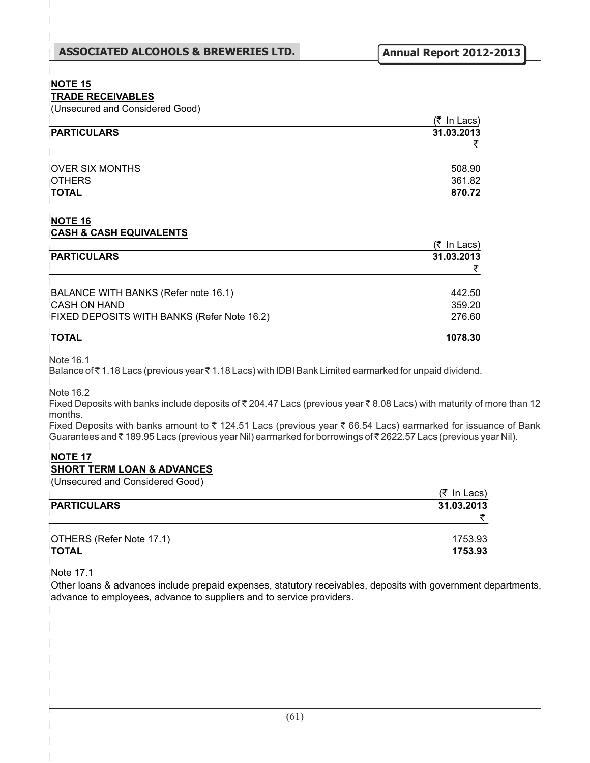# **NOTE 15**

# **TRADE RECEIVABLES**

(Unsecured and Considered Good)

|                                                                                                                                                                                                                               | $(5 \text{ In}$ Lacs) |
|-------------------------------------------------------------------------------------------------------------------------------------------------------------------------------------------------------------------------------|-----------------------|
| <b>PARTICULARS</b>                                                                                                                                                                                                            | 31.03.2013            |
|                                                                                                                                                                                                                               | ₹                     |
| <b>OVER SIX MONTHS</b>                                                                                                                                                                                                        | 508.90                |
| <b>OTHERS</b>                                                                                                                                                                                                                 | 361.82                |
| <b>TOTAL</b>                                                                                                                                                                                                                  | 870.72                |
|                                                                                                                                                                                                                               |                       |
| <b>NOTE 16</b>                                                                                                                                                                                                                |                       |
| <b>CASH &amp; CASH EQUIVALENTS</b>                                                                                                                                                                                            |                       |
|                                                                                                                                                                                                                               | $(5 \text{ In}$ Lacs) |
| <b>PARTICULARS</b>                                                                                                                                                                                                            | 31.03.2013            |
|                                                                                                                                                                                                                               | ₹                     |
| BALANCE WITH BANKS (Refer note 16.1)                                                                                                                                                                                          | 442.50                |
| <b>CASH ON HAND</b>                                                                                                                                                                                                           | 359.20                |
| FIXED DEPOSITS WITH BANKS (Refer Note 16.2)                                                                                                                                                                                   | 276.60                |
|                                                                                                                                                                                                                               |                       |
| <b>TOTAL</b>                                                                                                                                                                                                                  | 1078.30               |
| Note 16.1                                                                                                                                                                                                                     |                       |
| Balance of $\bar{\tau}$ 1.18 Lacs (previous year $\bar{\tau}$ 1.18 Lacs) with IDBI Bank Limited earmarked for unpaid dividend.                                                                                                |                       |
| Note 16.2                                                                                                                                                                                                                     |                       |
| Fixed Deposits with banks include deposits of ₹204.47 Lacs (previous year ₹8.08 Lacs) with maturity of more than 12                                                                                                           |                       |
| months.                                                                                                                                                                                                                       |                       |
| Fixed Deposits with banks amount to ₹124.51 Lacs (previous year ₹66.54 Lacs) earmarked for issuance of Bank<br>Guarantees and ₹189.95 Lacs (previous year Nil) earmarked for borrowings of ₹2622.57 Lacs (previous year Nil). |                       |
| <b>NOTE 17</b>                                                                                                                                                                                                                |                       |
| <b>SHORT TERM LOAN &amp; ADVANCES</b>                                                                                                                                                                                         |                       |
| (Unsecured and Considered Good)                                                                                                                                                                                               |                       |
|                                                                                                                                                                                                                               | (₹ In Lacs)           |
| <b>PARTICULARS</b>                                                                                                                                                                                                            | 31.03.2013            |
|                                                                                                                                                                                                                               |                       |
| OTHERS (Refer Note 17.1)                                                                                                                                                                                                      | 1753.93               |
| <b>TOTAL</b>                                                                                                                                                                                                                  | 1753.93               |
|                                                                                                                                                                                                                               |                       |
| Note 17.1                                                                                                                                                                                                                     |                       |

Other loans & advances include prepaid expenses, statutory receivables, deposits with government departments, advance to employees, advance to suppliers and to service providers.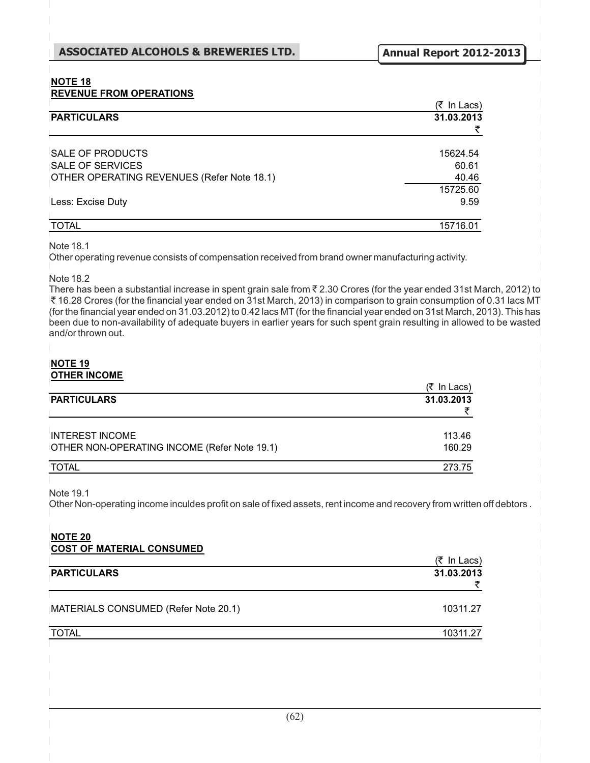#### **NOTE 18 REVENUE FROM OPERATIONS**

|                                            | $(5 \text{ In}$ Lacs) |
|--------------------------------------------|-----------------------|
| <b>PARTICULARS</b>                         | 31.03.2013            |
|                                            |                       |
| <b>SALE OF PRODUCTS</b>                    | 15624.54              |
| <b>SALE OF SERVICES</b>                    | 60.61                 |
| OTHER OPERATING REVENUES (Refer Note 18.1) | 40.46                 |
|                                            | 15725.60              |
| Less: Excise Duty                          | 9.59                  |
| TOTAL                                      | 15716.01              |

Note 18.1

Other operating revenue consists of compensation received from brand owner manufacturing activity.

Note 18.2

There has been a substantial increase in spent grain sale from₹2.30 Crores (for the year ended 31st March, 2012) to  $\bar{z}$  16.28 Crores (for the financial year ended on 31st March, 2013) in comparison to grain consumption of 0.31 lacs MT (for the financial year ended on 31.03.2012) to 0.42 lacs MT (for the financial year ended on 31st March, 2013). This has been due to non-availability of adequate buyers in earlier years for such spent grain resulting in allowed to be wasted and/or thrown out.

#### **NOTE 19 OTHER INCOME**

|                                              | $(5 \text{ In}$ Lacs) |
|----------------------------------------------|-----------------------|
| <b>PARTICULARS</b>                           | 31.03.2013            |
|                                              |                       |
| <b>INTEREST INCOME</b>                       | 113.46                |
| OTHER NON-OPERATING INCOME (Refer Note 19.1) | 160.29                |
| <b>TOTAL</b>                                 | 273.75                |

Note 19.1

Other Non-operating income inculdes profit on sale of fixed assets, rent income and recovery from written off debtors .

#### **NOTE 20 COST OF MATERIAL CONSUMED**

|                                      | (₹ In Lacs) |
|--------------------------------------|-------------|
| <b>PARTICULARS</b>                   | 31.03.2013  |
|                                      |             |
| MATERIALS CONSUMED (Refer Note 20.1) | 10311.27    |
| <b>TOTAL</b>                         | 10311.27    |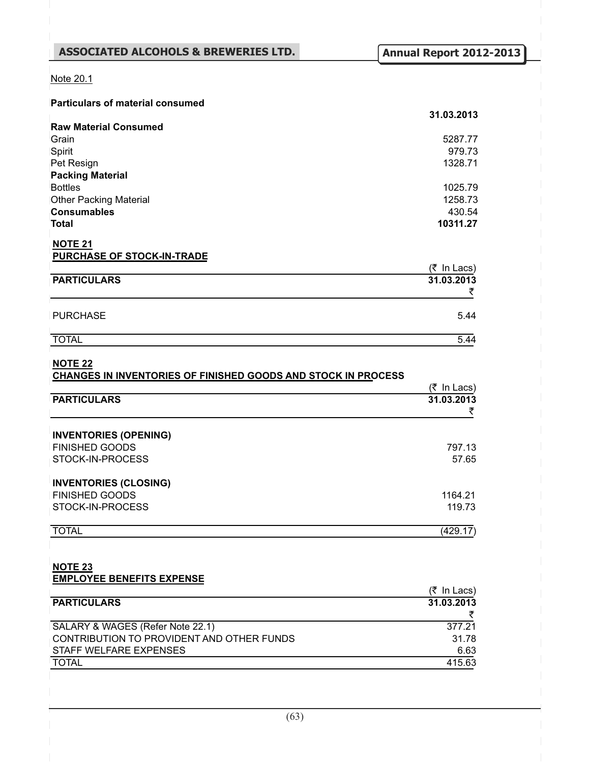| <b>ASSOCIATED ALCOHOLS &amp; BREWERIES LTD.</b>                                                                            | Annual Report 2012-2013 |
|----------------------------------------------------------------------------------------------------------------------------|-------------------------|
| <u>Note 20.1</u>                                                                                                           |                         |
| <b>Particulars of material consumed</b>                                                                                    |                         |
|                                                                                                                            | 31.03.2013              |
| <b>Raw Material Consumed</b><br><sup>∣</sup> Grain                                                                         | 5287.77                 |
| Spirit                                                                                                                     | 979.73                  |
| Pet Resign                                                                                                                 | 1328.71                 |
| <b>Packing Material</b>                                                                                                    |                         |
| Bottles                                                                                                                    | 1025.79                 |
| <b>Other Packing Material</b>                                                                                              | 1258.73                 |
| Consumables                                                                                                                | 430.54                  |
| <b>Total</b>                                                                                                               | 10311.27                |
| <b>NOTE 21</b>                                                                                                             |                         |
| <b>PURCHASE OF STOCK-IN-TRADE</b>                                                                                          |                         |
|                                                                                                                            | $(5 \text{ In}$ Lacs)   |
| <b>PARTICULARS</b>                                                                                                         | 31.03.2013<br>₹         |
|                                                                                                                            |                         |
| <b>PURCHASE</b>                                                                                                            | 5.44                    |
|                                                                                                                            |                         |
| <b>TOTAL</b><br><b>NOTE 22</b>                                                                                             | 5.44                    |
|                                                                                                                            | $(5 \text{ In}$ Lacs)   |
|                                                                                                                            | 31.03.2013<br>₹         |
| <b>CHANGES IN INVENTORIES OF FINISHED GOODS AND STOCK IN PROCESS</b><br><b>PARTICULARS</b><br><b>INVENTORIES (OPENING)</b> |                         |
|                                                                                                                            | 797.13                  |
| <b>FINISHED GOODS</b><br>STOCK-IN-PROCESS                                                                                  | 57.65                   |
|                                                                                                                            |                         |
| <b>INVENTORIES (CLOSING)</b><br><b>FINISHED GOODS</b>                                                                      | 1164.21                 |
|                                                                                                                            | 119.73                  |
|                                                                                                                            | (429.17)                |
| STOCK-IN-PROCESS<br><b>TOTAL</b>                                                                                           |                         |
| <b>NOTE 23</b>                                                                                                             |                         |
| <b>EMPLOYEE BENEFITS EXPENSE</b>                                                                                           |                         |
|                                                                                                                            | $(5 \text{ In}$ Lacs)   |
| <b>PARTICULARS</b>                                                                                                         | 31.03.2013              |
|                                                                                                                            | ₹                       |
| SALARY & WAGES (Refer Note 22.1)<br>CONTRIBUTION TO PROVIDENT AND OTHER FUNDS                                              | 377.21<br>31.78         |
| STAFF WELFARE EXPENSES                                                                                                     | 6.63                    |

-1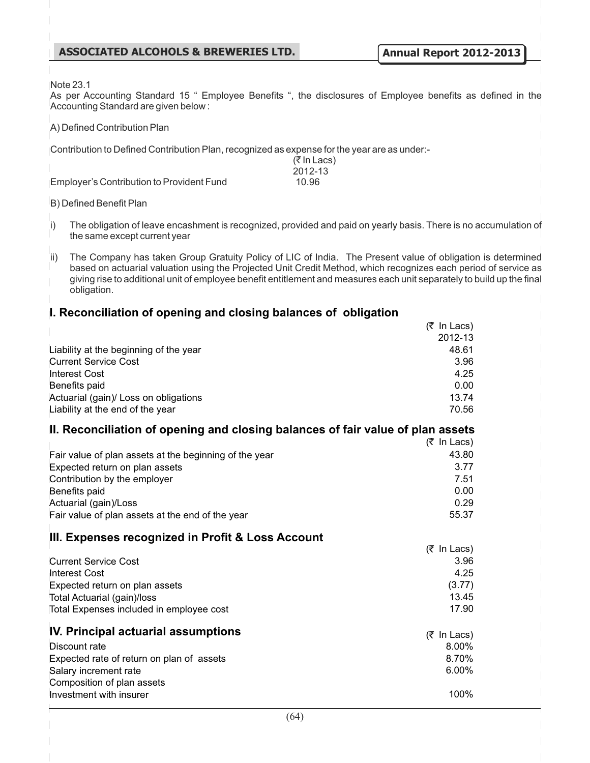Note 23.1

As per Accounting Standard 15 " Employee Benefits ", the disclosures of Employee benefits as defined in the Accounting Standard are given below :

A) Defined Contribution Plan

Contribution to Defined Contribution Plan, recognized as expense for the year are as under:-  $($ ₹ In Lacs)

Employer's Contribution to Provident Fund 10.96

B) Defined Benefit Plan

i) The obligation of leave encashment is recognized, provided and paid on yearly basis. There is no accumulation of the same except current year

2012-13

ii) The Company has taken Group Gratuity Policy of LIC of India. The Present value of obligation is determined based on actuarial valuation using the Projected Unit Credit Method, which recognizes each period of service as giving rise to additional unit of employee benefit entitlement and measures each unit separately to build up the final obligation.

# **I. Reconciliation of opening and closing balances of obligation**

|                                                                                 | $(5 \text{ In}$ Lacs) |  |
|---------------------------------------------------------------------------------|-----------------------|--|
|                                                                                 | 2012-13               |  |
| Liability at the beginning of the year                                          | 48.61                 |  |
| <b>Current Service Cost</b>                                                     | 3.96                  |  |
| Interest Cost                                                                   | 4.25                  |  |
| Benefits paid                                                                   | 0.00                  |  |
| Actuarial (gain)/ Loss on obligations                                           | 13.74                 |  |
| Liability at the end of the year                                                | 70.56                 |  |
| II. Reconciliation of opening and closing balances of fair value of plan assets |                       |  |

|                                                        | $(5 \text{ In}$ Lacs) |
|--------------------------------------------------------|-----------------------|
| Fair value of plan assets at the beginning of the year | 43.80                 |
| Expected return on plan assets                         | 3.77                  |
| Contribution by the employer                           | 7.51                  |
| Benefits paid                                          | 0.00                  |
| Actuarial (gain)/Loss                                  | 0.29                  |
| Fair value of plan assets at the end of the year       | 55.37                 |

# **III. Expenses recognized in Profit & Loss Account**

|                                            | (₹ In Lacs) |
|--------------------------------------------|-------------|
| <b>Current Service Cost</b>                | 3.96        |
| Interest Cost                              | 4.25        |
| Expected return on plan assets             | (3.77)      |
| Total Actuarial (gain)/loss                | 13.45       |
| Total Expenses included in employee cost   | 17.90       |
| <b>IV. Principal actuarial assumptions</b> | (₹ In Lacs) |

| Discount rate                             | $8.00\%$ |
|-------------------------------------------|----------|
| Expected rate of return on plan of assets | 8.70%    |
| Salary increment rate                     | $6.00\%$ |
| Composition of plan assets                |          |
| Investment with insurer                   | 100%     |
|                                           |          |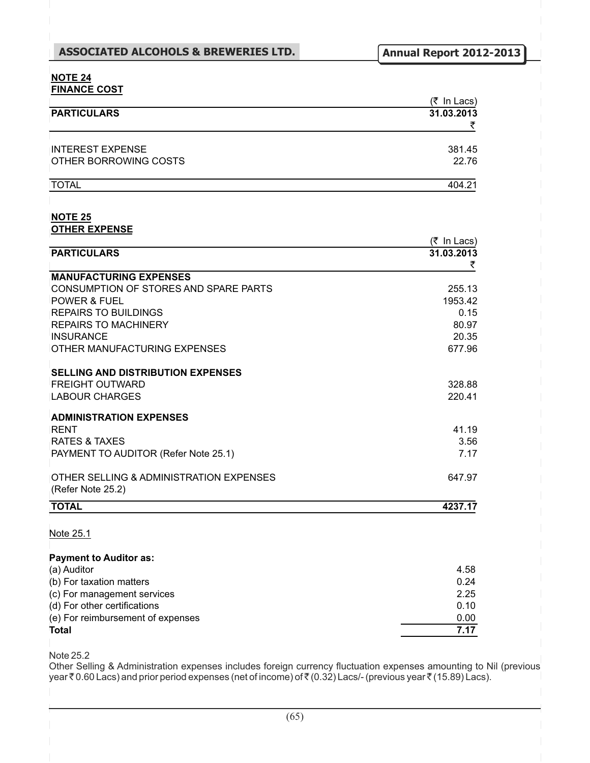| <b>ASSOCIATED ALCOHOLS &amp; BREWERIES LTD.</b>                                                                                                                                                                               | Annual Report 2012-2013 |
|-------------------------------------------------------------------------------------------------------------------------------------------------------------------------------------------------------------------------------|-------------------------|
| <b>NOTE 24</b>                                                                                                                                                                                                                |                         |
| <b>FINANCE COST</b>                                                                                                                                                                                                           |                         |
|                                                                                                                                                                                                                               | $(5 \text{ In}$ Lacs)   |
| <b>PARTICULARS</b>                                                                                                                                                                                                            | 31.03.2013<br>₹         |
|                                                                                                                                                                                                                               |                         |
| <b>INTEREST EXPENSE</b>                                                                                                                                                                                                       | 381.45                  |
| OTHER BORROWING COSTS                                                                                                                                                                                                         | 22.76                   |
| <b>TOTAL</b>                                                                                                                                                                                                                  | 404.21                  |
| <b>NOTE 25</b>                                                                                                                                                                                                                |                         |
| <b>OTHER EXPENSE</b>                                                                                                                                                                                                          |                         |
|                                                                                                                                                                                                                               | $(5 \text{ In}$ Lacs)   |
| <b>PARTICULARS</b>                                                                                                                                                                                                            | 31.03.2013<br>₹         |
| <b>MANUFACTURING EXPENSES</b>                                                                                                                                                                                                 |                         |
| CONSUMPTION OF STORES AND SPARE PARTS                                                                                                                                                                                         | 255.13                  |
| <b>POWER &amp; FUEL</b>                                                                                                                                                                                                       | 1953.42                 |
| <b>REPAIRS TO BUILDINGS</b>                                                                                                                                                                                                   | 0.15                    |
| <b>REPAIRS TO MACHINERY</b>                                                                                                                                                                                                   | 80.97                   |
| <b>INSURANCE</b>                                                                                                                                                                                                              | 20.35                   |
| <b>OTHER MANUFACTURING EXPENSES</b>                                                                                                                                                                                           | 677.96                  |
| <b>SELLING AND DISTRIBUTION EXPENSES</b>                                                                                                                                                                                      |                         |
| <b>FREIGHT OUTWARD</b>                                                                                                                                                                                                        | 328.88                  |
| <b>LABOUR CHARGES</b>                                                                                                                                                                                                         | 220.41                  |
| <b>ADMINISTRATION EXPENSES</b>                                                                                                                                                                                                |                         |
| <b>RENT</b>                                                                                                                                                                                                                   | 41.19                   |
| <b>RATES &amp; TAXES</b>                                                                                                                                                                                                      | 3.56                    |
| PAYMENT TO AUDITOR (Refer Note 25.1)                                                                                                                                                                                          | 7.17                    |
| OTHER SELLING & ADMINISTRATION EXPENSES                                                                                                                                                                                       | 647.97                  |
| (Refer Note 25.2)                                                                                                                                                                                                             |                         |
| <b>TOTAL</b>                                                                                                                                                                                                                  | 4237.17                 |
| Note 25.1                                                                                                                                                                                                                     |                         |
| <b>Payment to Auditor as:</b>                                                                                                                                                                                                 |                         |
| (a) Auditor                                                                                                                                                                                                                   | 4.58                    |
| (b) For taxation matters                                                                                                                                                                                                      | 0.24                    |
| (c) For management services                                                                                                                                                                                                   | 2.25                    |
| (d) For other certifications                                                                                                                                                                                                  | 0.10                    |
| (e) For reimbursement of expenses                                                                                                                                                                                             | 0.00                    |
| Total                                                                                                                                                                                                                         | 7.17                    |
| Note 25.2                                                                                                                                                                                                                     |                         |
| Other Selling & Administration expenses includes foreign currency fluctuation expenses amounting to Nil (previous<br>year₹0.60 Lacs) and prior period expenses (net of income) of₹(0.32) Lacs/- (previous year₹(15.89) Lacs). |                         |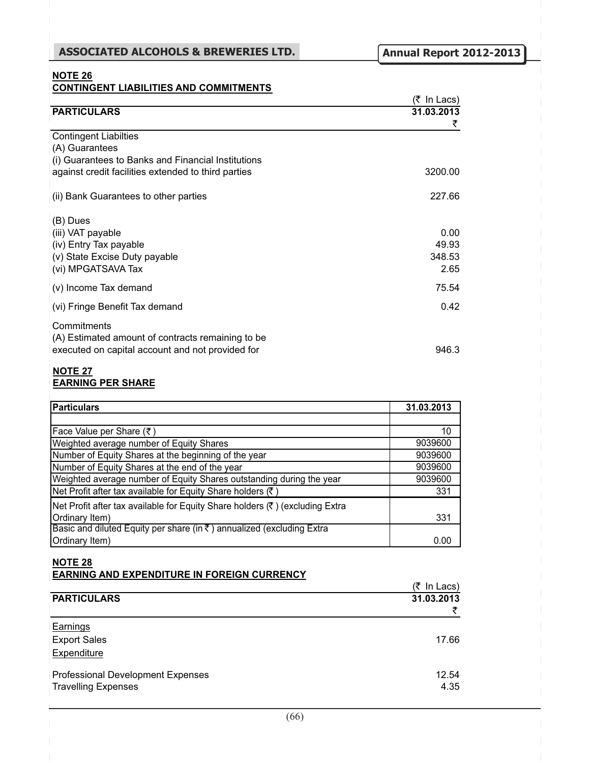|  |  | <b>ASSOCIATED ALCOHOLS &amp; BREWERIES LTD.</b> |  |
|--|--|-------------------------------------------------|--|
|--|--|-------------------------------------------------|--|

**Annual Report 2012-2013** 

# **NOTE 26**

# **CONTINGENT LIABILITIES AND COMMITMENTS**

|                                                     | (₹ In Lacs) |
|-----------------------------------------------------|-------------|
| <b>PARTICULARS</b>                                  | 31.03.2013  |
|                                                     | ₹           |
| Contingent Liabilties                               |             |
| $(A)$ Guarantees                                    |             |
| (i) Guarantees to Banks and Financial Institutions  |             |
| against credit facilities extended to third parties | 3200.00     |
|                                                     |             |
| $\frac{1}{1}$ (ii) Bank Guarantees to other parties | 227.66      |
|                                                     |             |
| (B) Dues                                            |             |
| (iii) VAT payable                                   | 0.00        |
| (iv) Entry Tax payable                              | 49.93       |
| (v) State Excise Duty payable                       | 348.53      |
| (vi) MPGATSAVA Tax                                  | 2.65        |
| (v) Income Tax demand                               | 75.54       |
| (vi) Fringe Benefit Tax demand                      | 0.42        |
| Commitments                                         |             |
| (A) Estimated amount of contracts remaining to be   |             |
| executed on capital account and not provided for    | 946.3       |
|                                                     |             |

#### **NOTE 27 EARNING PER SHARE**

 $\overline{1}$ 

| <b>Particulars</b>                                                             | 31.03.2013 |
|--------------------------------------------------------------------------------|------------|
|                                                                                |            |
| Face Value per Share (₹)                                                       | 10         |
| Weighted average number of Equity Shares                                       | 9039600    |
| Number of Equity Shares at the beginning of the year                           | 9039600    |
| Number of Equity Shares at the end of the year                                 | 9039600    |
| Weighted average number of Equity Shares outstanding during the year           | 9039600    |
| Net Profit after tax available for Equity Share holders $(5)$                  | 331        |
| Net Profit after tax available for Equity Share holders (₹) (excluding Extra   |            |
| Ordinary Item)                                                                 | 331        |
| Basic and diluted Equity per share (in $\bar{z}$ ) annualized (excluding Extra |            |
| Ordinary Item)                                                                 | 0.00       |

### **NOTE 28 EARNING AND EXPENDITURE IN FOREIGN CURRENCY**

|                                   | $(5 \text{ In}$ Lacs) |
|-----------------------------------|-----------------------|
| <b>PARTICULARS</b>                | 31.03.2013            |
|                                   |                       |
| Earnings                          |                       |
| <b>Export Sales</b>               | 17.66                 |
| Expenditure                       |                       |
| Professional Development Expenses | 12.54                 |
| Travelling Expenses               | 4.35                  |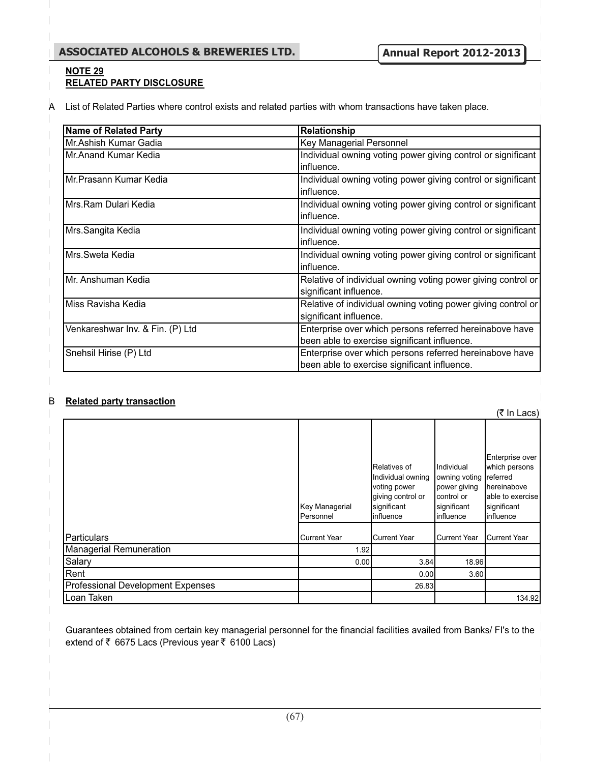### **NOTE 29 RELATED PARTY DISCLOSURE**

A List of Related Parties where control exists and related parties with whom transactions have taken place.

| <b>Name of Related Party</b>     | Relationship                                                 |
|----------------------------------|--------------------------------------------------------------|
| Mr.Ashish Kumar Gadia            | Key Managerial Personnel                                     |
| Mr. Anand Kumar Kedia            | Individual owning voting power giving control or significant |
|                                  | influence.                                                   |
| Mr.Prasann Kumar Kedia           | Individual owning voting power giving control or significant |
|                                  | influence.                                                   |
| Mrs.Ram Dulari Kedia             | Individual owning voting power giving control or significant |
|                                  | influence.                                                   |
| Mrs.Sangita Kedia                | Individual owning voting power giving control or significant |
|                                  | influence.                                                   |
| Mrs.Sweta Kedia                  | Individual owning voting power giving control or significant |
|                                  | influence.                                                   |
| Mr. Anshuman Kedia               | Relative of individual owning voting power giving control or |
|                                  | significant influence.                                       |
| Miss Ravisha Kedia               | Relative of individual owning voting power giving control or |
|                                  | significant influence.                                       |
| Venkareshwar Inv. & Fin. (P) Ltd | Enterprise over which persons referred hereinabove have      |
|                                  | been able to exercise significant influence.                 |
| Snehsil Hirise (P) Ltd           | Enterprise over which persons referred hereinabove have      |
|                                  | been able to exercise significant influence.                 |

#### B **Related party transaction**

|                                   |                             |                                                                                                    |                                                                                       | $(5 \text{ In } \text{Lacs})$                                                                               |
|-----------------------------------|-----------------------------|----------------------------------------------------------------------------------------------------|---------------------------------------------------------------------------------------|-------------------------------------------------------------------------------------------------------------|
|                                   | Key Managerial<br>Personnel | Relatives of<br>Individual owning<br>voting power<br>giving control or<br>significant<br>influence | Individual<br>owning voting<br>power giving<br>control or<br>significant<br>influence | Enterprise over<br>which persons<br>referred<br>hereinabove<br>able to exercise<br>significant<br>influence |
| Particulars                       | <b>Current Year</b>         | <b>Current Year</b>                                                                                | <b>Current Year</b>                                                                   | <b>Current Year</b>                                                                                         |
| <b>Managerial Remuneration</b>    | 1.92                        |                                                                                                    |                                                                                       |                                                                                                             |
| Salary                            | 0.00                        | 3.84                                                                                               | 18.96                                                                                 |                                                                                                             |
| Rent                              |                             | 0.00                                                                                               | 3.60                                                                                  |                                                                                                             |
| Professional Development Expenses |                             | 26.83                                                                                              |                                                                                       |                                                                                                             |
| Loan Taken                        |                             |                                                                                                    |                                                                                       | 134.92                                                                                                      |

Guarantees obtained from certain key managerial personnel for the financial facilities availed from Banks/ FI's to the extend of  $\bar{z}$  6675 Lacs (Previous year  $\bar{z}$  6100 Lacs)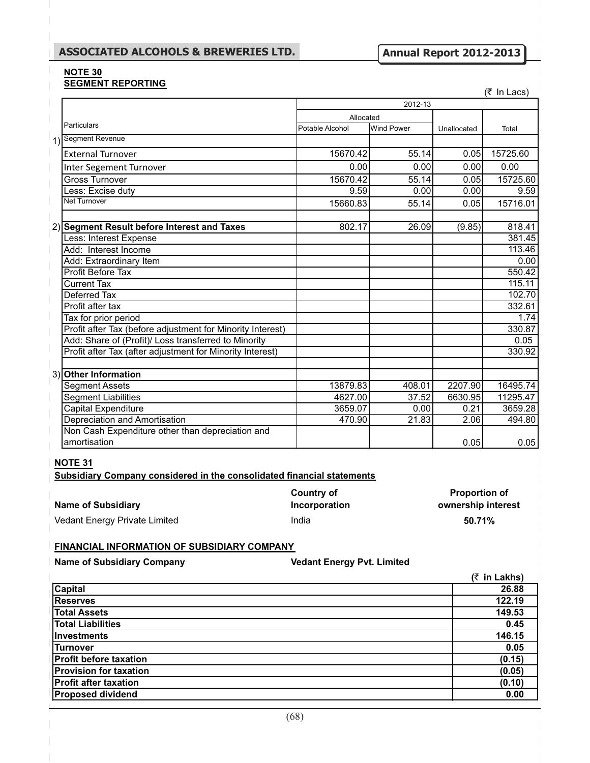#### **NOTE 30 SEGMENT REPORTING**

|                                                            |                 |                   |             | $(5 \text{ In}$ Lacs) |
|------------------------------------------------------------|-----------------|-------------------|-------------|-----------------------|
|                                                            | 2012-13         |                   |             |                       |
|                                                            | Allocated       |                   |             |                       |
| Particulars                                                | Potable Alcohol | <b>Wind Power</b> | Unallocated | Total                 |
| 1) Segment Revenue                                         |                 |                   |             |                       |
| <b>External Turnover</b>                                   | 15670.42        | 55.14             | 0.05        | 15725.60              |
| Inter Segement Turnover                                    | 0.00            | 0.00              | 0.00        | 0.00                  |
| <b>Gross Turnover</b>                                      | 15670.42        | 55.14             | 0.05        | 15725.60              |
| Less: Excise duty                                          | 9.59            | 0.00              | 0.00        | 9.59                  |
| Net Turnover                                               | 15660.83        | 55.14             | 0.05        | 15716.01              |
|                                                            |                 |                   |             |                       |
| 2) Segment Result before Interest and Taxes                | 802.17          | 26.09             | (9.85)      | 818.41                |
| Less: Interest Expense                                     |                 |                   |             | 381.45                |
| Add: Interest Income                                       |                 |                   |             | 113.46                |
| Add: Extraordinary Item                                    |                 |                   |             | 0.00                  |
| Profit Before Tax                                          |                 |                   |             | 550.42                |
| <b>Current Tax</b>                                         |                 |                   |             | 115.11                |
| Deferred Tax                                               |                 |                   |             | 102.70                |
| Profit after tax                                           |                 |                   |             | 332.61                |
| Tax for prior period                                       |                 |                   |             | 1.74                  |
| Profit after Tax (before adjustment for Minority Interest) |                 |                   |             | 330.87                |
| Add: Share of (Profit)/ Loss transferred to Minority       |                 |                   |             | 0.05                  |
| Profit after Tax (after adjustment for Minority Interest)  |                 |                   |             | 330.92                |
|                                                            |                 |                   |             |                       |
| 3) Other Information                                       |                 |                   |             |                       |
| <b>Segment Assets</b>                                      | 13879.83        | 408.01            | 2207.90     | 16495.74              |
| <b>Segment Liabilities</b>                                 | 4627.00         | 37.52             | 6630.95     | 11295.47              |
| Capital Expenditure                                        | 3659.07         | 0.00              | 0.21        | 3659.28               |
| Depreciation and Amortisation                              | 470.90          | 21.83             | 2.06        | 494.80                |
| Non Cash Expenditure other than depreciation and           |                 |                   |             |                       |
| lamortisation                                              |                 |                   | 0.05        | 0.05                  |

#### **NOTE 31**

 $\overline{\phantom{a}}$ 

**Subsidiary Company considered in the consolidated financial statements**

|                               | Country of    | <b>Proportion of</b> |
|-------------------------------|---------------|----------------------|
| <b>Name of Subsidiary</b>     | Incorporation | ownership interest   |
| Vedant Energy Private Limited | India         | 50.71%               |

#### **FINANCIAL INFORMATION OF SUBSIDIARY COMPANY**

**Name of Subsidiary Company Vedant Energy Pvt. Limited**

|                               | (₹ in Lakhs) |
|-------------------------------|--------------|
| Capital                       | 26.88        |
| <b>Reserves</b>               | 122.19       |
| <b>Total Assets</b>           | 149.53       |
| Total Liabilities             | 0.45         |
| Investments                   | 146.15       |
| <b>ITurnover</b>              | 0.05         |
| <b>Profit before taxation</b> | (0.15)       |
| <b>Provision for taxation</b> | (0.05)       |
| <b>Profit after taxation</b>  | (0.10)       |
| <b>Proposed dividend</b>      | 0.00         |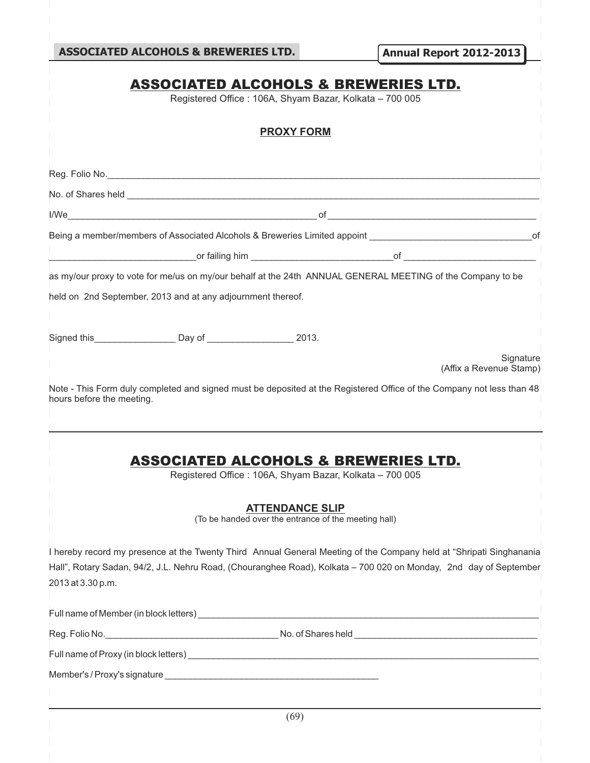| <b>ASSOCIATED ALCOHOLS &amp; BREWERIES LTD.</b>                                                                                                                                                                                      | Annual Report 2012-2013                     |
|--------------------------------------------------------------------------------------------------------------------------------------------------------------------------------------------------------------------------------------|---------------------------------------------|
| <b>ASSOCIATED ALCOHOLS &amp; BREWERIES LTD.</b>                                                                                                                                                                                      |                                             |
| Registered Office: 106A, Shyam Bazar, Kolkata - 700 005                                                                                                                                                                              |                                             |
| <b>PROXY FORM</b>                                                                                                                                                                                                                    |                                             |
|                                                                                                                                                                                                                                      |                                             |
|                                                                                                                                                                                                                                      |                                             |
| No. of Shares held <b>No. 2018</b> No. 2018 19:30 No. 2019 19:30 No. 2019 19:30 No. 2019 19:30 No. 2019 19:30 No. 2019                                                                                                               |                                             |
|                                                                                                                                                                                                                                      |                                             |
| Being a member/members of Associated Alcohols & Breweries Limited appoint __________________________                                                                                                                                 | of                                          |
| <u>of the contract of the contract of the contract of the contract of the contract of the contract of the contract of the contract of the contract of the contract of the contract of the contract of the contract of the contra</u> |                                             |
| as my/our proxy to vote for me/us on my/our behalf at the 24th ANNUAL GENERAL MEETING of the Company to be                                                                                                                           |                                             |
| held on 2nd September, 2013 and at any adjournment thereof.                                                                                                                                                                          |                                             |
|                                                                                                                                                                                                                                      |                                             |
|                                                                                                                                                                                                                                      |                                             |
|                                                                                                                                                                                                                                      | <b>Signature</b><br>(Affix a Revenue Stamp) |
| Note - This Form duly completed and signed must be deposited at the Registered Office of the Company not less than 48                                                                                                                |                                             |
| hours before the meeting.                                                                                                                                                                                                            |                                             |
|                                                                                                                                                                                                                                      |                                             |
|                                                                                                                                                                                                                                      |                                             |
| D ALCOHOLS & BREWERIES LTD.<br>Registered Office: 106A, Shyam Bazar, Kolkata - 700 005                                                                                                                                               |                                             |
|                                                                                                                                                                                                                                      |                                             |
| <b>ATTENDANCE SLIP</b>                                                                                                                                                                                                               |                                             |
| (To be handed over the entrance of the meeting hall)                                                                                                                                                                                 |                                             |
| I hereby record my presence at the Twenty Third Annual General Meeting of the Company held at "Shripati Singhanania                                                                                                                  |                                             |
| Hall", Rotary Sadan, 94/2, J.L. Nehru Road, (Chouranghee Road), Kolkata - 700 020 on Monday, 2nd day of September                                                                                                                    |                                             |
| 2013 at 3.30 p.m.                                                                                                                                                                                                                    |                                             |
|                                                                                                                                                                                                                                      |                                             |
|                                                                                                                                                                                                                                      |                                             |
|                                                                                                                                                                                                                                      |                                             |
|                                                                                                                                                                                                                                      |                                             |
|                                                                                                                                                                                                                                      |                                             |
|                                                                                                                                                                                                                                      |                                             |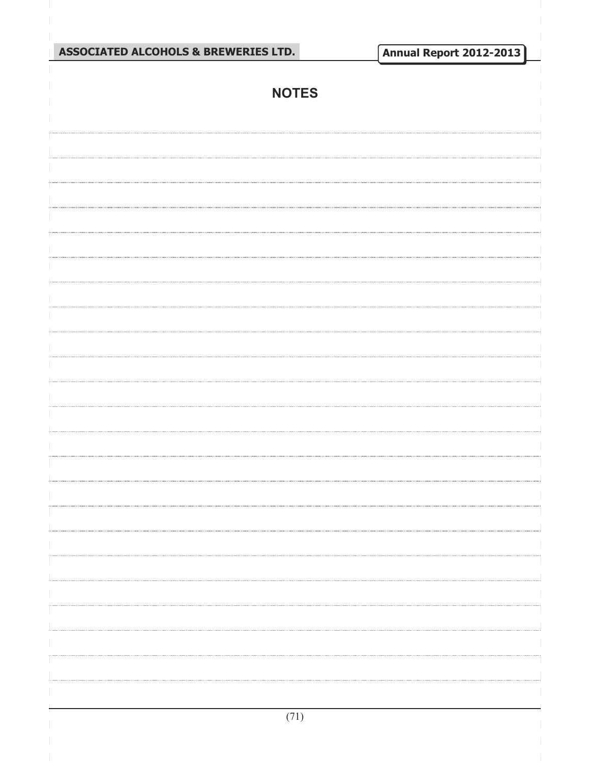| ASSOCIATED ALCOHOLS & BREWERIES LTD. | Annual Report 2012-2013 |
|--------------------------------------|-------------------------|
|                                      |                         |
| <b>NOTES</b>                         |                         |
|                                      |                         |
|                                      |                         |
|                                      |                         |
|                                      |                         |
|                                      |                         |
|                                      |                         |
|                                      |                         |
|                                      |                         |
|                                      |                         |
|                                      |                         |
|                                      |                         |
|                                      |                         |
|                                      |                         |
|                                      |                         |
|                                      |                         |
|                                      |                         |
|                                      |                         |
|                                      |                         |
|                                      |                         |
|                                      |                         |
|                                      |                         |
|                                      |                         |
|                                      |                         |
|                                      |                         |
|                                      |                         |
|                                      |                         |
| (71)                                 |                         |